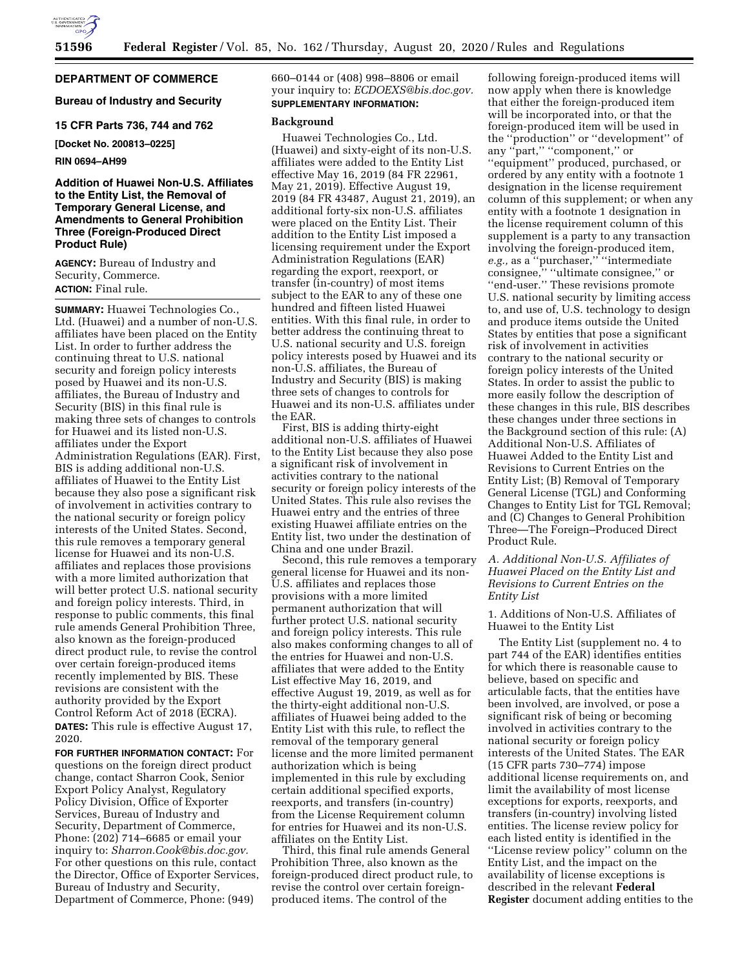

## **DEPARTMENT OF COMMERCE**

**Bureau of Industry and Security** 

**15 CFR Parts 736, 744 and 762** 

**[Docket No. 200813–0225]** 

**RIN 0694–AH99** 

## **Addition of Huawei Non-U.S. Affiliates to the Entity List, the Removal of Temporary General License, and Amendments to General Prohibition Three (Foreign-Produced Direct Product Rule)**

**AGENCY:** Bureau of Industry and Security, Commerce. **ACTION:** Final rule.

**SUMMARY:** Huawei Technologies Co., Ltd. (Huawei) and a number of non-U.S. affiliates have been placed on the Entity List. In order to further address the continuing threat to U.S. national security and foreign policy interests posed by Huawei and its non-U.S. affiliates, the Bureau of Industry and Security (BIS) in this final rule is making three sets of changes to controls for Huawei and its listed non-U.S. affiliates under the Export Administration Regulations (EAR). First, BIS is adding additional non-U.S. affiliates of Huawei to the Entity List because they also pose a significant risk of involvement in activities contrary to the national security or foreign policy interests of the United States. Second, this rule removes a temporary general license for Huawei and its non-U.S. affiliates and replaces those provisions with a more limited authorization that will better protect U.S. national security and foreign policy interests. Third, in response to public comments, this final rule amends General Prohibition Three, also known as the foreign-produced direct product rule, to revise the control over certain foreign-produced items recently implemented by BIS. These revisions are consistent with the authority provided by the Export Control Reform Act of 2018 (ECRA). **DATES:** This rule is effective August 17, 2020.

**FOR FURTHER INFORMATION CONTACT:** For questions on the foreign direct product change, contact Sharron Cook, Senior Export Policy Analyst, Regulatory Policy Division, Office of Exporter Services, Bureau of Industry and Security, Department of Commerce, Phone: (202) 714–6685 or email your inquiry to: *[Sharron.Cook@bis.doc.gov.](mailto:Sharron.Cook@bis.doc.gov)*  For other questions on this rule, contact the Director, Office of Exporter Services, Bureau of Industry and Security, Department of Commerce, Phone: (949)

660–0144 or (408) 998–8806 or email your inquiry to: *[ECDOEXS@bis.doc.gov.](mailto:ECDOEXS@bis.doc.gov)*  **SUPPLEMENTARY INFORMATION:** 

### **Background**

Huawei Technologies Co., Ltd. (Huawei) and sixty-eight of its non-U.S. affiliates were added to the Entity List effective May 16, 2019 (84 FR 22961, May 21, 2019). Effective August 19, 2019 (84 FR 43487, August 21, 2019), an additional forty-six non-U.S. affiliates were placed on the Entity List. Their addition to the Entity List imposed a licensing requirement under the Export Administration Regulations (EAR) regarding the export, reexport, or transfer (in-country) of most items subject to the EAR to any of these one hundred and fifteen listed Huawei entities. With this final rule, in order to better address the continuing threat to U.S. national security and U.S. foreign policy interests posed by Huawei and its non-U.S. affiliates, the Bureau of Industry and Security (BIS) is making three sets of changes to controls for Huawei and its non-U.S. affiliates under the EAR.

First, BIS is adding thirty-eight additional non-U.S. affiliates of Huawei to the Entity List because they also pose a significant risk of involvement in activities contrary to the national security or foreign policy interests of the United States. This rule also revises the Huawei entry and the entries of three existing Huawei affiliate entries on the Entity list, two under the destination of China and one under Brazil.

Second, this rule removes a temporary general license for Huawei and its non-U.S. affiliates and replaces those provisions with a more limited permanent authorization that will further protect U.S. national security and foreign policy interests. This rule also makes conforming changes to all of the entries for Huawei and non-U.S. affiliates that were added to the Entity List effective May 16, 2019, and effective August 19, 2019, as well as for the thirty-eight additional non-U.S. affiliates of Huawei being added to the Entity List with this rule, to reflect the removal of the temporary general license and the more limited permanent authorization which is being implemented in this rule by excluding certain additional specified exports, reexports, and transfers (in-country) from the License Requirement column for entries for Huawei and its non-U.S. affiliates on the Entity List.

Third, this final rule amends General Prohibition Three, also known as the foreign-produced direct product rule, to revise the control over certain foreignproduced items. The control of the

following foreign-produced items will now apply when there is knowledge that either the foreign-produced item will be incorporated into, or that the foreign-produced item will be used in the ''production'' or ''development'' of any ''part,'' ''component,'' or ''equipment'' produced, purchased, or ordered by any entity with a footnote 1 designation in the license requirement column of this supplement; or when any entity with a footnote 1 designation in the license requirement column of this supplement is a party to any transaction involving the foreign-produced item, *e.g.,* as a ''purchaser,'' ''intermediate consignee," "ultimate consignee," or ''end-user.'' These revisions promote U.S. national security by limiting access to, and use of, U.S. technology to design and produce items outside the United States by entities that pose a significant risk of involvement in activities contrary to the national security or foreign policy interests of the United States. In order to assist the public to more easily follow the description of these changes in this rule, BIS describes these changes under three sections in the Background section of this rule: (A) Additional Non-U.S. Affiliates of Huawei Added to the Entity List and Revisions to Current Entries on the Entity List; (B) Removal of Temporary General License (TGL) and Conforming Changes to Entity List for TGL Removal; and (C) Changes to General Prohibition Three—The Foreign–Produced Direct Product Rule.

## *A. Additional Non-U.S. Affiliates of Huawei Placed on the Entity List and Revisions to Current Entries on the Entity List*

1. Additions of Non-U.S. Affiliates of Huawei to the Entity List

The Entity List (supplement no. 4 to part 744 of the EAR) identifies entities for which there is reasonable cause to believe, based on specific and articulable facts, that the entities have been involved, are involved, or pose a significant risk of being or becoming involved in activities contrary to the national security or foreign policy interests of the United States. The EAR (15 CFR parts 730–774) impose additional license requirements on, and limit the availability of most license exceptions for exports, reexports, and transfers (in-country) involving listed entities. The license review policy for each listed entity is identified in the ''License review policy'' column on the Entity List, and the impact on the availability of license exceptions is described in the relevant **Federal Register** document adding entities to the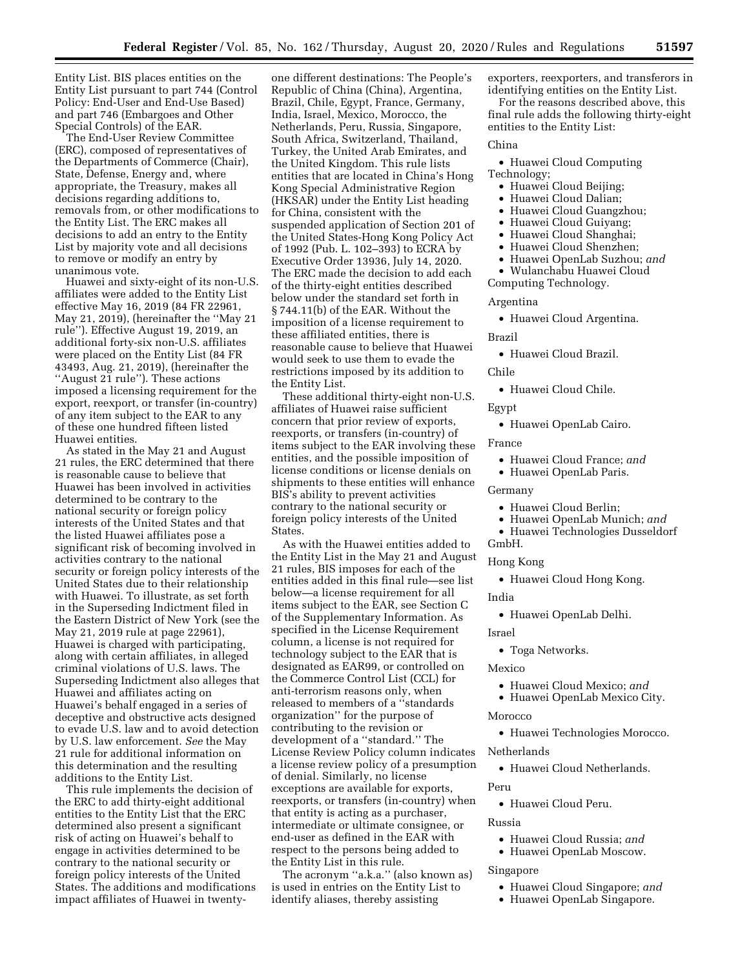Entity List. BIS places entities on the Entity List pursuant to part 744 (Control Policy: End-User and End-Use Based) and part 746 (Embargoes and Other Special Controls) of the EAR.

The End-User Review Committee (ERC), composed of representatives of the Departments of Commerce (Chair), State, Defense, Energy and, where appropriate, the Treasury, makes all decisions regarding additions to, removals from, or other modifications to the Entity List. The ERC makes all decisions to add an entry to the Entity List by majority vote and all decisions to remove or modify an entry by unanimous vote.

Huawei and sixty-eight of its non-U.S. affiliates were added to the Entity List effective May 16, 2019 (84 FR 22961, May 21, 2019), (hereinafter the ''May 21 rule''). Effective August 19, 2019, an additional forty-six non-U.S. affiliates were placed on the Entity List (84 FR 43493, Aug. 21, 2019), (hereinafter the "August 21 rule"). These actions imposed a licensing requirement for the export, reexport, or transfer (in-country) of any item subject to the EAR to any of these one hundred fifteen listed Huawei entities.

As stated in the May 21 and August 21 rules, the ERC determined that there is reasonable cause to believe that Huawei has been involved in activities determined to be contrary to the national security or foreign policy interests of the United States and that the listed Huawei affiliates pose a significant risk of becoming involved in activities contrary to the national security or foreign policy interests of the United States due to their relationship with Huawei. To illustrate, as set forth in the Superseding Indictment filed in the Eastern District of New York (see the May 21, 2019 rule at page 22961), Huawei is charged with participating, along with certain affiliates, in alleged criminal violations of U.S. laws. The Superseding Indictment also alleges that Huawei and affiliates acting on Huawei's behalf engaged in a series of deceptive and obstructive acts designed to evade U.S. law and to avoid detection by U.S. law enforcement. *See* the May 21 rule for additional information on this determination and the resulting additions to the Entity List.

This rule implements the decision of the ERC to add thirty-eight additional entities to the Entity List that the ERC determined also present a significant risk of acting on Huawei's behalf to engage in activities determined to be contrary to the national security or foreign policy interests of the United States. The additions and modifications impact affiliates of Huawei in twentyone different destinations: The People's Republic of China (China), Argentina, Brazil, Chile, Egypt, France, Germany, India, Israel, Mexico, Morocco, the Netherlands, Peru, Russia, Singapore, South Africa, Switzerland, Thailand, Turkey, the United Arab Emirates, and the United Kingdom. This rule lists entities that are located in China's Hong Kong Special Administrative Region (HKSAR) under the Entity List heading for China, consistent with the suspended application of Section 201 of the United States-Hong Kong Policy Act of 1992 (Pub. L. 102–393) to ECRA by Executive Order 13936, July 14, 2020. The ERC made the decision to add each of the thirty-eight entities described below under the standard set forth in § 744.11(b) of the EAR. Without the imposition of a license requirement to these affiliated entities, there is reasonable cause to believe that Huawei would seek to use them to evade the restrictions imposed by its addition to the Entity List.

These additional thirty-eight non-U.S. affiliates of Huawei raise sufficient concern that prior review of exports, reexports, or transfers (in-country) of items subject to the EAR involving these entities, and the possible imposition of license conditions or license denials on shipments to these entities will enhance BIS's ability to prevent activities contrary to the national security or foreign policy interests of the United States.

As with the Huawei entities added to the Entity List in the May 21 and August 21 rules, BIS imposes for each of the entities added in this final rule—see list below—a license requirement for all items subject to the EAR, see Section C of the Supplementary Information. As specified in the License Requirement column, a license is not required for technology subject to the EAR that is designated as EAR99, or controlled on the Commerce Control List (CCL) for anti-terrorism reasons only, when released to members of a ''standards organization'' for the purpose of contributing to the revision or development of a ''standard.'' The License Review Policy column indicates a license review policy of a presumption of denial. Similarly, no license exceptions are available for exports, reexports, or transfers (in-country) when that entity is acting as a purchaser, intermediate or ultimate consignee, or end-user as defined in the EAR with respect to the persons being added to the Entity List in this rule.

The acronym ''a.k.a.'' (also known as) is used in entries on the Entity List to identify aliases, thereby assisting

exporters, reexporters, and transferors in identifying entities on the Entity List.

For the reasons described above, this final rule adds the following thirty-eight entities to the Entity List:

### China

• Huawei Cloud Computing Technology;

- Huawei Cloud Beijing;
- Huawei Cloud Dalian;
- Huawei Cloud Guangzhou;
- Huawei Cloud Guiyang;
- Huawei Cloud Shanghai;
- Huawei Cloud Shenzhen;
- Huawei OpenLab Suzhou; *and*

• Wulanchabu Huawei Cloud Computing Technology.

## Argentina

• Huawei Cloud Argentina.

#### Brazil

• Huawei Cloud Brazil.

### Chile

• Huawei Cloud Chile.

Egypt

• Huawei OpenLab Cairo.

France

- Huawei Cloud France; *and*
- Huawei OpenLab Paris.

### Germany

- Huawei Cloud Berlin;
- Huawei OpenLab Munich; *and*
- Huawei Technologies Dusseldorf GmbH.

# Hong Kong

• Huawei Cloud Hong Kong.

#### India

• Huawei OpenLab Delhi.

### Israel

• Toga Networks.

#### Mexico

- Huawei Cloud Mexico; *and*
- Huawei OpenLab Mexico City.

#### Morocco

• Huawei Technologies Morocco.

#### Netherlands

• Huawei Cloud Netherlands.

### Peru

• Huawei Cloud Peru.

#### Russia

- Huawei Cloud Russia; *and*
- Huawei OpenLab Moscow.

#### Singapore

- Huawei Cloud Singapore; *and*
- Huawei OpenLab Singapore.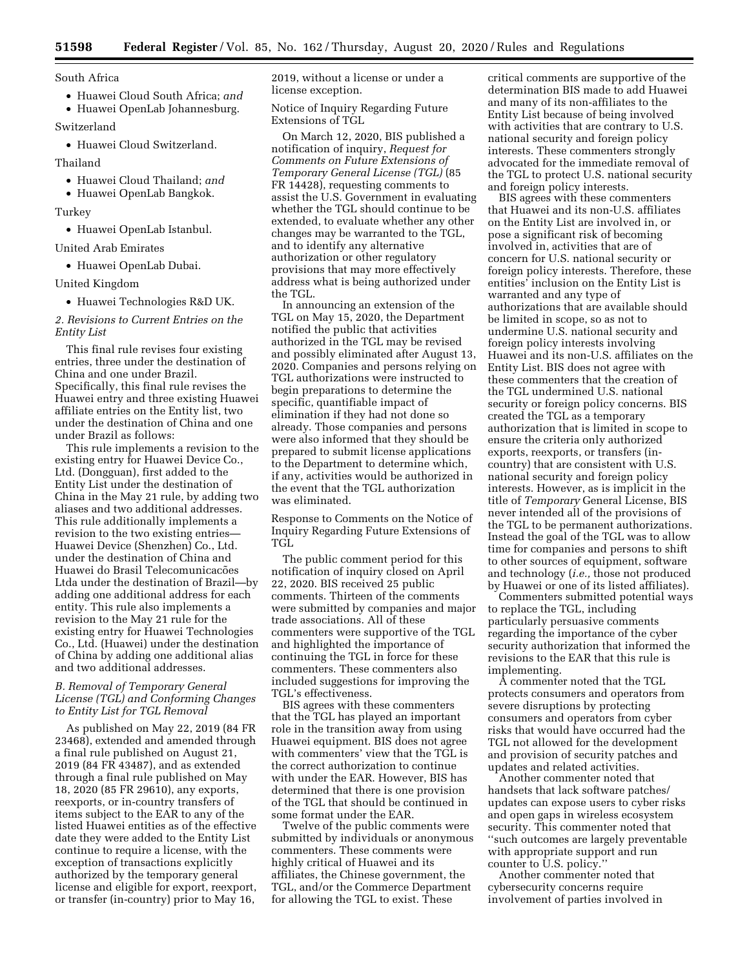South Africa

• Huawei Cloud South Africa; *and* 

• Huawei OpenLab Johannesburg.

Switzerland

• Huawei Cloud Switzerland.

Thailand

- Huawei Cloud Thailand; *and*
- Huawei OpenLab Bangkok.

Turkey

• Huawei OpenLab Istanbul.

United Arab Emirates

• Huawei OpenLab Dubai.

United Kingdom

• Huawei Technologies R&D UK.

*2. Revisions to Current Entries on the Entity List* 

This final rule revises four existing entries, three under the destination of China and one under Brazil. Specifically, this final rule revises the Huawei entry and three existing Huawei affiliate entries on the Entity list, two under the destination of China and one under Brazil as follows:

This rule implements a revision to the existing entry for Huawei Device Co., Ltd. (Dongguan), first added to the Entity List under the destination of China in the May 21 rule, by adding two aliases and two additional addresses. This rule additionally implements a revision to the two existing entries— Huawei Device (Shenzhen) Co., Ltd. under the destination of China and Huawei do Brasil Telecomunicacões Ltda under the destination of Brazil—by adding one additional address for each entity. This rule also implements a revision to the May 21 rule for the existing entry for Huawei Technologies Co., Ltd. (Huawei) under the destination of China by adding one additional alias and two additional addresses.

### *B. Removal of Temporary General License (TGL) and Conforming Changes to Entity List for TGL Removal*

As published on May 22, 2019 (84 FR 23468), extended and amended through a final rule published on August 21, 2019 (84 FR 43487), and as extended through a final rule published on May 18, 2020 (85 FR 29610), any exports, reexports, or in-country transfers of items subject to the EAR to any of the listed Huawei entities as of the effective date they were added to the Entity List continue to require a license, with the exception of transactions explicitly authorized by the temporary general license and eligible for export, reexport, or transfer (in-country) prior to May 16,

2019, without a license or under a license exception.

Notice of Inquiry Regarding Future Extensions of TGL

On March 12, 2020, BIS published a notification of inquiry, *Request for Comments on Future Extensions of Temporary General License (TGL)* (85 FR 14428), requesting comments to assist the U.S. Government in evaluating whether the TGL should continue to be extended, to evaluate whether any other changes may be warranted to the TGL, and to identify any alternative authorization or other regulatory provisions that may more effectively address what is being authorized under the TGL.

In announcing an extension of the TGL on May 15, 2020, the Department notified the public that activities authorized in the TGL may be revised and possibly eliminated after August 13, 2020. Companies and persons relying on TGL authorizations were instructed to begin preparations to determine the specific, quantifiable impact of elimination if they had not done so already. Those companies and persons were also informed that they should be prepared to submit license applications to the Department to determine which, if any, activities would be authorized in the event that the TGL authorization was eliminated.

Response to Comments on the Notice of Inquiry Regarding Future Extensions of TGL.

The public comment period for this notification of inquiry closed on April 22, 2020. BIS received 25 public comments. Thirteen of the comments were submitted by companies and major trade associations. All of these commenters were supportive of the TGL and highlighted the importance of continuing the TGL in force for these commenters. These commenters also included suggestions for improving the TGL's effectiveness.

BIS agrees with these commenters that the TGL has played an important role in the transition away from using Huawei equipment. BIS does not agree with commenters' view that the TGL is the correct authorization to continue with under the EAR. However, BIS has determined that there is one provision of the TGL that should be continued in some format under the EAR.

Twelve of the public comments were submitted by individuals or anonymous commenters. These comments were highly critical of Huawei and its affiliates, the Chinese government, the TGL, and/or the Commerce Department for allowing the TGL to exist. These

critical comments are supportive of the determination BIS made to add Huawei and many of its non-affiliates to the Entity List because of being involved with activities that are contrary to U.S. national security and foreign policy interests. These commenters strongly advocated for the immediate removal of the TGL to protect U.S. national security and foreign policy interests.

BIS agrees with these commenters that Huawei and its non-U.S. affiliates on the Entity List are involved in, or pose a significant risk of becoming involved in, activities that are of concern for U.S. national security or foreign policy interests. Therefore, these entities' inclusion on the Entity List is warranted and any type of authorizations that are available should be limited in scope, so as not to undermine U.S. national security and foreign policy interests involving Huawei and its non-U.S. affiliates on the Entity List. BIS does not agree with these commenters that the creation of the TGL undermined U.S. national security or foreign policy concerns. BIS created the TGL as a temporary authorization that is limited in scope to ensure the criteria only authorized exports, reexports, or transfers (incountry) that are consistent with U.S. national security and foreign policy interests. However, as is implicit in the title of *Temporary* General License, BIS never intended all of the provisions of the TGL to be permanent authorizations. Instead the goal of the TGL was to allow time for companies and persons to shift to other sources of equipment, software and technology (*i.e.,* those not produced by Huawei or one of its listed affiliates).

Commenters submitted potential ways to replace the TGL, including particularly persuasive comments regarding the importance of the cyber security authorization that informed the revisions to the EAR that this rule is implementing.

A commenter noted that the TGL protects consumers and operators from severe disruptions by protecting consumers and operators from cyber risks that would have occurred had the TGL not allowed for the development and provision of security patches and updates and related activities.

Another commenter noted that handsets that lack software patches/ updates can expose users to cyber risks and open gaps in wireless ecosystem security. This commenter noted that ''such outcomes are largely preventable with appropriate support and run counter to U.S. policy.''

Another commenter noted that cybersecurity concerns require involvement of parties involved in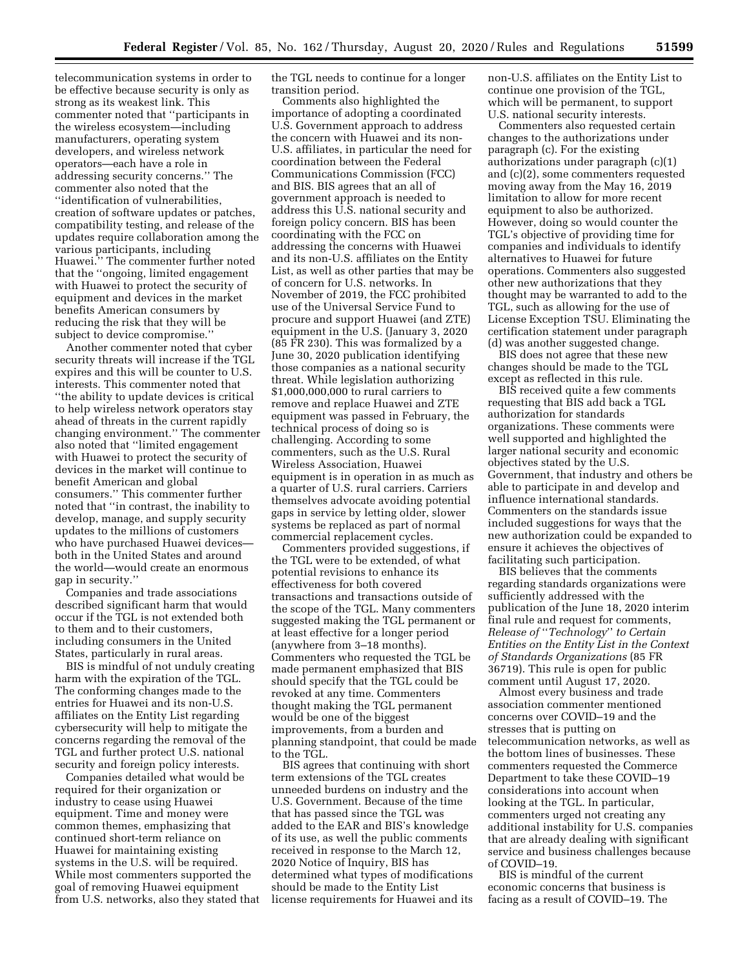telecommunication systems in order to be effective because security is only as strong as its weakest link. This commenter noted that ''participants in the wireless ecosystem—including manufacturers, operating system developers, and wireless network operators—each have a role in addressing security concerns.'' The commenter also noted that the ''identification of vulnerabilities, creation of software updates or patches, compatibility testing, and release of the updates require collaboration among the various participants, including Huawei.'' The commenter further noted that the ''ongoing, limited engagement with Huawei to protect the security of equipment and devices in the market benefits American consumers by reducing the risk that they will be subject to device compromise.''

Another commenter noted that cyber security threats will increase if the TGL expires and this will be counter to U.S. interests. This commenter noted that ''the ability to update devices is critical to help wireless network operators stay ahead of threats in the current rapidly changing environment.'' The commenter also noted that ''limited engagement with Huawei to protect the security of devices in the market will continue to benefit American and global consumers.'' This commenter further noted that ''in contrast, the inability to develop, manage, and supply security updates to the millions of customers who have purchased Huawei devices both in the United States and around the world—would create an enormous gap in security.''

Companies and trade associations described significant harm that would occur if the TGL is not extended both to them and to their customers, including consumers in the United States, particularly in rural areas.

BIS is mindful of not unduly creating harm with the expiration of the TGL. The conforming changes made to the entries for Huawei and its non-U.S. affiliates on the Entity List regarding cybersecurity will help to mitigate the concerns regarding the removal of the TGL and further protect U.S. national security and foreign policy interests.

Companies detailed what would be required for their organization or industry to cease using Huawei equipment. Time and money were common themes, emphasizing that continued short-term reliance on Huawei for maintaining existing systems in the U.S. will be required. While most commenters supported the goal of removing Huawei equipment from U.S. networks, also they stated that the TGL needs to continue for a longer transition period.

Comments also highlighted the importance of adopting a coordinated U.S. Government approach to address the concern with Huawei and its non-U.S. affiliates, in particular the need for coordination between the Federal Communications Commission (FCC) and BIS. BIS agrees that an all of government approach is needed to address this U.S. national security and foreign policy concern. BIS has been coordinating with the FCC on addressing the concerns with Huawei and its non-U.S. affiliates on the Entity List, as well as other parties that may be of concern for U.S. networks. In November of 2019, the FCC prohibited use of the Universal Service Fund to procure and support Huawei (and ZTE) equipment in the U.S. (January 3, 2020 (85 FR 230). This was formalized by a June 30, 2020 publication identifying those companies as a national security threat. While legislation authorizing \$1,000,000,000 to rural carriers to remove and replace Huawei and ZTE equipment was passed in February, the technical process of doing so is challenging. According to some commenters, such as the U.S. Rural Wireless Association, Huawei equipment is in operation in as much as a quarter of U.S. rural carriers. Carriers themselves advocate avoiding potential gaps in service by letting older, slower systems be replaced as part of normal commercial replacement cycles.

Commenters provided suggestions, if the TGL were to be extended, of what potential revisions to enhance its effectiveness for both covered transactions and transactions outside of the scope of the TGL. Many commenters suggested making the TGL permanent or at least effective for a longer period (anywhere from 3–18 months). Commenters who requested the TGL be made permanent emphasized that BIS should specify that the TGL could be revoked at any time. Commenters thought making the TGL permanent would be one of the biggest improvements, from a burden and planning standpoint, that could be made to the TGL.

BIS agrees that continuing with short term extensions of the TGL creates unneeded burdens on industry and the U.S. Government. Because of the time that has passed since the TGL was added to the EAR and BIS's knowledge of its use, as well the public comments received in response to the March 12, 2020 Notice of Inquiry, BIS has determined what types of modifications should be made to the Entity List license requirements for Huawei and its non-U.S. affiliates on the Entity List to continue one provision of the TGL, which will be permanent, to support U.S. national security interests.

Commenters also requested certain changes to the authorizations under paragraph (c). For the existing authorizations under paragraph (c)(1) and (c)(2), some commenters requested moving away from the May 16, 2019 limitation to allow for more recent equipment to also be authorized. However, doing so would counter the TGL's objective of providing time for companies and individuals to identify alternatives to Huawei for future operations. Commenters also suggested other new authorizations that they thought may be warranted to add to the TGL, such as allowing for the use of License Exception TSU. Eliminating the certification statement under paragraph (d) was another suggested change.

BIS does not agree that these new changes should be made to the TGL except as reflected in this rule.

BIS received quite a few comments requesting that BIS add back a TGL authorization for standards organizations. These comments were well supported and highlighted the larger national security and economic objectives stated by the U.S. Government, that industry and others be able to participate in and develop and influence international standards. Commenters on the standards issue included suggestions for ways that the new authorization could be expanded to ensure it achieves the objectives of facilitating such participation.

BIS believes that the comments regarding standards organizations were sufficiently addressed with the publication of the June 18, 2020 interim final rule and request for comments, *Release of* ''*Technology*'' *to Certain Entities on the Entity List in the Context of Standards Organizations* (85 FR 36719). This rule is open for public comment until August 17, 2020.

Almost every business and trade association commenter mentioned concerns over COVID–19 and the stresses that is putting on telecommunication networks, as well as the bottom lines of businesses. These commenters requested the Commerce Department to take these COVID–19 considerations into account when looking at the TGL. In particular, commenters urged not creating any additional instability for U.S. companies that are already dealing with significant service and business challenges because of COVID–19.

BIS is mindful of the current economic concerns that business is facing as a result of COVID–19. The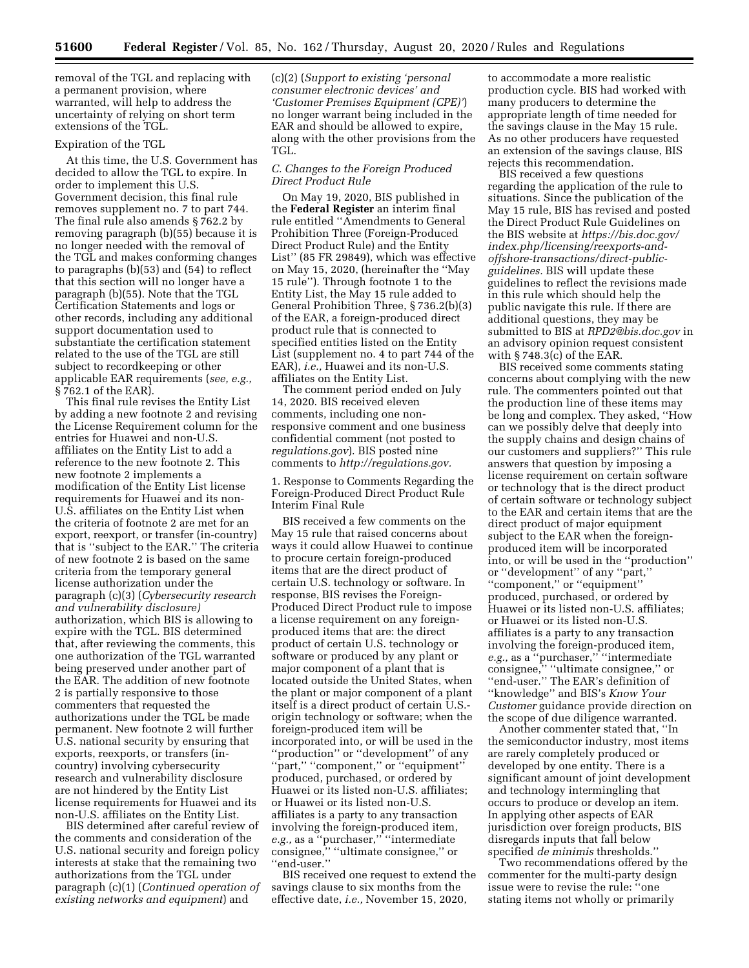removal of the TGL and replacing with a permanent provision, where warranted, will help to address the uncertainty of relying on short term extensions of the TGL.

### Expiration of the TGL

At this time, the U.S. Government has decided to allow the TGL to expire. In order to implement this U.S. Government decision, this final rule removes supplement no. 7 to part 744. The final rule also amends § 762.2 by removing paragraph (b)(55) because it is no longer needed with the removal of the TGL and makes conforming changes to paragraphs (b)(53) and (54) to reflect that this section will no longer have a paragraph (b)(55). Note that the TGL Certification Statements and logs or other records, including any additional support documentation used to substantiate the certification statement related to the use of the TGL are still subject to recordkeeping or other applicable EAR requirements (*see, e.g.,*  § 762.1 of the EAR).

This final rule revises the Entity List by adding a new footnote 2 and revising the License Requirement column for the entries for Huawei and non-U.S. affiliates on the Entity List to add a reference to the new footnote 2. This new footnote 2 implements a modification of the Entity List license requirements for Huawei and its non-U.S. affiliates on the Entity List when the criteria of footnote 2 are met for an export, reexport, or transfer (in-country) that is ''subject to the EAR.'' The criteria of new footnote 2 is based on the same criteria from the temporary general license authorization under the paragraph (c)(3) (*Cybersecurity research and vulnerability disclosure)*  authorization, which BIS is allowing to expire with the TGL. BIS determined that, after reviewing the comments, this one authorization of the TGL warranted being preserved under another part of the EAR. The addition of new footnote 2 is partially responsive to those commenters that requested the authorizations under the TGL be made permanent. New footnote 2 will further U.S. national security by ensuring that exports, reexports, or transfers (incountry) involving cybersecurity research and vulnerability disclosure are not hindered by the Entity List license requirements for Huawei and its non-U.S. affiliates on the Entity List.

BIS determined after careful review of the comments and consideration of the U.S. national security and foreign policy interests at stake that the remaining two authorizations from the TGL under paragraph (c)(1) (*Continued operation of existing networks and equipment*) and

(c)(2) (*Support to existing 'personal consumer electronic devices' and 'Customer Premises Equipment (CPE)'*) no longer warrant being included in the EAR and should be allowed to expire, along with the other provisions from the TGL.

## *C. Changes to the Foreign Produced Direct Product Rule*

On May 19, 2020, BIS published in the **Federal Register** an interim final rule entitled ''Amendments to General Prohibition Three (Foreign-Produced Direct Product Rule) and the Entity List'' (85 FR 29849), which was effective on May 15, 2020, (hereinafter the ''May 15 rule''). Through footnote 1 to the Entity List, the May 15 rule added to General Prohibition Three, § 736.2(b)(3) of the EAR, a foreign-produced direct product rule that is connected to specified entities listed on the Entity List (supplement no. 4 to part 744 of the EAR), *i.e.,* Huawei and its non-U.S. affiliates on the Entity List.

The comment period ended on July 14, 2020. BIS received eleven comments, including one nonresponsive comment and one business confidential comment (not posted to *regulations.gov*). BIS posted nine comments to *[http://regulations.gov.](http://regulations.gov)* 

1. Response to Comments Regarding the Foreign-Produced Direct Product Rule Interim Final Rule

BIS received a few comments on the May 15 rule that raised concerns about ways it could allow Huawei to continue to procure certain foreign-produced items that are the direct product of certain U.S. technology or software. In response, BIS revises the Foreign-Produced Direct Product rule to impose a license requirement on any foreignproduced items that are: the direct product of certain U.S. technology or software or produced by any plant or major component of a plant that is located outside the United States, when the plant or major component of a plant itself is a direct product of certain U.S. origin technology or software; when the foreign-produced item will be incorporated into, or will be used in the ''production'' or ''development'' of any "part," "component," or "equipment" produced, purchased, or ordered by Huawei or its listed non-U.S. affiliates; or Huawei or its listed non-U.S. affiliates is a party to any transaction involving the foreign-produced item, *e.g.,* as a ''purchaser,'' ''intermediate consignee,'' ''ultimate consignee,'' or ''end-user.''

BIS received one request to extend the savings clause to six months from the effective date, *i.e.,* November 15, 2020,

to accommodate a more realistic production cycle. BIS had worked with many producers to determine the appropriate length of time needed for the savings clause in the May 15 rule. As no other producers have requested an extension of the savings clause, BIS rejects this recommendation.

BIS received a few questions regarding the application of the rule to situations. Since the publication of the May 15 rule, BIS has revised and posted the Direct Product Rule Guidelines on the BIS website at *[https://bis.doc.gov/](https://bis.doc.gov/index.php/licensing/reexports-and-offshore-transactions/direct-public-guidelines)  [index.php/licensing/reexports-and](https://bis.doc.gov/index.php/licensing/reexports-and-offshore-transactions/direct-public-guidelines)offshore-transactions/direct-public[guidelines.](https://bis.doc.gov/index.php/licensing/reexports-and-offshore-transactions/direct-public-guidelines)* BIS will update these guidelines to reflect the revisions made in this rule which should help the public navigate this rule. If there are additional questions, they may be submitted to BIS at *[RPD2@bis.doc.gov](mailto:RPD2@bis.doc.gov)* in an advisory opinion request consistent with § 748.3(c) of the EAR.

BIS received some comments stating concerns about complying with the new rule. The commenters pointed out that the production line of these items may be long and complex. They asked, ''How can we possibly delve that deeply into the supply chains and design chains of our customers and suppliers?'' This rule answers that question by imposing a license requirement on certain software or technology that is the direct product of certain software or technology subject to the EAR and certain items that are the direct product of major equipment subject to the EAR when the foreignproduced item will be incorporated into, or will be used in the ''production'' or ''development'' of any ''part,'' ''component,'' or ''equipment'' produced, purchased, or ordered by Huawei or its listed non-U.S. affiliates; or Huawei or its listed non-U.S. affiliates is a party to any transaction involving the foreign-produced item, *e.g.,* as a ''purchaser,'' ''intermediate consignee,'' ''ultimate consignee,'' or ''end-user.'' The EAR's definition of ''knowledge'' and BIS's *Know Your Customer* guidance provide direction on the scope of due diligence warranted.

Another commenter stated that, ''In the semiconductor industry, most items are rarely completely produced or developed by one entity. There is a significant amount of joint development and technology intermingling that occurs to produce or develop an item. In applying other aspects of EAR jurisdiction over foreign products, BIS disregards inputs that fall below specified *de minimis* thresholds.''

Two recommendations offered by the commenter for the multi-party design issue were to revise the rule: ''one stating items not wholly or primarily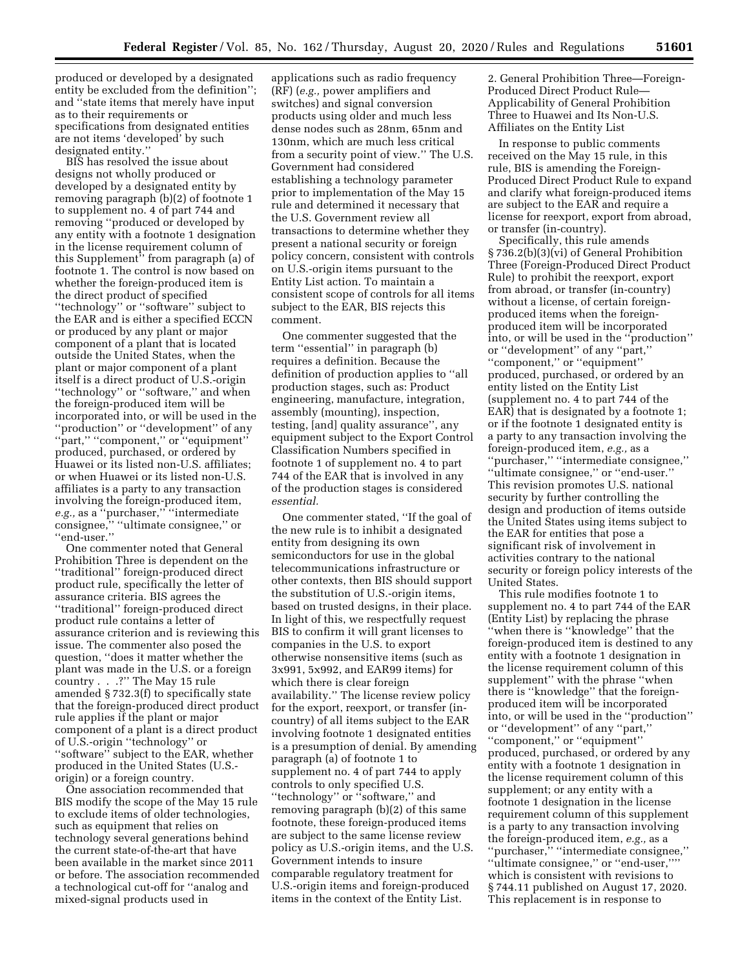produced or developed by a designated entity be excluded from the definition''; and ''state items that merely have input as to their requirements or specifications from designated entities are not items 'developed' by such designated entity.''

BIS has resolved the issue about designs not wholly produced or developed by a designated entity by removing paragraph (b)(2) of footnote 1 to supplement no. 4 of part 744 and removing ''produced or developed by any entity with a footnote 1 designation in the license requirement column of this Supplement'' from paragraph (a) of footnote 1. The control is now based on whether the foreign-produced item is the direct product of specified ''technology'' or ''software'' subject to the EAR and is either a specified ECCN or produced by any plant or major component of a plant that is located outside the United States, when the plant or major component of a plant itself is a direct product of U.S.-origin ''technology'' or ''software,'' and when the foreign-produced item will be incorporated into, or will be used in the ''production'' or ''development'' of any ''part,'' ''component,'' or ''equipment'' produced, purchased, or ordered by Huawei or its listed non-U.S. affiliates; or when Huawei or its listed non-U.S. affiliates is a party to any transaction involving the foreign-produced item, *e.g.,* as a ''purchaser,'' ''intermediate consignee,'' ''ultimate consignee,'' or ''end-user.''

One commenter noted that General Prohibition Three is dependent on the ''traditional'' foreign-produced direct product rule, specifically the letter of assurance criteria. BIS agrees the ''traditional'' foreign-produced direct product rule contains a letter of assurance criterion and is reviewing this issue. The commenter also posed the question, ''does it matter whether the plant was made in the U.S. or a foreign country . . .?'' The May 15 rule amended § 732.3(f) to specifically state that the foreign-produced direct product rule applies if the plant or major component of a plant is a direct product of U.S.-origin ''technology'' or ''software'' subject to the EAR, whether produced in the United States (U.S. origin) or a foreign country.

One association recommended that BIS modify the scope of the May 15 rule to exclude items of older technologies, such as equipment that relies on technology several generations behind the current state-of-the-art that have been available in the market since 2011 or before. The association recommended a technological cut-off for ''analog and mixed-signal products used in

applications such as radio frequency (RF) (*e.g.,* power amplifiers and switches) and signal conversion products using older and much less dense nodes such as 28nm, 65nm and 130nm, which are much less critical from a security point of view.'' The U.S. Government had considered establishing a technology parameter prior to implementation of the May 15 rule and determined it necessary that the U.S. Government review all transactions to determine whether they present a national security or foreign policy concern, consistent with controls on U.S.-origin items pursuant to the Entity List action. To maintain a consistent scope of controls for all items subject to the EAR, BIS rejects this comment.

One commenter suggested that the term ''essential'' in paragraph (b) requires a definition. Because the definition of production applies to ''all production stages, such as: Product engineering, manufacture, integration, assembly (mounting), inspection, testing, [and] quality assurance'', any equipment subject to the Export Control Classification Numbers specified in footnote 1 of supplement no. 4 to part 744 of the EAR that is involved in any of the production stages is considered *essential.* 

One commenter stated, ''If the goal of the new rule is to inhibit a designated entity from designing its own semiconductors for use in the global telecommunications infrastructure or other contexts, then BIS should support the substitution of U.S.-origin items, based on trusted designs, in their place. In light of this, we respectfully request BIS to confirm it will grant licenses to companies in the U.S. to export otherwise nonsensitive items (such as 3x991, 5x992, and EAR99 items) for which there is clear foreign availability.'' The license review policy for the export, reexport, or transfer (incountry) of all items subject to the EAR involving footnote 1 designated entities is a presumption of denial. By amending paragraph (a) of footnote 1 to supplement no. 4 of part 744 to apply controls to only specified U.S. ''technology'' or ''software,'' and removing paragraph (b)(2) of this same footnote, these foreign-produced items are subject to the same license review policy as U.S.-origin items, and the U.S. Government intends to insure comparable regulatory treatment for U.S.-origin items and foreign-produced items in the context of the Entity List.

2. General Prohibition Three—Foreign-Produced Direct Product Rule— Applicability of General Prohibition Three to Huawei and Its Non-U.S. Affiliates on the Entity List

In response to public comments received on the May 15 rule, in this rule, BIS is amending the Foreign-Produced Direct Product Rule to expand and clarify what foreign-produced items are subject to the EAR and require a license for reexport, export from abroad, or transfer (in-country).

Specifically, this rule amends § 736.2(b)(3)(vi) of General Prohibition Three (Foreign-Produced Direct Product Rule) to prohibit the reexport, export from abroad, or transfer (in-country) without a license, of certain foreignproduced items when the foreignproduced item will be incorporated into, or will be used in the ''production'' or ''development'' of any ''part,'' ''component,'' or ''equipment'' produced, purchased, or ordered by an entity listed on the Entity List (supplement no. 4 to part 744 of the EAR) that is designated by a footnote 1; or if the footnote 1 designated entity is a party to any transaction involving the foreign-produced item, *e.g.,* as a ''purchaser,'' ''intermediate consignee,'' ''ultimate consignee,'' or ''end-user.'' This revision promotes U.S. national security by further controlling the design and production of items outside the United States using items subject to the EAR for entities that pose a significant risk of involvement in activities contrary to the national security or foreign policy interests of the United States.

This rule modifies footnote 1 to supplement no. 4 to part 744 of the EAR (Entity List) by replacing the phrase ''when there is ''knowledge'' that the foreign-produced item is destined to any entity with a footnote 1 designation in the license requirement column of this supplement'' with the phrase ''when there is ''knowledge'' that the foreignproduced item will be incorporated into, or will be used in the ''production'' or ''development'' of any ''part,'' ''component,'' or ''equipment'' produced, purchased, or ordered by any entity with a footnote 1 designation in the license requirement column of this supplement; or any entity with a footnote 1 designation in the license requirement column of this supplement is a party to any transaction involving the foreign-produced item, *e.g.,* as a ''purchaser,'' ''intermediate consignee,'' ''ultimate consignee,'' or ''end-user,'''' which is consistent with revisions to § 744.11 published on August 17, 2020. This replacement is in response to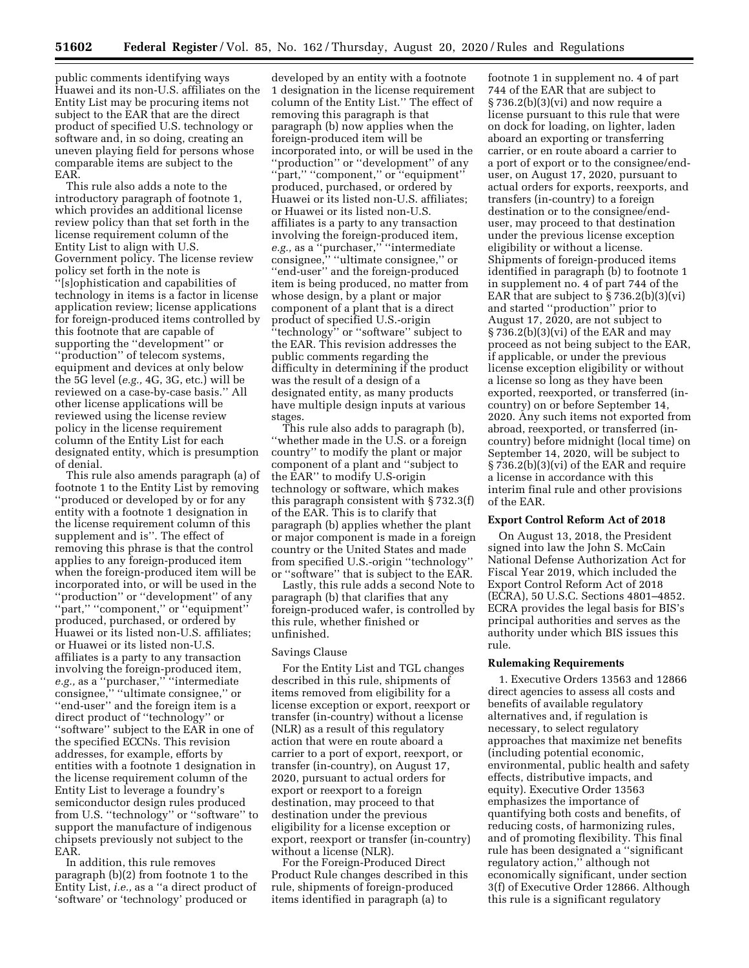public comments identifying ways Huawei and its non-U.S. affiliates on the Entity List may be procuring items not subject to the EAR that are the direct product of specified U.S. technology or software and, in so doing, creating an uneven playing field for persons whose comparable items are subject to the EAR.

This rule also adds a note to the introductory paragraph of footnote 1, which provides an additional license review policy than that set forth in the license requirement column of the Entity List to align with U.S. Government policy. The license review policy set forth in the note is<br>"[slopbiotic] '[s]ophistication and capabilities of technology in items is a factor in license application review; license applications for foreign-produced items controlled by this footnote that are capable of supporting the ''development'' or ''production'' of telecom systems, equipment and devices at only below the 5G level (*e.g.,* 4G, 3G, etc.) will be reviewed on a case-by-case basis.'' All other license applications will be reviewed using the license review policy in the license requirement column of the Entity List for each designated entity, which is presumption of denial.

This rule also amends paragraph (a) of footnote 1 to the Entity List by removing ''produced or developed by or for any entity with a footnote 1 designation in the license requirement column of this supplement and is''. The effect of removing this phrase is that the control applies to any foreign-produced item when the foreign-produced item will be incorporated into, or will be used in the ''production'' or ''development'' of any ''part,'' ''component,'' or ''equipment'' produced, purchased, or ordered by Huawei or its listed non-U.S. affiliates; or Huawei or its listed non-U.S. affiliates is a party to any transaction involving the foreign-produced item, e.g., as a "purchaser," "intermediate consignee," "ultimate consignee," or ''end-user'' and the foreign item is a direct product of ''technology'' or ''software'' subject to the EAR in one of the specified ECCNs. This revision addresses, for example, efforts by entities with a footnote 1 designation in the license requirement column of the Entity List to leverage a foundry's semiconductor design rules produced from U.S. ''technology'' or ''software'' to support the manufacture of indigenous chipsets previously not subject to the EAR.

In addition, this rule removes paragraph (b)(2) from footnote 1 to the Entity List, *i.e.,* as a ''a direct product of 'software' or 'technology' produced or

developed by an entity with a footnote 1 designation in the license requirement column of the Entity List.'' The effect of removing this paragraph is that paragraph (b) now applies when the foreign-produced item will be incorporated into, or will be used in the ''production'' or ''development'' of any "part," "component," or "equipment" produced, purchased, or ordered by Huawei or its listed non-U.S. affiliates; or Huawei or its listed non-U.S. affiliates is a party to any transaction involving the foreign-produced item, *e.g.,* as a ''purchaser,'' ''intermediate consignee,'' ''ultimate consignee,'' or ''end-user'' and the foreign-produced item is being produced, no matter from whose design, by a plant or major component of a plant that is a direct product of specified U.S.-origin ''technology'' or ''software'' subject to the EAR. This revision addresses the public comments regarding the difficulty in determining if the product was the result of a design of a designated entity, as many products have multiple design inputs at various stages.

This rule also adds to paragraph (b), ''whether made in the U.S. or a foreign country'' to modify the plant or major component of a plant and ''subject to the EAR'' to modify U.S-origin technology or software, which makes this paragraph consistent with § 732.3(f) of the EAR. This is to clarify that paragraph (b) applies whether the plant or major component is made in a foreign country or the United States and made from specified U.S.-origin ''technology'' or ''software'' that is subject to the EAR.

Lastly, this rule adds a second Note to paragraph (b) that clarifies that any foreign-produced wafer, is controlled by this rule, whether finished or unfinished.

#### Savings Clause

For the Entity List and TGL changes described in this rule, shipments of items removed from eligibility for a license exception or export, reexport or transfer (in-country) without a license (NLR) as a result of this regulatory action that were en route aboard a carrier to a port of export, reexport, or transfer (in-country), on August 17, 2020, pursuant to actual orders for export or reexport to a foreign destination, may proceed to that destination under the previous eligibility for a license exception or export, reexport or transfer (in-country) without a license (NLR).

For the Foreign-Produced Direct Product Rule changes described in this rule, shipments of foreign-produced items identified in paragraph (a) to

footnote 1 in supplement no. 4 of part 744 of the EAR that are subject to  $\S 736.2(b)(3)(vi)$  and now require a license pursuant to this rule that were on dock for loading, on lighter, laden aboard an exporting or transferring carrier, or en route aboard a carrier to a port of export or to the consignee/enduser, on August 17, 2020, pursuant to actual orders for exports, reexports, and transfers (in-country) to a foreign destination or to the consignee/enduser, may proceed to that destination under the previous license exception eligibility or without a license. Shipments of foreign-produced items identified in paragraph (b) to footnote 1 in supplement no. 4 of part 744 of the EAR that are subject to  $\S 736.2(b)(3)(vi)$ and started ''production'' prior to August 17, 2020, are not subject to § 736.2(b)(3)(vi) of the EAR and may proceed as not being subject to the EAR, if applicable, or under the previous license exception eligibility or without a license so long as they have been exported, reexported, or transferred (incountry) on or before September 14, 2020. Any such items not exported from abroad, reexported, or transferred (incountry) before midnight (local time) on September 14, 2020, will be subject to § 736.2(b)(3)(vi) of the EAR and require a license in accordance with this interim final rule and other provisions of the EAR.

### **Export Control Reform Act of 2018**

On August 13, 2018, the President signed into law the John S. McCain National Defense Authorization Act for Fiscal Year 2019, which included the Export Control Reform Act of 2018 (ECRA), 50 U.S.C. Sections 4801–4852. ECRA provides the legal basis for BIS's principal authorities and serves as the authority under which BIS issues this rule.

### **Rulemaking Requirements**

1. Executive Orders 13563 and 12866 direct agencies to assess all costs and benefits of available regulatory alternatives and, if regulation is necessary, to select regulatory approaches that maximize net benefits (including potential economic, environmental, public health and safety effects, distributive impacts, and equity). Executive Order 13563 emphasizes the importance of quantifying both costs and benefits, of reducing costs, of harmonizing rules, and of promoting flexibility. This final rule has been designated a ''significant regulatory action,'' although not economically significant, under section 3(f) of Executive Order 12866. Although this rule is a significant regulatory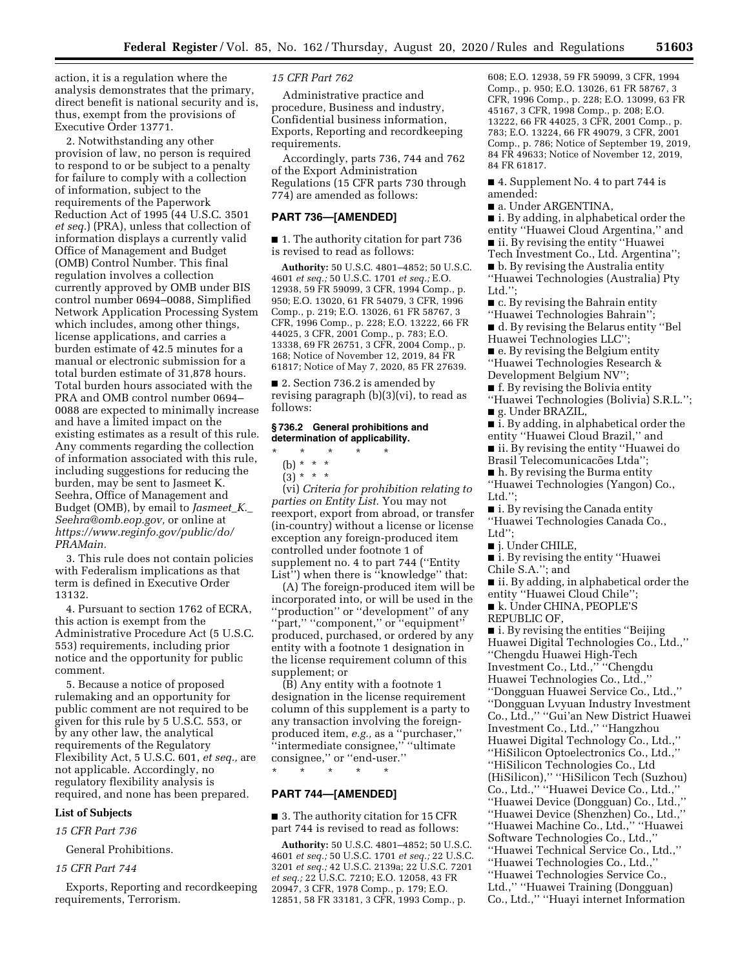action, it is a regulation where the analysis demonstrates that the primary, direct benefit is national security and is, thus, exempt from the provisions of Executive Order 13771.

2. Notwithstanding any other provision of law, no person is required to respond to or be subject to a penalty for failure to comply with a collection of information, subject to the requirements of the Paperwork Reduction Act of 1995 (44 U.S.C. 3501 *et seq.*) (PRA), unless that collection of information displays a currently valid Office of Management and Budget (OMB) Control Number. This final regulation involves a collection currently approved by OMB under BIS control number 0694–0088, Simplified Network Application Processing System which includes, among other things, license applications, and carries a burden estimate of 42.5 minutes for a manual or electronic submission for a total burden estimate of 31,878 hours. Total burden hours associated with the PRA and OMB control number 0694– 0088 are expected to minimally increase and have a limited impact on the existing estimates as a result of this rule. Any comments regarding the collection of information associated with this rule, including suggestions for reducing the burden, may be sent to Jasmeet K. Seehra, Office of Management and Budget (OMB), by email to *[Jasmeet](mailto:Jasmeet_K._Seehra@omb.eop.gov)*\_*K.*\_ *[Seehra@omb.eop.gov,](mailto:Jasmeet_K._Seehra@omb.eop.gov)* or online at *[https://www.reginfo.gov/public/do/](https://www.reginfo.gov/public/do/PRAMain) [PRAMain.](https://www.reginfo.gov/public/do/PRAMain)* 

3. This rule does not contain policies with Federalism implications as that term is defined in Executive Order 13132.

4. Pursuant to section 1762 of ECRA, this action is exempt from the Administrative Procedure Act (5 U.S.C. 553) requirements, including prior notice and the opportunity for public comment.

5. Because a notice of proposed rulemaking and an opportunity for public comment are not required to be given for this rule by 5 U.S.C. 553, or by any other law, the analytical requirements of the Regulatory Flexibility Act, 5 U.S.C. 601, *et seq.,* are not applicable. Accordingly, no regulatory flexibility analysis is required, and none has been prepared.

## **List of Subjects**

*15 CFR Part 736* 

General Prohibitions.

### *15 CFR Part 744*

Exports, Reporting and recordkeeping requirements, Terrorism.

### *15 CFR Part 762*

Administrative practice and procedure, Business and industry, Confidential business information, Exports, Reporting and recordkeeping requirements.

Accordingly, parts 736, 744 and 762 of the Export Administration Regulations (15 CFR parts 730 through 774) are amended as follows:

### **PART 736—[AMENDED]**

■ 1. The authority citation for part 736 is revised to read as follows:

**Authority:** 50 U.S.C. 4801–4852; 50 U.S.C. 4601 *et seq.;* 50 U.S.C. 1701 *et seq.;* E.O. 12938, 59 FR 59099, 3 CFR, 1994 Comp., p. 950; E.O. 13020, 61 FR 54079, 3 CFR, 1996 Comp., p. 219; E.O. 13026, 61 FR 58767, 3 CFR, 1996 Comp., p. 228; E.O. 13222, 66 FR 44025, 3 CFR, 2001 Comp., p. 783; E.O. 13338, 69 FR 26751, 3 CFR, 2004 Comp., p. 168; Notice of November 12, 2019, 84 FR 61817; Notice of May 7, 2020, 85 FR 27639.

■ 2. Section 736.2 is amended by revising paragraph (b)(3)(vi), to read as follows:

#### **§ 736.2 General prohibitions and determination of applicability.**

\* \* \* \* \*

- (b) \* \* \*
- $(3) * * * *$

(vi) *Criteria for prohibition relating to parties on Entity List.* You may not reexport, export from abroad, or transfer (in-country) without a license or license exception any foreign-produced item controlled under footnote 1 of supplement no. 4 to part 744 (''Entity List'') when there is ''knowledge'' that:

(A) The foreign-produced item will be incorporated into, or will be used in the ''production'' or ''development'' of any "part," "component," or "equipment" produced, purchased, or ordered by any entity with a footnote 1 designation in the license requirement column of this supplement; or

(B) Any entity with a footnote 1 designation in the license requirement column of this supplement is a party to any transaction involving the foreignproduced item, *e.g.,* as a ''purchaser,'' ''intermediate consignee,'' ''ultimate consignee,'' or ''end-user.''

\* \* \* \* \*

## **PART 744—[AMENDED]**

■ 3. The authority citation for 15 CFR part 744 is revised to read as follows:

**Authority:** 50 U.S.C. 4801–4852; 50 U.S.C. 4601 *et seq.;* 50 U.S.C. 1701 *et seq.;* 22 U.S.C. 3201 *et seq.;* 42 U.S.C. 2139a; 22 U.S.C. 7201 *et seq.;* 22 U.S.C. 7210; E.O. 12058, 43 FR 20947, 3 CFR, 1978 Comp., p. 179; E.O. 12851, 58 FR 33181, 3 CFR, 1993 Comp., p.

608; E.O. 12938, 59 FR 59099, 3 CFR, 1994 Comp., p. 950; E.O. 13026, 61 FR 58767, 3 CFR, 1996 Comp., p. 228; E.O. 13099, 63 FR 45167, 3 CFR, 1998 Comp., p. 208; E.O. 13222, 66 FR 44025, 3 CFR, 2001 Comp., p. 783; E.O. 13224, 66 FR 49079, 3 CFR, 2001 Comp., p. 786; Notice of September 19, 2019, 84 FR 49633; Notice of November 12, 2019, 84 FR 61817.

■ 4. Supplement No. 4 to part 744 is amended:

■ a. Under ARGENTINA,

■ i. By adding, in alphabetical order the entity ''Huawei Cloud Argentina,'' and ■ ii. By revising the entity "Huawei Tech Investment Co., Ltd. Argentina'';

■ b. By revising the Australia entity ''Huawei Technologies (Australia) Pty Ltd.'';

■ c. By revising the Bahrain entity

''Huawei Technologies Bahrain'';

■ d. By revising the Belarus entity "Bel Huawei Technologies LLC'';

■ e. By revising the Belgium entity ''Huawei Technologies Research & Development Belgium NV'';

■ f. By revising the Bolivia entity

''Huawei Technologies (Bolivia) S.R.L.'';

■ g. Under BRAZIL,

■ i. By adding, in alphabetical order the entity ''Huawei Cloud Brazil,'' and

■ ii. By revising the entity "Huawei do

Brasil Telecomunicações Ltda";

■ h. By revising the Burma entity

''Huawei Technologies (Yangon) Co., Ltd.";

■ i. By revising the Canada entity ''Huawei Technologies Canada Co., Ltd'';

■ j. Under CHILE,

■ i. By revising the entity "Huawei Chile S.A.''; and

■ ii. By adding, in alphabetical order the entity ''Huawei Cloud Chile'';

■ k. Under CHINA, PEOPLE'S

REPUBLIC OF,

■ i. By revising the entities "Beijing Huawei Digital Technologies Co., Ltd.,'' ''Chengdu Huawei High-Tech Investment Co., Ltd.,'' ''Chengdu Huawei Technologies Co., Ltd.,'' ''Dongguan Huawei Service Co., Ltd.,'' ''Dongguan Lvyuan Industry Investment Co., Ltd.,'' ''Gui'an New District Huawei Investment Co., Ltd.,'' ''Hangzhou Huawei Digital Technology Co., Ltd.,'' ''HiSilicon Optoelectronics Co., Ltd.,'' ''HiSilicon Technologies Co., Ltd (HiSilicon),'' ''HiSilicon Tech (Suzhou) Co., Ltd.,'' ''Huawei Device Co., Ltd.,'' ''Huawei Device (Dongguan) Co., Ltd.,'' ''Huawei Device (Shenzhen) Co., Ltd.,'' ''Huawei Machine Co., Ltd.,'' ''Huawei Software Technologies Co., Ltd.,'' ''Huawei Technical Service Co., Ltd.,'' ''Huawei Technologies Co., Ltd.,'' ''Huawei Technologies Service Co., Ltd.,'' ''Huawei Training (Dongguan) Co., Ltd.,'' ''Huayi internet Information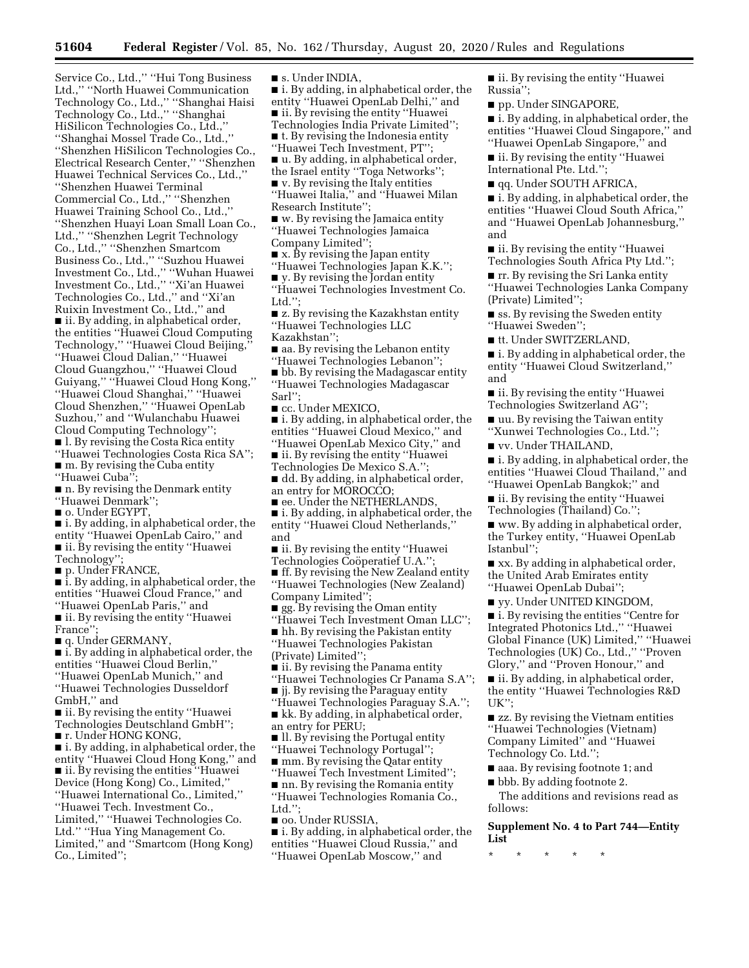Service Co., Ltd.,'' ''Hui Tong Business Ltd.,'' ''North Huawei Communication Technology Co., Ltd.,'' ''Shanghai Haisi Technology Co., Ltd.,'' ''Shanghai HiSilicon Technologies Co., Ltd.,'' ''Shanghai Mossel Trade Co., Ltd.,'' ''Shenzhen HiSilicon Technologies Co., Electrical Research Center,'' ''Shenzhen Huawei Technical Services Co., Ltd.,'' ''Shenzhen Huawei Terminal Commercial Co., Ltd.,'' ''Shenzhen Huawei Training School Co., Ltd.,'' ''Shenzhen Huayi Loan Small Loan Co., Ltd.,'' ''Shenzhen Legrit Technology Co., Ltd.,'' ''Shenzhen Smartcom Business Co., Ltd.,'' ''Suzhou Huawei Investment Co., Ltd.,'' ''Wuhan Huawei Investment Co., Ltd.,'' ''Xi'an Huawei Technologies Co., Ltd.,'' and ''Xi'an Ruixin Investment Co., Ltd.,'' and ■ ii. By adding, in alphabetical order, the entities ''Huawei Cloud Computing Technology,'' ''Huawei Cloud Beijing,'' ''Huawei Cloud Dalian,'' ''Huawei Cloud Guangzhou,'' ''Huawei Cloud Guiyang,'' ''Huawei Cloud Hong Kong,'' ''Huawei Cloud Shanghai,'' ''Huawei Cloud Shenzhen,'' ''Huawei OpenLab Suzhou,'' and ''Wulanchabu Huawei Cloud Computing Technology''; ■ l. By revising the Costa Rica entity ''Huawei Technologies Costa Rica SA'';

■ m. By revising the Cuba entity ''Huawei Cuba'';

■ n. By revising the Denmark entity ''Huawei Denmark'';

■ o. Under EGYPT,

■ i. By adding, in alphabetical order, the entity ''Huawei OpenLab Cairo,'' and ■ ii. By revising the entity ''Huawei Technology'';

■ p. Under FRANCE,

■ i. By adding, in alphabetical order, the entities ''Huawei Cloud France,'' and ''Huawei OpenLab Paris,'' and

■ ii. By revising the entity ''Huawei France'';

■ q. Under GERMANY,

■ i. By adding in alphabetical order, the entities ''Huawei Cloud Berlin,'' ''Huawei OpenLab Munich,'' and ''Huawei Technologies Dusseldorf GmbH,'' and

■ ii. By revising the entity "Huawei Technologies Deutschland GmbH'';

■ r. Under HONG KONG,

■ i. By adding, in alphabetical order, the entity ''Huawei Cloud Hong Kong,'' and ■ ii. By revising the entities "Huawei Device (Hong Kong) Co., Limited,'' ''Huawei International Co., Limited,'' ''Huawei Tech. Investment Co., Limited,'' ''Huawei Technologies Co. Ltd.'' ''Hua Ying Management Co. Limited,'' and ''Smartcom (Hong Kong) Co., Limited'';

■ s. Under INDIA.

■ i. By adding, in alphabetical order, the

entity ''Huawei OpenLab Delhi,'' and ■ ii. By revising the entity "Huawei

Technologies India Private Limited'';

■ t. By revising the Indonesia entity

''Huawei Tech Investment, PT'';

■ u. By adding, in alphabetical order,

the Israel entity ''Toga Networks'';

 $\blacksquare$  v. By revising the Italy entities

''Huawei Italia,'' and ''Huawei Milan Research Institute'';

■ w. By revising the Jamaica entity ''Huawei Technologies Jamaica

Company Limited'';

■ x. By revising the Japan entity

''Huawei Technologies Japan K.K.''; ■ y. By revising the Jordan entity

''Huawei Technologies Investment Co. Ltd.":

■ z. By revising the Kazakhstan entity ''Huawei Technologies LLC

Kazakhstan'';

■ aa. By revising the Lebanon entity

''Huawei Technologies Lebanon''; ■ bb. By revising the Madagascar entity

''Huawei Technologies Madagascar Sarl'';

■ cc. Under MEXICO,

■ i. By adding, in alphabetical order, the entities ''Huawei Cloud Mexico,'' and ''Huawei OpenLab Mexico City,'' and

■ ii. By revising the entity "Huawei

Technologies De Mexico S.A.'';

■ dd. By adding, in alphabetical order, an entry for MOROCCO;

■ ee. Under the NETHERLANDS,

■ i. By adding, in alphabetical order, the entity ''Huawei Cloud Netherlands,'' and

■ ii. By revising the entity "Huawei

Technologies Coöperatief U.A.'

■ ff. By revising the New Zealand entity ''Huawei Technologies (New Zealand) Company Limited'';

 $\Box$  gg. By revising the Oman entity

''Huawei Tech Investment Oman LLC''; ■ hh. By revising the Pakistan entity

''Huawei Technologies Pakistan (Private) Limited'';

 $\blacksquare$  ii. By revising the Panama entity

''Huawei Technologies Cr Panama S.A'';

■ jj. By revising the Paraguay entity ''Huawei Technologies Paraguay S.A.'';

■ kk. By adding, in alphabetical order, an entry for PERU;

■ ll. By revising the Portugal entity ''Huawei Technology Portugal'';

■ mm. By revising the Qatar entity

''Huawei Tech Investment Limited'';

■ nn. By revising the Romania entity ''Huawei Technologies Romania Co., Ltd.'';

■ oo. Under RUSSIA,

■ i. By adding, in alphabetical order, the entities ''Huawei Cloud Russia,'' and ''Huawei OpenLab Moscow,'' and

■ ii. By revising the entity "Huawei Russia'';

pp. Under SINGAPORE,

■ i. By adding, in alphabetical order, the entities ''Huawei Cloud Singapore,'' and ''Huawei OpenLab Singapore,'' and

■ ii. By revising the entity "Huawei International Pte. Ltd.'';

■ qq. Under SOUTH AFRICA,

■ i. By adding, in alphabetical order, the entities ''Huawei Cloud South Africa,'' and ''Huawei OpenLab Johannesburg,'' and

■ ii. By revising the entity "Huawei Technologies South Africa Pty Ltd.'';

■ rr. By revising the Sri Lanka entity ''Huawei Technologies Lanka Company (Private) Limited'';

■ ss. By revising the Sweden entity ''Huawei Sweden'';

■ tt. Under SWITZERLAND,

■ i. By adding in alphabetical order, the entity ''Huawei Cloud Switzerland,'' and

■ ii. By revising the entity "Huawei Technologies Switzerland AG'';

■ uu. By revising the Taiwan entity ''Xunwei Technologies Co., Ltd.'';

■ vv. Under THAILAND,

■ i. By adding, in alphabetical order, the entities ''Huawei Cloud Thailand,'' and ''Huawei OpenLab Bangkok;'' and

■ ii. By revising the entity ''Huawei Technologies (Thailand) Co.'';

■ ww. By adding in alphabetical order, the Turkey entity, ''Huawei OpenLab Istanbul'';

■ xx. By adding in alphabetical order, the United Arab Emirates entity ''Huawei OpenLab Dubai'';

■ yy. Under UNITED KINGDOM,

■ i. By revising the entities "Centre for Integrated Photonics Ltd.,'' ''Huawei Global Finance (UK) Limited,'' ''Huawei Technologies (UK) Co., Ltd.,'' ''Proven Glory,'' and ''Proven Honour,'' and

■ ii. By adding, in alphabetical order, the entity ''Huawei Technologies R&D UK'';

■ zz. By revising the Vietnam entities ''Huawei Technologies (Vietnam) Company Limited'' and ''Huawei Technology Co. Ltd.'';

■ aaa. By revising footnote 1; and

■ bbb. By adding footnote 2.

The additions and revisions read as follows:

**Supplement No. 4 to Part 744—Entity List** 

\* \* \* \* \*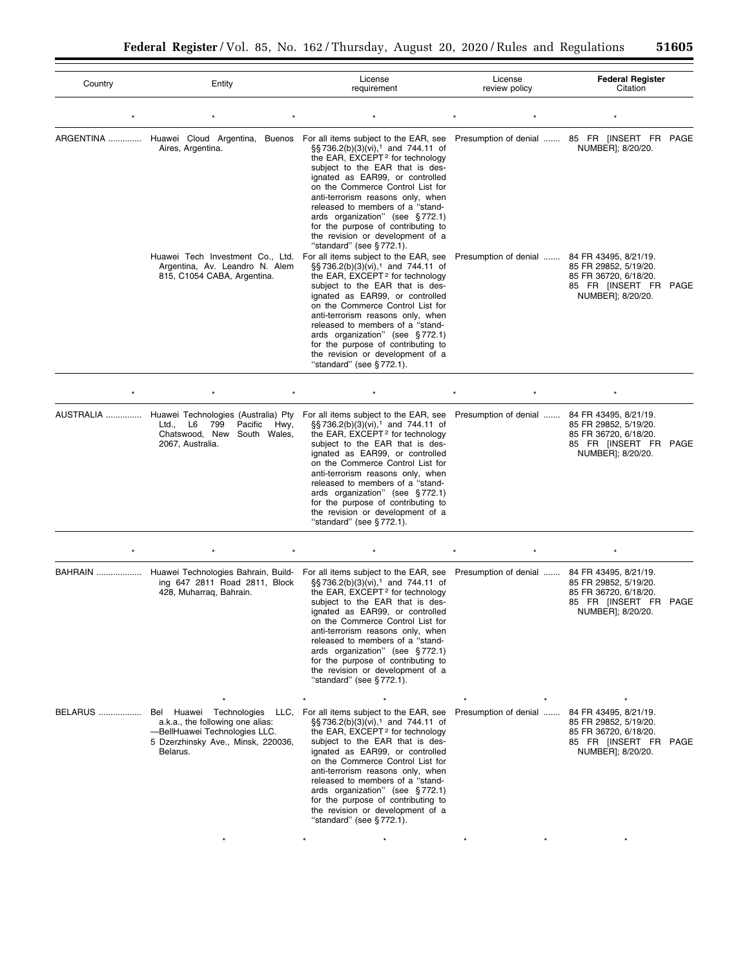| Country   | Entity                                                                                                                                         | License<br>requirement                                                                                                                                                                                                                                                                                                                                                                                                                                                                                    | License<br>review policy | <b>Federal Register</b><br>Citation                                                                                   |
|-----------|------------------------------------------------------------------------------------------------------------------------------------------------|-----------------------------------------------------------------------------------------------------------------------------------------------------------------------------------------------------------------------------------------------------------------------------------------------------------------------------------------------------------------------------------------------------------------------------------------------------------------------------------------------------------|--------------------------|-----------------------------------------------------------------------------------------------------------------------|
|           |                                                                                                                                                |                                                                                                                                                                                                                                                                                                                                                                                                                                                                                                           |                          |                                                                                                                       |
|           | ARGENTINA  Huawei Cloud Argentina, Buenos For all items subject to the EAR, see<br>Aires, Argentina.<br>Huawei Tech Investment Co., Ltd.       | §§736.2(b)(3)(vi), <sup>1</sup> and 744.11 of<br>the EAR, EXCEPT <sup>2</sup> for technology<br>subject to the EAR that is des-<br>ignated as EAR99, or controlled<br>on the Commerce Control List for<br>anti-terrorism reasons only, when<br>released to members of a "stand-<br>ards organization" (see §772.1)<br>for the purpose of contributing to<br>the revision or development of a<br>"standard" (see §772.1).<br>For all items subject to the EAR, see                                         | Presumption of denial    | Presumption of denial  85 FR [INSERT FR PAGE<br>NUMBER]; 8/20/20.<br>84 FR 43495, 8/21/19.                            |
|           | Argentina, Av. Leandro N. Alem<br>815, C1054 CABA, Argentina.                                                                                  | §§736.2(b)(3)(vi), <sup>1</sup> and 744.11 of<br>the EAR, EXCEPT <sup>2</sup> for technology<br>subject to the EAR that is des-<br>ignated as EAR99, or controlled<br>on the Commerce Control List for<br>anti-terrorism reasons only, when<br>released to members of a "stand-<br>ards organization" (see §772.1)<br>for the purpose of contributing to<br>the revision or development of a<br>"standard" (see §772.1).                                                                                  |                          | 85 FR 29852, 5/19/20.<br>85 FR 36720, 6/18/20.<br>85 FR [INSERT FR PAGE<br>NUMBER]; 8/20/20.                          |
|           |                                                                                                                                                |                                                                                                                                                                                                                                                                                                                                                                                                                                                                                                           |                          |                                                                                                                       |
| AUSTRALIA | Huawei Technologies (Australia) Pty<br>Pacific<br>L6<br>799<br>Ltd.,<br>Hwy,<br>Chatswood, New South Wales,<br>2067, Australia.                | For all items subject to the EAR, see<br>§§736.2(b)(3)(vi), <sup>1</sup> and 744.11 of<br>the EAR, EXCEPT <sup>2</sup> for technology<br>subject to the EAR that is des-<br>ignated as EAR99, or controlled<br>on the Commerce Control List for<br>anti-terrorism reasons only, when<br>released to members of a "stand-<br>ards organization" (see §772.1)<br>for the purpose of contributing to<br>the revision or development of a<br>"standard" (see $\S 772.1$ ).                                    | Presumption of denial    | 84 FR 43495, 8/21/19.<br>85 FR 29852, 5/19/20.<br>85 FR 36720, 6/18/20.<br>85 FR [INSERT FR PAGE<br>NUMBER]; 8/20/20. |
| $\star$   |                                                                                                                                                | $\star$                                                                                                                                                                                                                                                                                                                                                                                                                                                                                                   |                          | ×                                                                                                                     |
| BAHRAIN   | ing 647 2811 Road 2811, Block<br>428, Muharraq, Bahrain.                                                                                       | Huawei Technologies Bahrain, Build- For all items subject to the EAR, see<br>$\S$ §736.2(b)(3)(vi), <sup>1</sup> and 744.11 of<br>the EAR, EXCEPT <sup>2</sup> for technology<br>subject to the EAR that is des-<br>ignated as EAR99, or controlled<br>on the Commerce Control List for<br>anti-terrorism reasons only, when<br>released to members of a "stand-<br>ards organization" (see §772.1)<br>for the purpose of contributing to<br>the revision or development of a<br>"standard" (see §772.1). | Presumption of denial    | 84 FR 43495, 8/21/19.<br>85 FR 29852, 5/19/20.<br>85 FR 36720, 6/18/20.<br>85 FR [INSERT FR PAGE<br>NUMBER]; 8/20/20. |
| BELARUS   | Bel Huawei Technologies<br>a.k.a., the following one alias:<br>-BellHuawei Technologies LLC.<br>5 Dzerzhinsky Ave., Minsk, 220036,<br>Belarus. | LLC, For all items subject to the EAR, see<br>$\S$ §736.2(b)(3)(vi), <sup>1</sup> and 744.11 of<br>the EAR, EXCEPT <sup>2</sup> for technology<br>subject to the EAR that is des-<br>ignated as EAR99, or controlled<br>on the Commerce Control List for<br>anti-terrorism reasons only, when<br>released to members of a "stand-<br>ards organization" (see §772.1)<br>for the purpose of contributing to<br>the revision or development of a<br>"standard" (see §772.1).                                | Presumption of denial    | 84 FR 43495, 8/21/19.<br>85 FR 29852, 5/19/20.<br>85 FR 36720, 6/18/20.<br>85 FR [INSERT FR PAGE<br>NUMBER]; 8/20/20. |
|           |                                                                                                                                                |                                                                                                                                                                                                                                                                                                                                                                                                                                                                                                           |                          |                                                                                                                       |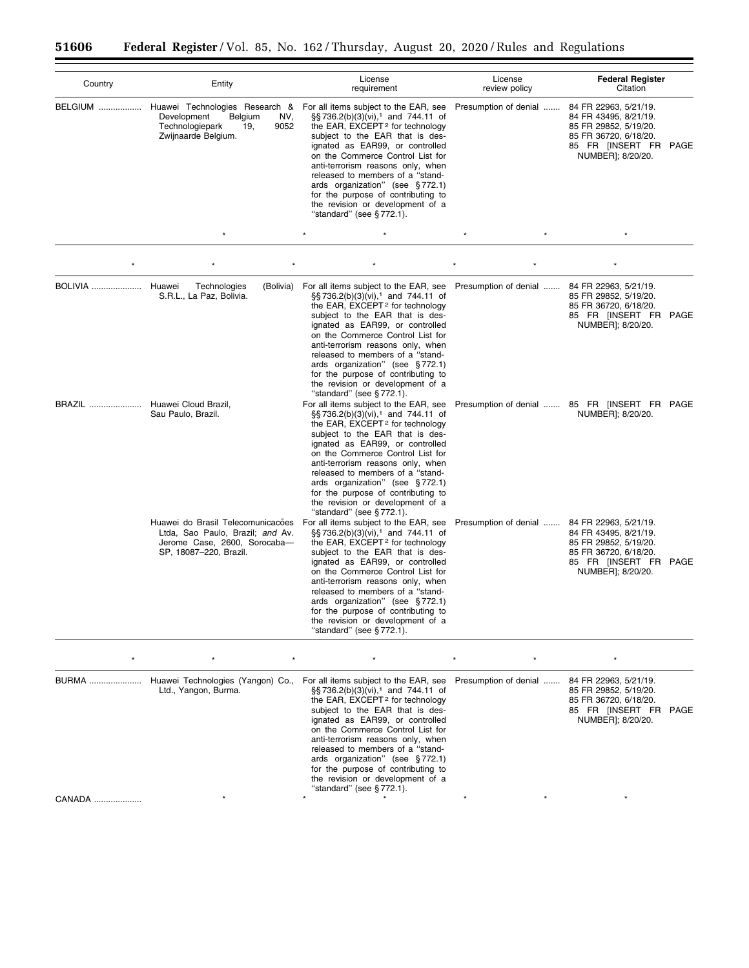| Country        | Entity                                                                                                                          | License<br>requirement                                                                                                                                                                                                                                                                                                                                                                                                                                                      | License<br>review policy | <b>Federal Register</b><br>Citation                                                                                                               |
|----------------|---------------------------------------------------------------------------------------------------------------------------------|-----------------------------------------------------------------------------------------------------------------------------------------------------------------------------------------------------------------------------------------------------------------------------------------------------------------------------------------------------------------------------------------------------------------------------------------------------------------------------|--------------------------|---------------------------------------------------------------------------------------------------------------------------------------------------|
| BELGIUM        | Huawei Technologies Research &<br>Development<br>Belgium<br>NV,<br>Technologiepark<br>9052<br>19.<br>Zwijnaarde Belgium.        | For all items subject to the EAR, see<br>§§736.2(b)(3)(vi), <sup>1</sup> and 744.11 of<br>the EAR, EXCEPT <sup>2</sup> for technology<br>subject to the EAR that is des-<br>ignated as EAR99, or controlled<br>on the Commerce Control List for<br>anti-terrorism reasons only, when<br>released to members of a "stand-<br>ards organization" (see §772.1)<br>for the purpose of contributing to<br>the revision or development of a<br>"standard" (see §772.1).           | Presumption of denial    | 84 FR 22963, 5/21/19.<br>84 FR 43495, 8/21/19.<br>85 FR 29852, 5/19/20.<br>85 FR 36720, 6/18/20.<br>85 FR [INSERT FR<br>PAGE<br>NUMBER]; 8/20/20. |
|                |                                                                                                                                 | $\star$<br>$\star$                                                                                                                                                                                                                                                                                                                                                                                                                                                          |                          | $\star$                                                                                                                                           |
|                |                                                                                                                                 |                                                                                                                                                                                                                                                                                                                                                                                                                                                                             |                          |                                                                                                                                                   |
| <b>BOLIVIA</b> | Technologies<br>Huawei<br>S.R.L., La Paz, Bolivia.                                                                              | (Bolivia) For all items subject to the EAR, see<br>§§736.2(b)(3)(vi), <sup>1</sup> and 744.11 of<br>the EAR, EXCEPT <sup>2</sup> for technology<br>subject to the EAR that is des-<br>ignated as EAR99, or controlled<br>on the Commerce Control List for<br>anti-terrorism reasons only, when<br>released to members of a "stand-<br>ards organization" (see §772.1)<br>for the purpose of contributing to<br>the revision or development of a<br>"standard" (see §772.1). | Presumption of denial    | 84 FR 22963, 5/21/19.<br>85 FR 29852, 5/19/20.<br>85 FR 36720, 6/18/20.<br>85 FR [INSERT FR PAGE<br>NUMBER]; 8/20/20.                             |
| BRAZIL         | Huawei Cloud Brazil,<br>Sau Paulo, Brazil.                                                                                      | For all items subject to the EAR, see<br>§§736.2(b)(3)(vi), <sup>1</sup> and 744.11 of<br>the EAR, EXCEPT <sup>2</sup> for technology<br>subject to the EAR that is des-<br>ignated as EAR99, or controlled<br>on the Commerce Control List for<br>anti-terrorism reasons only, when<br>released to members of a "stand-<br>ards organization" (see §772.1)<br>for the purpose of contributing to<br>the revision or development of a<br>"standard" (see §772.1).           |                          | Presumption of denial  85 FR [INSERT FR PAGE<br>NUMBER]; 8/20/20.                                                                                 |
|                | Huawei do Brasil Telecomunicações<br>Ltda, Sao Paulo, Brazil; and Av.<br>Jerome Case, 2600, Sorocaba-<br>SP, 18087-220, Brazil. | For all items subject to the EAR, see<br>§§736.2(b)(3)(vi), <sup>1</sup> and 744.11 of<br>the EAR, EXCEPT <sup>2</sup> for technology<br>subject to the EAR that is des-<br>ignated as EAR99, or controlled<br>on the Commerce Control List for<br>anti-terrorism reasons only, when<br>released to members of a "stand-<br>ards organization" (see §772.1)<br>for the purpose of contributing to<br>the revision or development of a<br>"standard" (see §772.1).           | Presumption of denial    | 84 FR 22963, 5/21/19.<br>84 FR 43495, 8/21/19.<br>85 FR 29852, 5/19/20.<br>85 FR 36720, 6/18/20.<br>85 FR [INSERT FR PAGE<br>NUMBER]; 8/20/20.    |
|                |                                                                                                                                 |                                                                                                                                                                                                                                                                                                                                                                                                                                                                             |                          |                                                                                                                                                   |
|                | BURMA  Huawei Technologies (Yangon) Co.,<br>Ltd., Yangon, Burma.                                                                | For all items subject to the EAR, see<br>§§736.2(b)(3)(vi), <sup>1</sup> and 744.11 of<br>the EAR, EXCEPT <sup>2</sup> for technology<br>subject to the EAR that is des-<br>ignated as EAR99, or controlled<br>on the Commerce Control List for<br>anti-terrorism reasons only, when                                                                                                                                                                                        | Presumption of denial    | 84 FR 22963, 5/21/19.<br>85 FR 29852, 5/19/20.<br>85 FR 36720, 6/18/20.<br>85 FR [INSERT FR<br>PAGE<br>NUMBER]; 8/20/20.                          |

released to members of a ''standards organization'' (see § 772.1) for the purpose of contributing to the revision or development of a ''standard'' (see § 772.1).

CANADA .................... \* \* \* \* \* \*

Ξ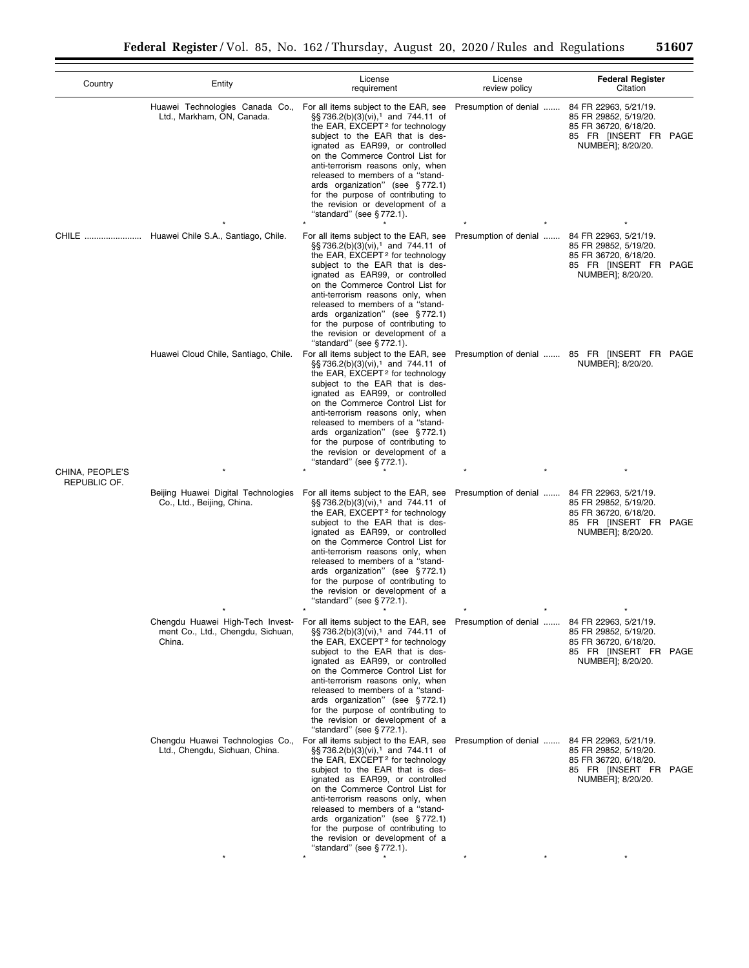| Country                         | Entity                                                                          | License<br>requirement                                                                                                                                                                                                                                                                                                                                                                                                                                                 | License<br>review policy                     | <b>Federal Register</b><br>Citation                                                                                   |
|---------------------------------|---------------------------------------------------------------------------------|------------------------------------------------------------------------------------------------------------------------------------------------------------------------------------------------------------------------------------------------------------------------------------------------------------------------------------------------------------------------------------------------------------------------------------------------------------------------|----------------------------------------------|-----------------------------------------------------------------------------------------------------------------------|
|                                 | Huawei Technologies Canada Co.,<br>Ltd., Markham, ON, Canada.                   | For all items subject to the EAR, see<br>§§736.2(b)(3)(vi), <sup>1</sup> and 744.11 of<br>the EAR, EXCEPT <sup>2</sup> for technology<br>subject to the EAR that is des-<br>ignated as EAR99, or controlled<br>on the Commerce Control List for<br>anti-terrorism reasons only, when<br>released to members of a "stand-<br>ards organization" (see §772.1)<br>for the purpose of contributing to<br>the revision or development of a<br>"standard" (see §772.1).      | Presumption of denial                        | 84 FR 22963, 5/21/19.<br>85 FR 29852, 5/19/20.<br>85 FR 36720, 6/18/20.<br>85 FR [INSERT FR PAGE<br>NUMBER]; 8/20/20. |
|                                 | CHILE  Huawei Chile S.A., Santiago, Chile.                                      | For all items subject to the EAR, see<br>§§736.2(b)(3)(vi), <sup>1</sup> and 744.11 of<br>the EAR, EXCEPT <sup>2</sup> for technology<br>subject to the EAR that is des-<br>ignated as EAR99, or controlled<br>on the Commerce Control List for<br>anti-terrorism reasons only, when<br>released to members of a "stand-<br>ards organization" (see §772.1)<br>for the purpose of contributing to<br>the revision or development of a<br>"standard" (see $§$ 772.1).   | Presumption of denial                        | 84 FR 22963, 5/21/19.<br>85 FR 29852, 5/19/20.<br>85 FR 36720, 6/18/20.<br>85 FR [INSERT FR PAGE<br>NUMBER]; 8/20/20. |
|                                 | Huawei Cloud Chile, Santiago, Chile.                                            | For all items subject to the EAR, see<br>$\S$ S 736.2(b)(3)(vi), <sup>1</sup> and 744.11 of<br>the EAR, EXCEPT <sup>2</sup> for technology<br>subject to the EAR that is des-<br>ignated as EAR99, or controlled<br>on the Commerce Control List for<br>anti-terrorism reasons only, when<br>released to members of a "stand-<br>ards organization" (see §772.1)<br>for the purpose of contributing to<br>the revision or development of a<br>"standard" (see §772.1). |                                              | Presumption of denial  85 FR [INSERT FR PAGE<br>NUMBER]; 8/20/20.                                                     |
| CHINA, PEOPLE'S<br>REPUBLIC OF. |                                                                                 |                                                                                                                                                                                                                                                                                                                                                                                                                                                                        |                                              |                                                                                                                       |
|                                 | Beijing Huawei Digital Technologies<br>Co., Ltd., Beijing, China.               | For all items subject to the EAR, see<br>§§736.2(b)(3)(vi), <sup>1</sup> and 744.11 of<br>the EAR, EXCEPT <sup>2</sup> for technology<br>subject to the EAR that is des-<br>ignated as EAR99, or controlled<br>on the Commerce Control List for<br>anti-terrorism reasons only, when<br>released to members of a "stand-<br>ards organization" (see §772.1)<br>for the purpose of contributing to<br>the revision or development of a<br>"standard" (see §772.1).      | Presumption of denial                        | 84 FR 22963, 5/21/19.<br>85 FR 29852, 5/19/20.<br>85 FR 36720, 6/18/20.<br>85 FR [INSERT FR PAGE<br>NUMBER]; 8/20/20. |
|                                 | Chengdu Huawei High-Tech Invest-<br>ment Co., Ltd., Chengdu, Sichuan,<br>China. | For all items subject to the EAR, see<br>§§736.2(b)(3)(vi), <sup>1</sup> and 744.11 of<br>the EAR, EXCEPT <sup>2</sup> for technology<br>subject to the EAR that is des-<br>ignated as EAR99, or controlled<br>on the Commerce Control List for<br>anti-terrorism reasons only, when<br>released to members of a "stand-<br>ards organization" (see §772.1)<br>for the purpose of contributing to<br>the revision or development of a<br>"standard" (see $\S 772.1$ ). | Presumption of denial  84 FR 22963, 5/21/19. | 85 FR 29852, 5/19/20.<br>85 FR 36720, 6/18/20.<br>85 FR [INSERT FR PAGE<br>NUMBER]; 8/20/20.                          |
|                                 | Chengdu Huawei Technologies Co.,<br>Ltd., Chengdu, Sichuan, China.              | For all items subject to the EAR, see<br>§§736.2(b)(3)(vi), <sup>1</sup> and 744.11 of<br>the EAR, EXCEPT <sup>2</sup> for technology<br>subject to the EAR that is des-<br>ignated as EAR99, or controlled<br>on the Commerce Control List for<br>anti-terrorism reasons only, when<br>released to members of a "stand-<br>ards organization" (see §772.1)<br>for the purpose of contributing to<br>the revision or development of a<br>"standard" (see §772.1).      | Presumption of denial  84 FR 22963, 5/21/19. | 85 FR 29852, 5/19/20.<br>85 FR 36720, 6/18/20.<br>85 FR [INSERT FR PAGE<br>NUMBER]; 8/20/20.                          |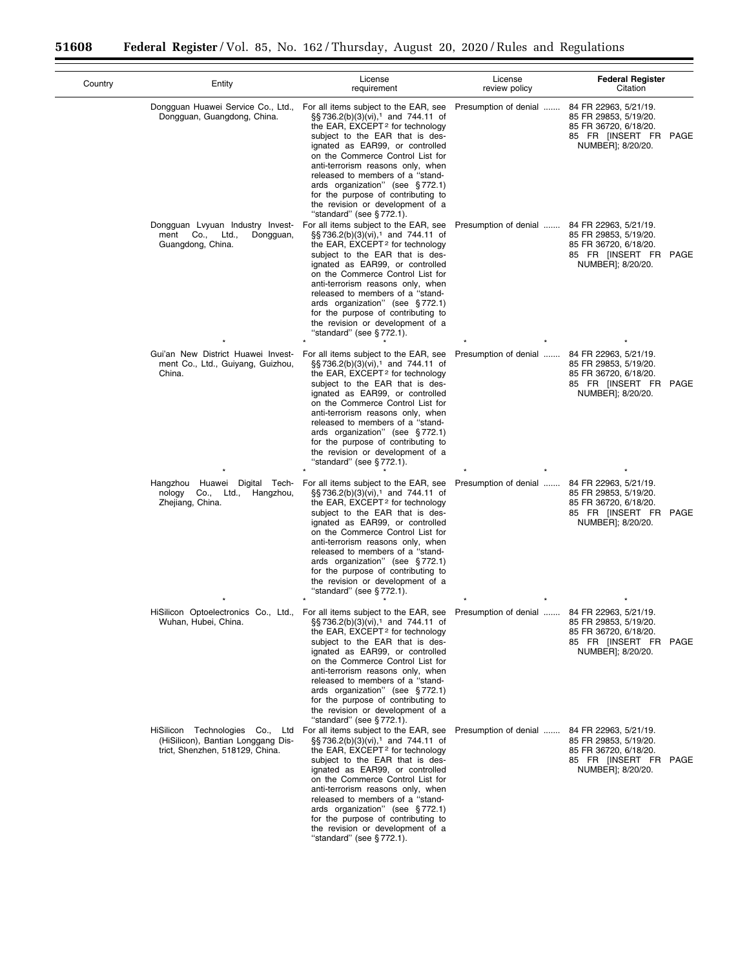| Country | Entity                                                                                                   | License<br>requirement                                                                                                                                                                                                                                                                                                                                                                                                                                                                                | License<br>review policy | <b>Federal Register</b><br>Citation                                                                                   |
|---------|----------------------------------------------------------------------------------------------------------|-------------------------------------------------------------------------------------------------------------------------------------------------------------------------------------------------------------------------------------------------------------------------------------------------------------------------------------------------------------------------------------------------------------------------------------------------------------------------------------------------------|--------------------------|-----------------------------------------------------------------------------------------------------------------------|
|         | Dongguan Huawei Service Co., Ltd.,<br>Dongguan, Guangdong, China.                                        | For all items subject to the EAR, see<br>$\S$ S 736.2(b)(3)(vi), <sup>1</sup> and 744.11 of<br>the EAR, EXCEPT <sup>2</sup> for technology<br>subject to the EAR that is des-<br>ignated as EAR99, or controlled<br>on the Commerce Control List for<br>anti-terrorism reasons only, when<br>released to members of a "stand-<br>ards organization" (see §772.1)<br>for the purpose of contributing to<br>the revision or development of a<br>"standard" (see $\S 772.1$ ).                           | Presumption of denial    | 84 FR 22963, 5/21/19.<br>85 FR 29853, 5/19/20.<br>85 FR 36720, 6/18/20.<br>85 FR [INSERT FR PAGE<br>NUMBER]; 8/20/20. |
|         | Dongguan Lvyuan Industry Invest-<br>ment Co.,<br>Ltd.,<br>Dongguan,<br>Guangdong, China.                 | For all items subject to the EAR, see<br>§§736.2(b)(3)(vi), <sup>1</sup> and 744.11 of<br>the EAR, EXCEPT <sup>2</sup> for technology<br>subject to the EAR that is des-<br>ignated as EAR99, or controlled<br>on the Commerce Control List for<br>anti-terrorism reasons only, when<br>released to members of a "stand-<br>ards organization" (see §772.1)<br>for the purpose of contributing to<br>the revision or development of a<br>"standard" (see §772.1).                                     | Presumption of denial    | 84 FR 22963, 5/21/19.<br>85 FR 29853, 5/19/20.<br>85 FR 36720, 6/18/20.<br>85 FR [INSERT FR PAGE<br>NUMBER]; 8/20/20. |
|         | Gui'an New District Huawei Invest-<br>ment Co., Ltd., Guiyang, Guizhou,<br>China.                        | For all items subject to the EAR, see<br>§§736.2(b)(3)(vi), <sup>1</sup> and 744.11 of<br>the EAR, EXCEPT <sup>2</sup> for technology<br>subject to the EAR that is des-<br>ignated as EAR99, or controlled<br>on the Commerce Control List for<br>anti-terrorism reasons only, when<br>released to members of a "stand-<br>ards organization" (see §772.1)<br>for the purpose of contributing to<br>the revision or development of a<br>"standard" (see $\S 772.1$ ).                                | Presumption of denial    | 84 FR 22963, 5/21/19.<br>85 FR 29853, 5/19/20.<br>85 FR 36720, 6/18/20.<br>85 FR [INSERT FR PAGE<br>NUMBER]; 8/20/20. |
|         | Hangzhou Huawei Digital Tech-<br>nology Co., Ltd.,<br>Hangzhou,<br>Zhejiang, China.                      | For all items subject to the EAR, see<br>§§736.2(b)(3)(vi), <sup>1</sup> and 744.11 of<br>the EAR, EXCEPT <sup>2</sup> for technology<br>subject to the EAR that is des-<br>ignated as EAR99, or controlled<br>on the Commerce Control List for<br>anti-terrorism reasons only, when<br>released to members of a "stand-<br>ards organization" (see §772.1)<br>for the purpose of contributing to<br>the revision or development of a<br>"standard" (see §772.1).                                     | Presumption of denial    | 84 FR 22963, 5/21/19.<br>85 FR 29853, 5/19/20.<br>85 FR 36720, 6/18/20.<br>85 FR [INSERT FR PAGE<br>NUMBER]; 8/20/20. |
|         | HiSilicon Optoelectronics Co., Ltd.,<br>Wuhan, Hubei, China.                                             | For all items subject to the EAR, see Presumption of denial<br>§§736.2(b)(3)(vi), <sup>1</sup> and 744.11 of<br>the EAR, EXCEPT <sup>2</sup> for technology<br>subject to the EAR that is des-<br>ignated as EAR99, or controlled<br>on the Commerce Control List for<br>anti-terrorism reasons only, when<br>released to members of a "stand-<br>ards organization" (see §772.1)<br>for the purpose of contributing to<br>the revision or development of a                                           |                          | 84 FR 22963, 5/21/19.<br>85 FR 29853, 5/19/20.<br>85 FR 36720, 6/18/20.<br>85 FR [INSERT FR PAGE<br>NUMBER]; 8/20/20. |
|         | HiSilicon Technologies Co., Ltd<br>(HiSilicon), Bantian Longgang Dis-<br>trict, Shenzhen, 518129, China. | "standard" (see $\S 772.1$ ).<br>For all items subject to the EAR, see<br>§§736.2(b)(3)(vi), <sup>1</sup> and 744.11 of<br>the EAR, EXCEPT <sup>2</sup> for technology<br>subject to the EAR that is des-<br>ignated as EAR99, or controlled<br>on the Commerce Control List for<br>anti-terrorism reasons only, when<br>released to members of a "stand-<br>ards organization" (see §772.1)<br>for the purpose of contributing to<br>the revision or development of a<br>"standard" (see $§$ 772.1). | Presumption of denial    | 84 FR 22963, 5/21/19.<br>85 FR 29853, 5/19/20.<br>85 FR 36720, 6/18/20.<br>85 FR [INSERT FR PAGE<br>NUMBER]; 8/20/20. |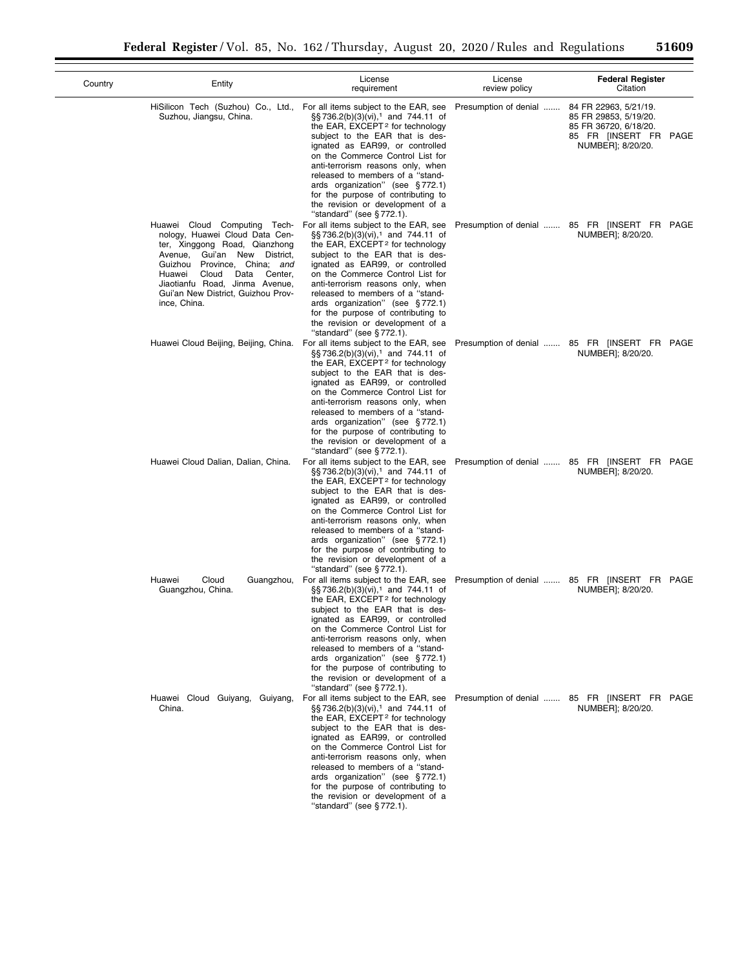| Country | Entity                                                                                                                                                                                                                                                                                           | License<br>requirement                                                                                                                                                                                                                                                                                                                                                                                                                                                 | License<br>review policy | <b>Federal Register</b><br>Citation                                                                                   |
|---------|--------------------------------------------------------------------------------------------------------------------------------------------------------------------------------------------------------------------------------------------------------------------------------------------------|------------------------------------------------------------------------------------------------------------------------------------------------------------------------------------------------------------------------------------------------------------------------------------------------------------------------------------------------------------------------------------------------------------------------------------------------------------------------|--------------------------|-----------------------------------------------------------------------------------------------------------------------|
|         | HiSilicon Tech (Suzhou) Co., Ltd.,<br>Suzhou, Jiangsu, China.                                                                                                                                                                                                                                    | For all items subject to the EAR, see<br>§§736.2(b)(3)(vi), <sup>1</sup> and 744.11 of<br>the EAR, EXCEPT <sup>2</sup> for technology<br>subject to the EAR that is des-<br>ignated as EAR99, or controlled<br>on the Commerce Control List for<br>anti-terrorism reasons only, when<br>released to members of a "stand-<br>ards organization" (see §772.1)<br>for the purpose of contributing to<br>the revision or development of a<br>"standard" (see §772.1).      | Presumption of denial    | 84 FR 22963, 5/21/19.<br>85 FR 29853, 5/19/20.<br>85 FR 36720, 6/18/20.<br>85 FR [INSERT FR PAGE<br>NUMBER]; 8/20/20. |
|         | Huawei Cloud Computing Tech-<br>nology, Huawei Cloud Data Cen-<br>ter, Xinggong Road, Qianzhong<br>Avenue, Gui'an New District,<br>Province, China; and<br>Guizhou<br>Cloud<br>Data<br>Center,<br>Huawei<br>Jiaotianfu Road, Jinma Avenue,<br>Gui'an New District, Guizhou Prov-<br>ince, China. | For all items subject to the EAR, see<br>§§736.2(b)(3)(vi), <sup>1</sup> and 744.11 of<br>the EAR, EXCEPT <sup>2</sup> for technology<br>subject to the EAR that is des-<br>ignated as EAR99, or controlled<br>on the Commerce Control List for<br>anti-terrorism reasons only, when<br>released to members of a "stand-<br>ards organization" (see §772.1)<br>for the purpose of contributing to<br>the revision or development of a<br>"standard" (see §772.1).      |                          | Presumption of denial  85 FR [INSERT FR PAGE<br>NUMBER]; 8/20/20.                                                     |
|         | Huawei Cloud Beijing, Beijing, China.                                                                                                                                                                                                                                                            | For all items subject to the EAR, see<br>§§736.2(b)(3)(vi), <sup>1</sup> and 744.11 of<br>the EAR, EXCEPT <sup>2</sup> for technology<br>subject to the EAR that is des-<br>ignated as EAR99, or controlled<br>on the Commerce Control List for<br>anti-terrorism reasons only, when<br>released to members of a "stand-<br>ards organization" (see §772.1)<br>for the purpose of contributing to<br>the revision or development of a<br>"standard" (see $\S 772.1$ ). |                          | Presumption of denial  85 FR [INSERT FR PAGE<br>NUMBER]; 8/20/20.                                                     |
|         | Huawei Cloud Dalian, Dalian, China.                                                                                                                                                                                                                                                              | For all items subject to the EAR, see<br>§§736.2(b)(3)(vi), <sup>1</sup> and 744.11 of<br>the EAR, EXCEPT <sup>2</sup> for technology<br>subject to the EAR that is des-<br>ignated as EAR99, or controlled<br>on the Commerce Control List for<br>anti-terrorism reasons only, when<br>released to members of a "stand-<br>ards organization" (see §772.1)<br>for the purpose of contributing to<br>the revision or development of a<br>"standard" (see §772.1).      |                          | Presumption of denial  85 FR [INSERT FR PAGE<br>NUMBER]; 8/20/20.                                                     |
|         | Cloud<br>Huawei<br>Guangzhou,<br>Guangzhou, China.                                                                                                                                                                                                                                               | For all items subject to the EAR, see<br>§§736.2(b)(3)(vi), <sup>1</sup> and 744.11 of<br>the EAR, $EXCEPT2$ for technology<br>subject to the EAR that is des-<br>ignated as EAR99, or controlled<br>on the Commerce Control List for<br>anti-terrorism reasons only, when<br>released to members of a "stand-<br>ards organization" (see §772.1)<br>for the purpose of contributing to<br>the revision or development of a<br>"standard" (see §772.1).                |                          | Presumption of denial  85 FR [INSERT FR PAGE<br>NUMBER]; 8/20/20.                                                     |
|         | Huawei Cloud Guiyang, Guiyang,<br>China.                                                                                                                                                                                                                                                         | For all items subject to the EAR, see<br>§§736.2(b)(3)(vi), <sup>1</sup> and 744.11 of<br>the EAR, EXCEPT <sup>2</sup> for technology<br>subject to the EAR that is des-<br>ignated as EAR99, or controlled<br>on the Commerce Control List for<br>anti-terrorism reasons only, when<br>released to members of a "stand-<br>ards organization" (see §772.1)<br>for the purpose of contributing to<br>the revision or development of a<br>"standard" (see §772.1).      |                          | Presumption of denial  85 FR [INSERT FR PAGE<br>NUMBER]; 8/20/20.                                                     |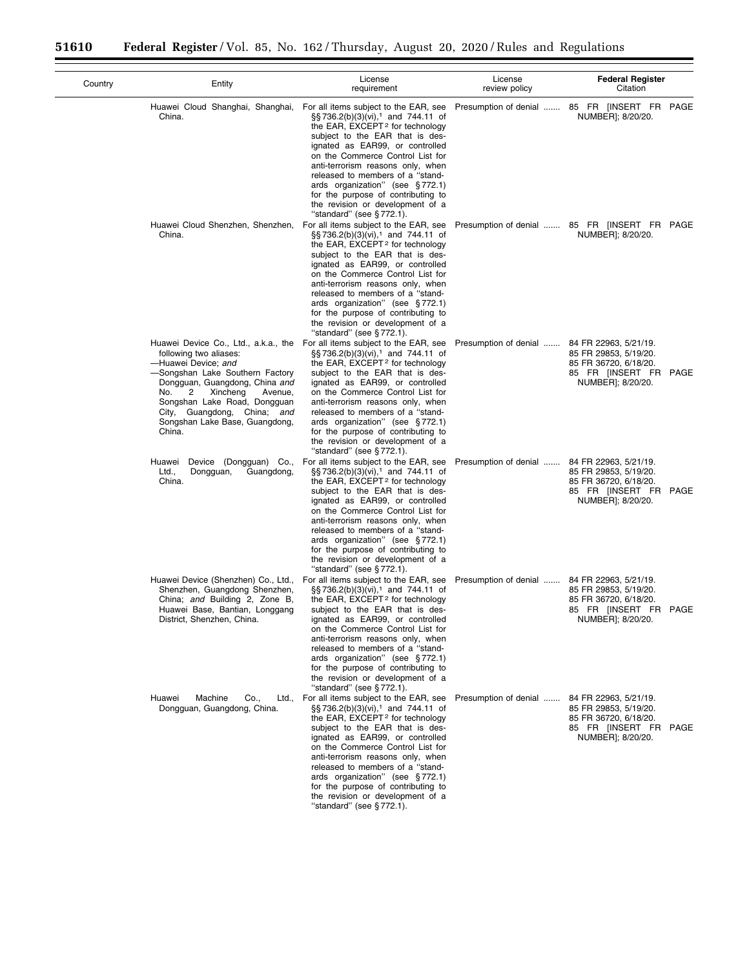| Country | Entity                                                                                                                                                                                                                                                                                                                                         | License<br>requirement                                                                                                                                                                                                                                                                                                                                                                                                                                                       | License<br>review policy | <b>Federal Register</b><br>Citation                                                                                   |
|---------|------------------------------------------------------------------------------------------------------------------------------------------------------------------------------------------------------------------------------------------------------------------------------------------------------------------------------------------------|------------------------------------------------------------------------------------------------------------------------------------------------------------------------------------------------------------------------------------------------------------------------------------------------------------------------------------------------------------------------------------------------------------------------------------------------------------------------------|--------------------------|-----------------------------------------------------------------------------------------------------------------------|
|         | Huawei Cloud Shanghai, Shanghai,<br>China.                                                                                                                                                                                                                                                                                                     | For all items subject to the EAR, see<br>§§736.2(b)(3)(vi), <sup>1</sup> and 744.11 of<br>the EAR, EXCEPT <sup>2</sup> for technology<br>subject to the EAR that is des-<br>ignated as EAR99, or controlled<br>on the Commerce Control List for<br>anti-terrorism reasons only, when<br>released to members of a "stand-<br>ards organization" (see §772.1)<br>for the purpose of contributing to<br>the revision or development of a<br>"standard" (see §772.1).            | Presumption of denial    | 85 FR [INSERT FR PAGE<br>NUMBER]; 8/20/20.                                                                            |
|         | Huawei Cloud Shenzhen, Shenzhen,<br>China.                                                                                                                                                                                                                                                                                                     | For all items subject to the EAR, see<br>§§736.2(b)(3)(vi), <sup>1</sup> and 744.11 of<br>the EAR, EXCEPT <sup>2</sup> for technology<br>subject to the EAR that is des-<br>ignated as EAR99, or controlled<br>on the Commerce Control List for<br>anti-terrorism reasons only, when<br>released to members of a "stand-<br>ards organization" (see $\S 772.1$ )<br>for the purpose of contributing to<br>the revision or development of a<br>"standard" (see $\S 772.1$ ).  |                          | Presumption of denial  85 FR [INSERT FR PAGE<br>NUMBER]; 8/20/20.                                                     |
|         | Huawei Device Co., Ltd., a.k.a., the For all items subject to the EAR, see<br>following two aliases:<br>-Huawei Device; and<br>-Songshan Lake Southern Factory<br>Dongguan, Guangdong, China and<br>No.<br>2<br>Xincheng<br>Avenue,<br>Songshan Lake Road, Dongguan<br>City, Guangdong, China; and<br>Songshan Lake Base, Guangdong,<br>China. | $\S$ S 736.2(b)(3)(vi), <sup>1</sup> and 744.11 of<br>the EAR, EXCEPT <sup>2</sup> for technology<br>subject to the EAR that is des-<br>ignated as EAR99, or controlled<br>on the Commerce Control List for<br>anti-terrorism reasons only, when<br>released to members of a "stand-<br>ards organization" (see §772.1)<br>for the purpose of contributing to<br>the revision or development of a<br>"standard" (see §772.1).                                                | Presumption of denial    | 84 FR 22963, 5/21/19.<br>85 FR 29853, 5/19/20.<br>85 FR 36720, 6/18/20.<br>85 FR [INSERT FR PAGE<br>NUMBER]; 8/20/20. |
|         | Huawei Device (Dongguan) Co.,<br>Ltd.,<br>Dongguan,<br>Guangdong,<br>China.                                                                                                                                                                                                                                                                    | For all items subject to the EAR, see<br>§§736.2(b)(3)(vi), <sup>1</sup> and 744.11 of<br>the EAR, EXCEPT <sup>2</sup> for technology<br>subject to the EAR that is des-<br>ignated as EAR99, or controlled<br>on the Commerce Control List for<br>anti-terrorism reasons only, when<br>released to members of a "stand-<br>ards organization" (see §772.1)<br>for the purpose of contributing to<br>the revision or development of a<br>"standard" (see §772.1).            | Presumption of denial    | 84 FR 22963, 5/21/19.<br>85 FR 29853, 5/19/20.<br>85 FR 36720, 6/18/20.<br>85 FR [INSERT FR PAGE<br>NUMBER]; 8/20/20. |
|         | Huawei Device (Shenzhen) Co., Ltd.,<br>Shenzhen, Guangdong Shenzhen,<br>China; and Building 2, Zone B,<br>Huawei Base, Bantian, Longgang<br>District, Shenzhen, China.                                                                                                                                                                         | For all items subject to the EAR, see<br>$\S$ S 736.2(b)(3)(vi), <sup>1</sup> and 744.11 of<br>the EAR, EXCEPT <sup>2</sup> for technology<br>subject to the EAR that is des-<br>ignated as EAR99, or controlled<br>on the Commerce Control List for<br>anti-terrorism reasons only, when<br>released to members of a "stand-<br>ards organization" (see §772.1)<br>for the purpose of contributing to<br>the revision or development of a<br>"standard" (see §772.1).       | Presumption of denial    | 84 FR 22963, 5/21/19.<br>85 FR 29853, 5/19/20.<br>85 FR 36720, 6/18/20.<br>85 FR [INSERT FR PAGE<br>NUMBERJ; 8/20/20. |
|         | Huawei<br>Machine<br>Co.,<br>Dongguan, Guangdong, China.                                                                                                                                                                                                                                                                                       | Ltd., For all items subject to the EAR, see<br>§§736.2(b)(3)(vi), <sup>1</sup> and 744.11 of<br>the EAR, EXCEPT <sup>2</sup> for technology<br>subject to the EAR that is des-<br>ignated as EAR99, or controlled<br>on the Commerce Control List for<br>anti-terrorism reasons only, when<br>released to members of a "stand-<br>ards organization" (see §772.1)<br>for the purpose of contributing to<br>the revision or development of a<br>"standard" (see $\S 772.1$ ). | Presumption of denial    | 84 FR 22963, 5/21/19.<br>85 FR 29853, 5/19/20.<br>85 FR 36720, 6/18/20.<br>85 FR [INSERT FR PAGE<br>NUMBER]; 8/20/20. |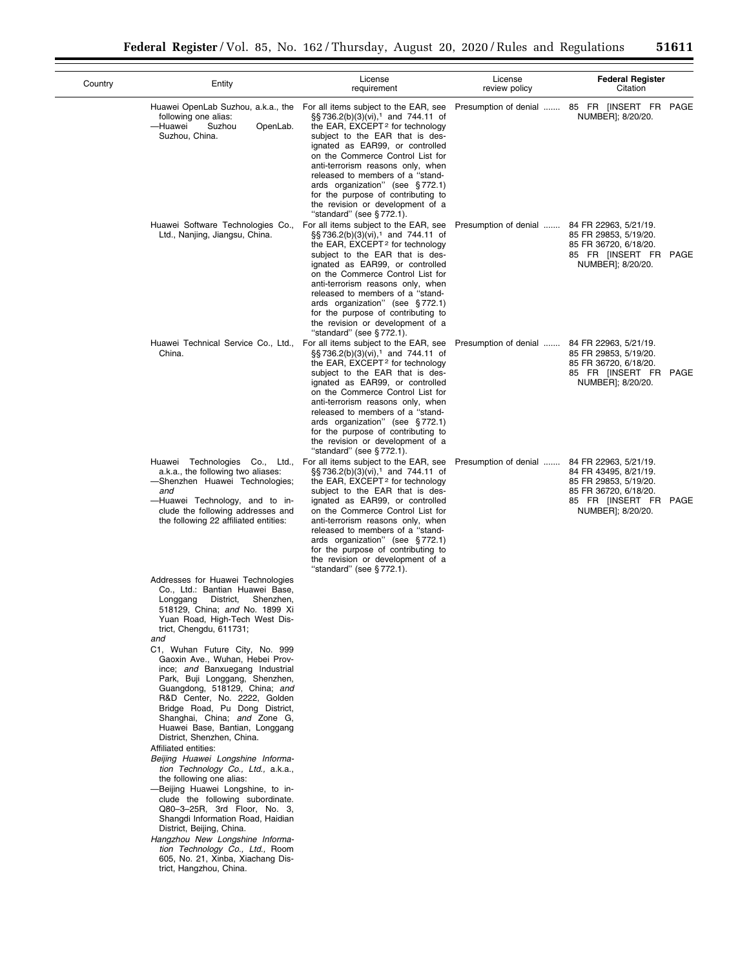| Country | Entity                                                                                                                                                                                                                                                                                                                                                                                                                                                                                                                                                                                                                                                                                                                                                                                                                                                                                                                                                                                                        | License<br>requirement                                                                                                                                                                                                                                                                                                                                                                                                                                                                                    | License<br>review policy | <b>Federal Register</b><br>Citation                                                                                                            |
|---------|---------------------------------------------------------------------------------------------------------------------------------------------------------------------------------------------------------------------------------------------------------------------------------------------------------------------------------------------------------------------------------------------------------------------------------------------------------------------------------------------------------------------------------------------------------------------------------------------------------------------------------------------------------------------------------------------------------------------------------------------------------------------------------------------------------------------------------------------------------------------------------------------------------------------------------------------------------------------------------------------------------------|-----------------------------------------------------------------------------------------------------------------------------------------------------------------------------------------------------------------------------------------------------------------------------------------------------------------------------------------------------------------------------------------------------------------------------------------------------------------------------------------------------------|--------------------------|------------------------------------------------------------------------------------------------------------------------------------------------|
|         | following one alias:<br>Suzhou<br>—Huawei<br>OpenLab.<br>Suzhou, China.                                                                                                                                                                                                                                                                                                                                                                                                                                                                                                                                                                                                                                                                                                                                                                                                                                                                                                                                       | Huawei OpenLab Suzhou, a.k.a., the For all items subject to the EAR, see<br>§§736.2(b)(3)(vi), <sup>1</sup> and 744.11 of<br>the EAR, EXCEPT <sup>2</sup> for technology<br>subject to the EAR that is des-<br>ignated as EAR99, or controlled<br>on the Commerce Control List for<br>anti-terrorism reasons only, when<br>released to members of a "stand-<br>ards organization" (see §772.1)<br>for the purpose of contributing to<br>the revision or development of a<br>"standard" (see $\S 772.1$ ). |                          | Presumption of denial  85 FR [INSERT FR PAGE<br>NUMBER]; 8/20/20.                                                                              |
|         | Huawei Software Technologies Co.,<br>Ltd., Nanjing, Jiangsu, China.                                                                                                                                                                                                                                                                                                                                                                                                                                                                                                                                                                                                                                                                                                                                                                                                                                                                                                                                           | For all items subject to the EAR, see<br>§§736.2(b)(3)(vi), <sup>1</sup> and 744.11 of<br>the EAR, EXCEPT <sup>2</sup> for technology<br>subject to the EAR that is des-<br>ignated as EAR99, or controlled<br>on the Commerce Control List for<br>anti-terrorism reasons only, when<br>released to members of a "stand-<br>ards organization" (see §772.1)<br>for the purpose of contributing to<br>the revision or development of a<br>"standard" (see $\S 772.1$ ).                                    | Presumption of denial    | 84 FR 22963, 5/21/19.<br>85 FR 29853, 5/19/20.<br>85 FR 36720, 6/18/20.<br>85 FR [INSERT FR PAGE<br>NUMBER]; 8/20/20.                          |
|         | Huawei Technical Service Co., Ltd.,<br>China.                                                                                                                                                                                                                                                                                                                                                                                                                                                                                                                                                                                                                                                                                                                                                                                                                                                                                                                                                                 | For all items subject to the EAR, see<br>§§736.2(b)(3)(vi), <sup>1</sup> and 744.11 of<br>the EAR, EXCEPT <sup>2</sup> for technology<br>subject to the EAR that is des-<br>ignated as EAR99, or controlled<br>on the Commerce Control List for<br>anti-terrorism reasons only, when<br>released to members of a "stand-<br>ards organization" (see §772.1)<br>for the purpose of contributing to<br>the revision or development of a<br>"standard" (see §772.1).                                         | Presumption of denial    | 84 FR 22963, 5/21/19.<br>85 FR 29853, 5/19/20.<br>85 FR 36720, 6/18/20.<br>85 FR [INSERT FR PAGE<br>NUMBER]; 8/20/20.                          |
|         | a.k.a., the following two aliases:<br>-Shenzhen Huawei Technologies;<br>and<br>-Huawei Technology, and to in-<br>clude the following addresses and<br>the following 22 affiliated entities:                                                                                                                                                                                                                                                                                                                                                                                                                                                                                                                                                                                                                                                                                                                                                                                                                   | Huawei Technologies Co., Ltd., For all items subject to the EAR, see<br>§§736.2(b)(3)(vi), <sup>1</sup> and 744.11 of<br>the EAR, EXCEPT <sup>2</sup> for technology<br>subject to the EAR that is des-<br>ignated as EAR99, or controlled<br>on the Commerce Control List for<br>anti-terrorism reasons only, when<br>released to members of a "stand-<br>ards organization" (see §772.1)<br>for the purpose of contributing to<br>the revision or development of a                                      | Presumption of denial    | 84 FR 22963, 5/21/19.<br>84 FR 43495, 8/21/19.<br>85 FR 29853, 5/19/20.<br>85 FR 36720, 6/18/20.<br>85 FR [INSERT FR PAGE<br>NUMBER]; 8/20/20. |
|         | Addresses for Huawei Technologies<br>Co., Ltd.: Bantian Huawei Base,<br>District,<br>Shenzhen,<br>Longgang<br>518129, China; and No. 1899 Xi<br>Yuan Road, High-Tech West Dis-<br>trict, Chengdu, 611731;<br>and<br>C1, Wuhan Future City, No. 999<br>Gaoxin Ave., Wuhan, Hebei Prov-<br>ince; and Banxuegang Industrial<br>Park, Buji Longgang, Shenzhen,<br>Guangdong, 518129, China; and<br>R&D Center, No. 2222, Golden<br>Bridge Road, Pu Dong District,<br>Shanghai, China; and Zone G,<br>Huawei Base, Bantian, Longgang<br>District, Shenzhen, China.<br>Affiliated entities:<br>Beijing Huawei Longshine Informa-<br>tion Technology Co., Ltd., a.k.a.,<br>the following one alias:<br>-Beijing Huawei Longshine, to in-<br>clude the following subordinate.<br>Q80-3-25R, 3rd Floor, No. 3,<br>Shangdi Information Road, Haidian<br>District, Beijing, China.<br>Hangzhou New Longshine Informa-<br>tion Technology Co., Ltd., Room<br>605, No. 21, Xinba, Xiachang Dis-<br>trict, Hangzhou, China. | "standard" (see $§ 772.1$ ).                                                                                                                                                                                                                                                                                                                                                                                                                                                                              |                          |                                                                                                                                                |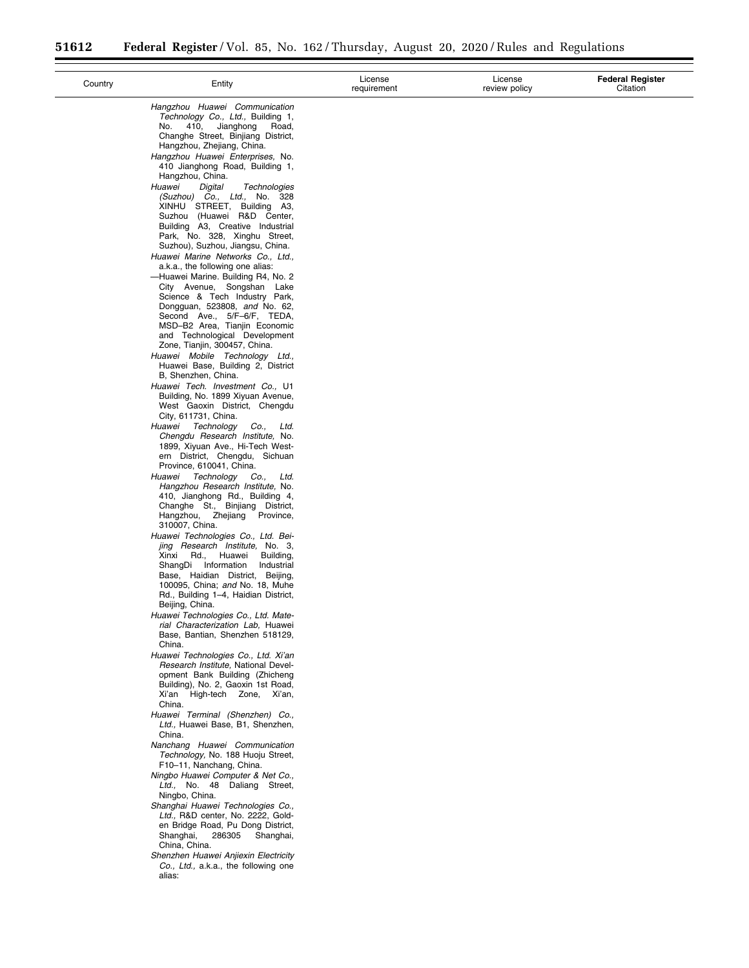Ξ

 $\overline{\phantom{0}}$ 

| Country | Entity                                                                     | License<br>requirement | License<br>review policy | <b>Federal Register</b><br>Citation |
|---------|----------------------------------------------------------------------------|------------------------|--------------------------|-------------------------------------|
|         | Hangzhou Huawei Communication<br>Technology Co., Ltd., Building 1,         |                        |                          |                                     |
|         | 410,<br>Jianghong<br>No.<br>Road,                                          |                        |                          |                                     |
|         | Changhe Street, Binjiang District,                                         |                        |                          |                                     |
|         | Hangzhou, Zhejiang, China.                                                 |                        |                          |                                     |
|         | Hangzhou Huawei Enterprises, No.<br>410 Jianghong Road, Building 1,        |                        |                          |                                     |
|         | Hangzhou, China.                                                           |                        |                          |                                     |
|         | Huawei<br>Digital<br>Technologies                                          |                        |                          |                                     |
|         | (Suzhou) Co., Ltd., No. 328<br>XINHU STREET, Building A3,                  |                        |                          |                                     |
|         | Suzhou (Huawei R&D Center,                                                 |                        |                          |                                     |
|         | Building A3, Creative Industrial                                           |                        |                          |                                     |
|         | Park, No. 328, Xinghu Street,<br>Suzhou), Suzhou, Jiangsu, China.          |                        |                          |                                     |
|         | Huawei Marine Networks Co., Ltd.,                                          |                        |                          |                                     |
|         | a.k.a., the following one alias:                                           |                        |                          |                                     |
|         | -Huawei Marine. Building R4, No. 2<br>City Avenue, Songshan Lake           |                        |                          |                                     |
|         | Science & Tech Industry Park,                                              |                        |                          |                                     |
|         | Dongquan, 523808, and No. 62,                                              |                        |                          |                                     |
|         | Second Ave., 5/F-6/F, TEDA,                                                |                        |                          |                                     |
|         | MSD-B2 Area, Tianjin Economic<br>and Technological Development             |                        |                          |                                     |
|         | Zone, Tianjin, 300457, China.                                              |                        |                          |                                     |
|         | Huawei Mobile Technology Ltd.,                                             |                        |                          |                                     |
|         | Huawei Base, Building 2, District<br>B, Shenzhen, China.                   |                        |                          |                                     |
|         | Huawei Tech. Investment Co., U1                                            |                        |                          |                                     |
|         | Building, No. 1899 Xiyuan Avenue,                                          |                        |                          |                                     |
|         | West Gaoxin District, Chengdu<br>City, 611731, China.                      |                        |                          |                                     |
|         | Huawei Technology<br>Co.,<br>Ltd.                                          |                        |                          |                                     |
|         | Chengdu Research Institute, No.                                            |                        |                          |                                     |
|         | 1899, Xiyuan Ave., Hi-Tech West-<br>ern District, Chengdu, Sichuan         |                        |                          |                                     |
|         | Province, 610041, China.                                                   |                        |                          |                                     |
|         | Technology Co.,<br>Huawei<br>Ltd.                                          |                        |                          |                                     |
|         | Hangzhou Research Institute, No.                                           |                        |                          |                                     |
|         | 410, Jianghong Rd., Building 4,<br>Changhe St., Binjiang District,         |                        |                          |                                     |
|         | Hangzhou, Zhejiang<br>Province,                                            |                        |                          |                                     |
|         | 310007, China.                                                             |                        |                          |                                     |
|         | Huawei Technologies Co., Ltd. Bei-<br>jing Research Institute, No. 3,      |                        |                          |                                     |
|         | Huawei<br>Xinxi<br>Rd.,<br>Building,                                       |                        |                          |                                     |
|         | ShangDi Information<br>Industrial                                          |                        |                          |                                     |
|         | Base, Haidian District, Beijing,<br>100095, China; and No. 18, Muhe        |                        |                          |                                     |
|         | Rd., Building 1-4, Haidian District,                                       |                        |                          |                                     |
|         | Beijing, China.                                                            |                        |                          |                                     |
|         | Huawei Technologies Co., Ltd. Mate-<br>rial Characterization Lab, Huawei   |                        |                          |                                     |
|         | Base, Bantian, Shenzhen 518129,                                            |                        |                          |                                     |
|         | China.                                                                     |                        |                          |                                     |
|         | Huawei Technologies Co., Ltd. Xi'an<br>Research Institute, National Devel- |                        |                          |                                     |
|         | opment Bank Building (Zhicheng                                             |                        |                          |                                     |
|         | Building), No. 2, Gaoxin 1st Road,                                         |                        |                          |                                     |
|         | Xi'an High-tech Zone, Xi'an,                                               |                        |                          |                                     |
|         | China.<br>Huawei Terminal (Shenzhen) Co.,                                  |                        |                          |                                     |
|         | Ltd., Huawei Base, B1, Shenzhen,                                           |                        |                          |                                     |
|         | China.                                                                     |                        |                          |                                     |
|         | Nanchang Huawei Communication<br>Technology, No. 188 Huoju Street,         |                        |                          |                                     |
|         | F10-11, Nanchang, China.                                                   |                        |                          |                                     |
|         | Ningbo Huawei Computer & Net Co.,                                          |                        |                          |                                     |
|         | Ltd., No. 48 Daliang Street,                                               |                        |                          |                                     |
|         | Ningbo, China.<br>Shanghai Huawei Technologies Co.,                        |                        |                          |                                     |
|         | Ltd., R&D center, No. 2222, Gold-                                          |                        |                          |                                     |
|         | en Bridge Road, Pu Dong District,                                          |                        |                          |                                     |
|         | 286305<br>Shanghai,<br>Shanghai,<br>China, China.                          |                        |                          |                                     |
|         | Shenzhen Huawei Anjiexin Electricity                                       |                        |                          |                                     |
|         | Co., Ltd., a.k.a., the following one                                       |                        |                          |                                     |
|         | alias:                                                                     |                        |                          |                                     |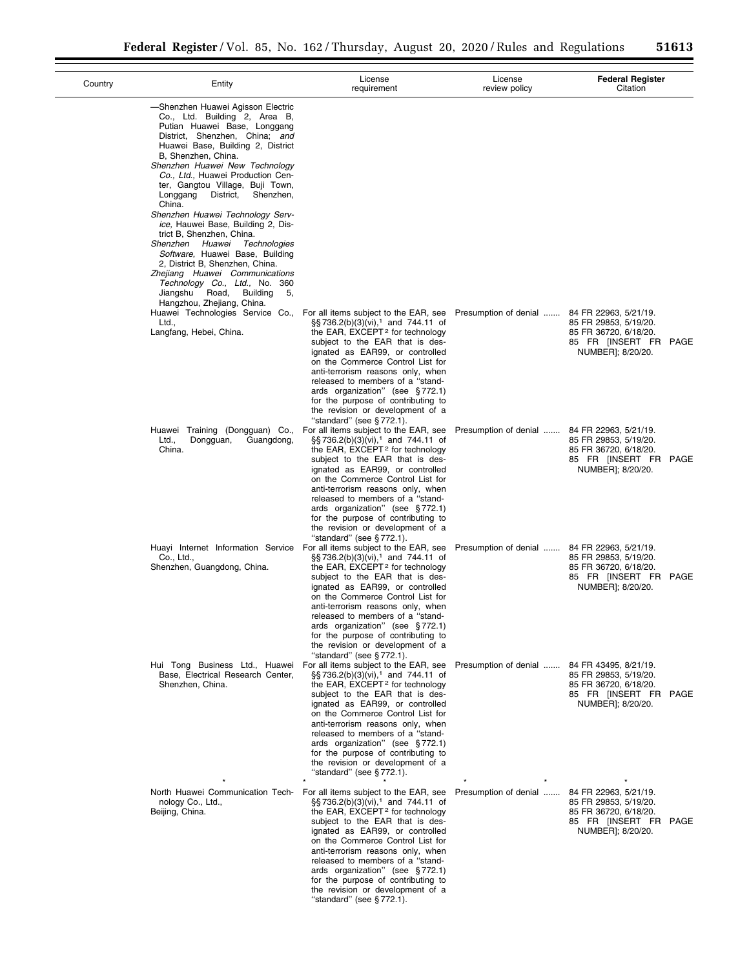$\overline{\phantom{0}}$ 

| Country | Entity                                                                                                                                                                                                                                                                                                                                                                                                                                                                                                                                                                                                                                                                                    | License<br>requirement                                                                                                                                                                                                                                                                                                                                                                                                                                                                  | License<br>review policy | <b>Federal Register</b><br>Citation                                                                                   |
|---------|-------------------------------------------------------------------------------------------------------------------------------------------------------------------------------------------------------------------------------------------------------------------------------------------------------------------------------------------------------------------------------------------------------------------------------------------------------------------------------------------------------------------------------------------------------------------------------------------------------------------------------------------------------------------------------------------|-----------------------------------------------------------------------------------------------------------------------------------------------------------------------------------------------------------------------------------------------------------------------------------------------------------------------------------------------------------------------------------------------------------------------------------------------------------------------------------------|--------------------------|-----------------------------------------------------------------------------------------------------------------------|
|         | -Shenzhen Huawei Agisson Electric<br>Co., Ltd. Building 2, Area B,<br>Putian Huawei Base, Longgang<br>District, Shenzhen, China; and<br>Huawei Base, Building 2, District<br>B, Shenzhen, China.<br>Shenzhen Huawei New Technology<br>Co., Ltd., Huawei Production Cen-<br>ter, Gangtou Village, Buji Town,<br>Longgang<br>District,<br>Shenzhen,<br>China.<br>Shenzhen Huawei Technology Serv-<br>ice, Hauwei Base, Building 2, Dis-<br>trict B, Shenzhen, China.<br>Shenzhen Huawei Technologies<br>Software, Huawei Base, Building<br>2, District B, Shenzhen, China.<br>Zhejiang Huawei Communications<br>Technology Co., Ltd., No. 360<br>Road,<br><b>Building</b><br>Jiangshu<br>5. |                                                                                                                                                                                                                                                                                                                                                                                                                                                                                         |                          |                                                                                                                       |
|         | Hangzhou, Zhejiang, China.<br>Huawei Technologies Service Co.,<br>Ltd.,<br>Langfang, Hebei, China.                                                                                                                                                                                                                                                                                                                                                                                                                                                                                                                                                                                        | For all items subject to the EAR, see Presumption of denial<br>§§736.2(b)(3)(vi), <sup>1</sup> and 744.11 of<br>the EAR, EXCEPT <sup>2</sup> for technology<br>subject to the EAR that is des-<br>ignated as EAR99, or controlled<br>on the Commerce Control List for<br>anti-terrorism reasons only, when<br>released to members of a "stand-<br>ards organization" (see §772.1)<br>for the purpose of contributing to<br>the revision or development of a<br>"standard" (see §772.1). |                          | 84 FR 22963, 5/21/19.<br>85 FR 29853, 5/19/20.<br>85 FR 36720, 6/18/20.<br>85 FR [INSERT FR PAGE<br>NUMBER]; 8/20/20. |
|         | Huawei Training (Dongguan) Co.,<br>Ltd.,<br>Dongguan,<br>Guangdong,<br>China.                                                                                                                                                                                                                                                                                                                                                                                                                                                                                                                                                                                                             | For all items subject to the EAR, see<br>§§736.2(b)(3)(vi), <sup>1</sup> and 744.11 of<br>the EAR, EXCEPT <sup>2</sup> for technology<br>subject to the EAR that is des-<br>ignated as EAR99, or controlled<br>on the Commerce Control List for<br>anti-terrorism reasons only, when<br>released to members of a "stand-<br>ards organization" (see §772.1)<br>for the purpose of contributing to<br>the revision or development of a<br>"standard" (see §772.1).                       | Presumption of denial    | 84 FR 22963, 5/21/19.<br>85 FR 29853, 5/19/20.<br>85 FR 36720, 6/18/20.<br>85 FR [INSERT FR PAGE<br>NUMBER]; 8/20/20. |
|         | Huayi Internet Information Service For all items subject to the EAR, see<br>Co., Ltd.,<br>Shenzhen, Guangdong, China.                                                                                                                                                                                                                                                                                                                                                                                                                                                                                                                                                                     | §§736.2(b)(3)(vi), <sup>1</sup> and 744.11 of<br>the EAR, EXCEPT <sup>2</sup> for technology<br>subject to the EAR that is des-<br>ignated as EAR99, or controlled<br>on the Commerce Control List for<br>anti-terrorism reasons only, when<br>released to members of a "stand-<br>ards organization" (see §772.1)<br>for the purpose of contributing to<br>the revision or development of a<br>"standard" (see $\S 772.1$ ).                                                           | Presumption of denial    | 84 FR 22963, 5/21/19.<br>85 FR 29853, 5/19/20.<br>85 FR 36720, 6/18/20.<br>85 FR [INSERT FR PAGE<br>NUMBER]; 8/20/20. |
|         | Hui Tong Business Ltd., Huawei<br>Base, Electrical Research Center,<br>Shenzhen, China.                                                                                                                                                                                                                                                                                                                                                                                                                                                                                                                                                                                                   | For all items subject to the EAR, see<br>§§ 736.2(b)(3)(vi), <sup>1</sup> and 744.11 of<br>the EAR, EXCEPT <sup>2</sup> for technology<br>subject to the EAR that is des-<br>ignated as EAR99, or controlled<br>on the Commerce Control List for<br>anti-terrorism reasons only, when<br>released to members of a "stand-<br>ards organization" (see §772.1)<br>for the purpose of contributing to<br>the revision or development of a<br>"standard" (see §772.1).                      | Presumption of denial    | 84 FR 43495, 8/21/19.<br>85 FR 29853, 5/19/20.<br>85 FR 36720, 6/18/20.<br>85 FR [INSERT FR PAGE<br>NUMBER]; 8/20/20. |
|         | North Huawei Communication Tech-<br>nology Co., Ltd.,<br>Beijing, China.                                                                                                                                                                                                                                                                                                                                                                                                                                                                                                                                                                                                                  | For all items subject to the EAR, see<br>§§736.2(b)(3)(vi), <sup>1</sup> and 744.11 of<br>the EAR, EXCEPT <sup>2</sup> for technology<br>subject to the EAR that is des-<br>ignated as EAR99, or controlled<br>on the Commerce Control List for<br>anti-terrorism reasons only, when<br>released to members of a "stand-<br>ards organization" (see §772.1)<br>for the purpose of contributing to<br>the revision or development of a<br>"standard" (see §772.1).                       | Presumption of denial    | 84 FR 22963, 5/21/19.<br>85 FR 29853, 5/19/20.<br>85 FR 36720, 6/18/20.<br>85 FR [INSERT FR PAGE<br>NUMBER]; 8/20/20. |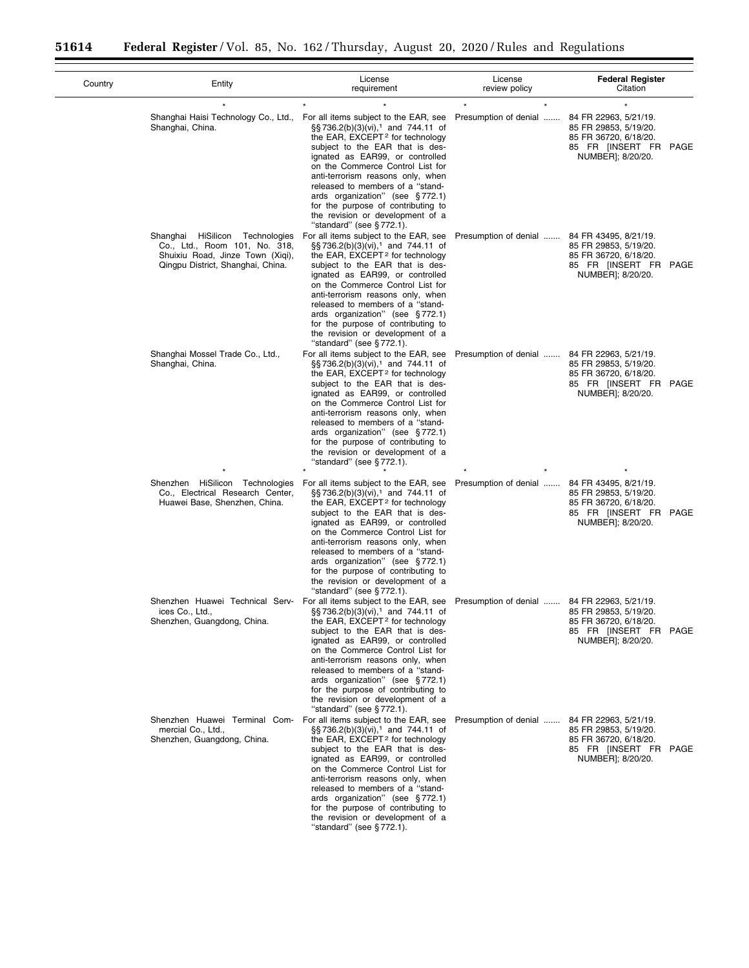| Country | Entity                                                                                                                                       | License<br>requirement                                                                                                                                                                                                                                                                                                                                                                                                                                                                                 | License<br>review policy                     | <b>Federal Register</b><br>Citation                                                                                   |
|---------|----------------------------------------------------------------------------------------------------------------------------------------------|--------------------------------------------------------------------------------------------------------------------------------------------------------------------------------------------------------------------------------------------------------------------------------------------------------------------------------------------------------------------------------------------------------------------------------------------------------------------------------------------------------|----------------------------------------------|-----------------------------------------------------------------------------------------------------------------------|
|         | $\star$<br>Shanghai Haisi Technology Co., Ltd.,<br>Shanghai, China.                                                                          | For all items subject to the EAR, see<br>§§736.2(b)(3)(vi), <sup>1</sup> and 744.11 of<br>the EAR, EXCEPT <sup>2</sup> for technology<br>subject to the EAR that is des-<br>ignated as EAR99, or controlled<br>on the Commerce Control List for<br>anti-terrorism reasons only, when<br>released to members of a "stand-<br>ards organization" (see §772.1)<br>for the purpose of contributing to<br>the revision or development of a<br>"standard" (see §772.1).                                      | $\star$<br>Presumption of denial             | 84 FR 22963, 5/21/19.<br>85 FR 29853, 5/19/20.<br>85 FR 36720, 6/18/20.<br>85 FR [INSERT FR PAGE<br>NUMBER]; 8/20/20. |
|         | HiSilicon Technologies<br>Shanghai<br>Co., Ltd., Room 101, No. 318,<br>Shuixiu Road, Jinze Town (Xiqi),<br>Qingpu District, Shanghai, China. | For all items subject to the EAR, see<br>§§736.2(b)(3)(vi), <sup>1</sup> and 744.11 of<br>the EAR, EXCEPT <sup>2</sup> for technology<br>subject to the EAR that is des-<br>ignated as EAR99, or controlled<br>on the Commerce Control List for<br>anti-terrorism reasons only, when<br>released to members of a "stand-<br>ards organization" (see §772.1)<br>for the purpose of contributing to<br>the revision or development of a<br>"standard" (see §772.1).                                      | Presumption of denial                        | 84 FR 43495, 8/21/19.<br>85 FR 29853, 5/19/20.<br>85 FR 36720, 6/18/20.<br>85 FR [INSERT FR PAGE<br>NUMBER]; 8/20/20. |
|         | Shanghai Mossel Trade Co., Ltd.,<br>Shanghai, China.                                                                                         | For all items subject to the EAR, see<br>§§736.2(b)(3)(vi), <sup>1</sup> and 744.11 of<br>the EAR, EXCEPT <sup>2</sup> for technology<br>subject to the EAR that is des-<br>ignated as EAR99, or controlled<br>on the Commerce Control List for<br>anti-terrorism reasons only, when<br>released to members of a "stand-<br>ards organization" (see §772.1)<br>for the purpose of contributing to<br>the revision or development of a<br>"standard" (see §772.1).                                      | Presumption of denial                        | 84 FR 22963, 5/21/19.<br>85 FR 29853, 5/19/20.<br>85 FR 36720, 6/18/20.<br>85 FR [INSERT FR PAGE<br>NUMBER]; 8/20/20. |
|         | Shenzhen HiSilicon Technologies<br>Co., Electrical Research Center,<br>Huawei Base, Shenzhen, China.                                         | For all items subject to the EAR, see<br>§§736.2(b)(3)(vi), <sup>1</sup> and 744.11 of<br>the EAR, EXCEPT <sup>2</sup> for technology<br>subject to the EAR that is des-<br>ignated as EAR99, or controlled<br>on the Commerce Control List for<br>anti-terrorism reasons only, when<br>released to members of a "stand-<br>ards organization" (see §772.1)<br>for the purpose of contributing to<br>the revision or development of a<br>"standard" (see §772.1).                                      | Presumption of denial                        | 84 FR 43495, 8/21/19.<br>85 FR 29853, 5/19/20.<br>85 FR 36720, 6/18/20.<br>85 FR [INSERT FR PAGE<br>NUMBER]; 8/20/20. |
|         | ices Co., Ltd.,<br>Shenzhen, Guangdong, China.                                                                                               | Shenzhen Huawei Technical Serv- For all items subject to the EAR, see<br>§§736.2(b)(3)(vi), <sup>1</sup> and 744.11 of<br>the EAR, EXCEPT <sup>2</sup> for technology<br>subject to the EAR that is des-<br>ignated as EAR99, or controlled<br>on the Commerce Control List for<br>anti-terrorism reasons only, when<br>released to members of a "stand-<br>ards organization" (see §772.1)<br>for the purpose of contributing to<br>the revision or development of a<br>"standard" (see $\S 772.1$ ). | Presumption of denial  84 FR 22963, 5/21/19. | 85 FR 29853, 5/19/20.<br>85 FR 36720, 6/18/20.<br>85 FR [INSERT FR PAGE<br>NUMBER]; 8/20/20.                          |
|         | mercial Co., Ltd.,<br>Shenzhen, Guangdong, China.                                                                                            | Shenzhen Huawei Terminal Com- For all items subject to the EAR, see<br>§§736.2(b)(3)(vi), <sup>1</sup> and 744.11 of<br>the EAR, EXCEPT <sup>2</sup> for technology<br>subject to the EAR that is des-<br>ignated as EAR99, or controlled<br>on the Commerce Control List for<br>anti-terrorism reasons only, when<br>released to members of a "stand-<br>ards organization" (see §772.1)<br>for the purpose of contributing to<br>the revision or development of a<br>"standard" (see §772.1).        | Presumption of denial                        | 84 FR 22963, 5/21/19.<br>85 FR 29853, 5/19/20.<br>85 FR 36720, 6/18/20.<br>85 FR [INSERT FR PAGE<br>NUMBER]; 8/20/20. |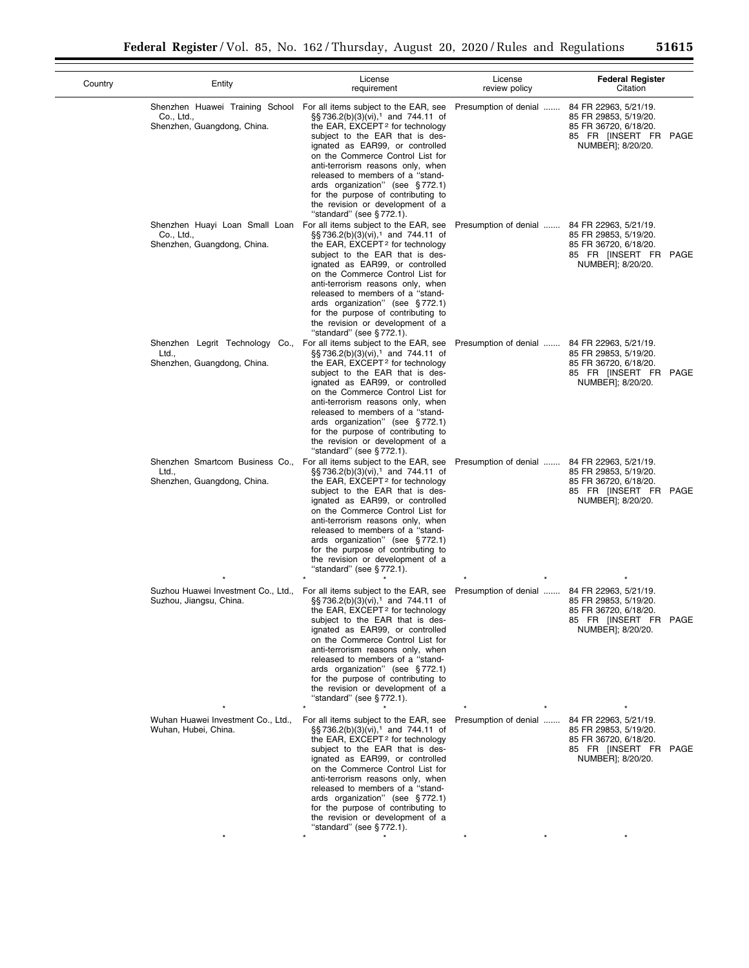| Country | Entity                                                                                                        | License<br>requirement                                                                                                                                                                                                                                                                                                                                                                                                                                                                               | License<br>review policy | <b>Federal Register</b><br>Citation                                                                                   |
|---------|---------------------------------------------------------------------------------------------------------------|------------------------------------------------------------------------------------------------------------------------------------------------------------------------------------------------------------------------------------------------------------------------------------------------------------------------------------------------------------------------------------------------------------------------------------------------------------------------------------------------------|--------------------------|-----------------------------------------------------------------------------------------------------------------------|
|         | Co., Ltd.,<br>Shenzhen, Guangdong, China.                                                                     | Shenzhen Huawei Training School For all items subject to the EAR, see<br>§§736.2(b)(3)(vi), <sup>1</sup> and 744.11 of<br>the EAR, EXCEPT <sup>2</sup> for technology<br>subject to the EAR that is des-<br>ignated as EAR99, or controlled<br>on the Commerce Control List for<br>anti-terrorism reasons only, when<br>released to members of a "stand-<br>ards organization" (see §772.1)<br>for the purpose of contributing to<br>the revision or development of a<br>"standard" (see $§$ 772.1). | Presumption of denial    | 84 FR 22963, 5/21/19.<br>85 FR 29853, 5/19/20.<br>85 FR 36720, 6/18/20.<br>85 FR [INSERT FR PAGE<br>NUMBER]; 8/20/20. |
|         | Co., Ltd.,<br>Shenzhen, Guangdong, China.                                                                     | Shenzhen Huayi Loan Small Loan For all items subject to the EAR, see<br>§§736.2(b)(3)(vi), <sup>1</sup> and 744.11 of<br>the EAR, EXCEPT <sup>2</sup> for technology<br>subject to the EAR that is des-<br>ignated as EAR99, or controlled<br>on the Commerce Control List for<br>anti-terrorism reasons only, when<br>released to members of a "stand-<br>ards organization" (see §772.1)<br>for the purpose of contributing to<br>the revision or development of a<br>"standard" (see §772.1).     | Presumption of denial    | 84 FR 22963, 5/21/19.<br>85 FR 29853, 5/19/20.<br>85 FR 36720, 6/18/20.<br>85 FR [INSERT FR PAGE<br>NUMBER]; 8/20/20. |
|         | Shenzhen Legrit Technology Co., For all items subject to the EAR, see<br>Ltd.,<br>Shenzhen, Guangdong, China. | $\S$ S 736.2(b)(3)(vi), <sup>1</sup> and 744.11 of<br>the EAR, EXCEPT <sup>2</sup> for technology<br>subject to the EAR that is des-<br>ignated as EAR99, or controlled<br>on the Commerce Control List for<br>anti-terrorism reasons only, when<br>released to members of a "stand-<br>ards organization" (see §772.1)<br>for the purpose of contributing to<br>the revision or development of a<br>"standard" (see $\S 772.1$ ).                                                                   | Presumption of denial    | 84 FR 22963, 5/21/19.<br>85 FR 29853, 5/19/20.<br>85 FR 36720, 6/18/20.<br>85 FR [INSERT FR PAGE<br>NUMBER]; 8/20/20. |
|         | Ltd.,<br>Shenzhen, Guangdong, China.                                                                          | Shenzhen Smartcom Business Co., For all items subject to the EAR, see<br>§§736.2(b)(3)(vi), <sup>1</sup> and 744.11 of<br>the EAR, $EXCEPT2$ for technology<br>subject to the EAR that is des-<br>ignated as EAR99, or controlled<br>on the Commerce Control List for<br>anti-terrorism reasons only, when<br>released to members of a "stand-<br>ards organization" (see §772.1)<br>for the purpose of contributing to<br>the revision or development of a<br>"standard" (see §772.1).              | Presumption of denial    | 84 FR 22963, 5/21/19.<br>85 FR 29853, 5/19/20.<br>85 FR 36720, 6/18/20.<br>85 FR [INSERT FR PAGE<br>NUMBER]; 8/20/20. |
|         | Suzhou Huawei Investment Co., Ltd.,<br>Suzhou, Jiangsu, China.                                                | For all items subject to the EAR, see<br>$\S$ S 736.2(b)(3)(vi), <sup>1</sup> and 744.11 of<br>the EAR, EXCEPT <sup>2</sup> for technology<br>subject to the EAR that is des-<br>ignated as EAR99, or controlled<br>on the Commerce Control List for<br>anti-terrorism reasons only, when<br>released to members of a "stand-<br>ards organization" (see §772.1)<br>for the purpose of contributing to<br>the revision or development of a<br>"standard" (see §772.1).                               | Presumption of denial    | 84 FR 22963, 5/21/19.<br>85 FR 29853, 5/19/20.<br>85 FR 36720, 6/18/20.<br>85 FR [INSERT FR PAGE<br>NUMBER]; 8/20/20. |
|         | Wuhan Huawei Investment Co., Ltd.,<br>Wuhan, Hubei, China.                                                    | For all items subject to the EAR, see<br>§§736.2(b)(3)(vi), <sup>1</sup> and 744.11 of<br>the EAR, EXCEPT <sup>2</sup> for technology<br>subject to the EAR that is des-<br>ignated as EAR99, or controlled<br>on the Commerce Control List for<br>anti-terrorism reasons only, when<br>released to members of a "stand-<br>ards organization" (see §772.1)<br>for the purpose of contributing to<br>the revision or development of a<br>"standard" (see §772.1).                                    | Presumption of denial    | 84 FR 22963, 5/21/19.<br>85 FR 29853, 5/19/20.<br>85 FR 36720, 6/18/20.<br>85 FR [INSERT FR PAGE<br>NUMBER]; 8/20/20. |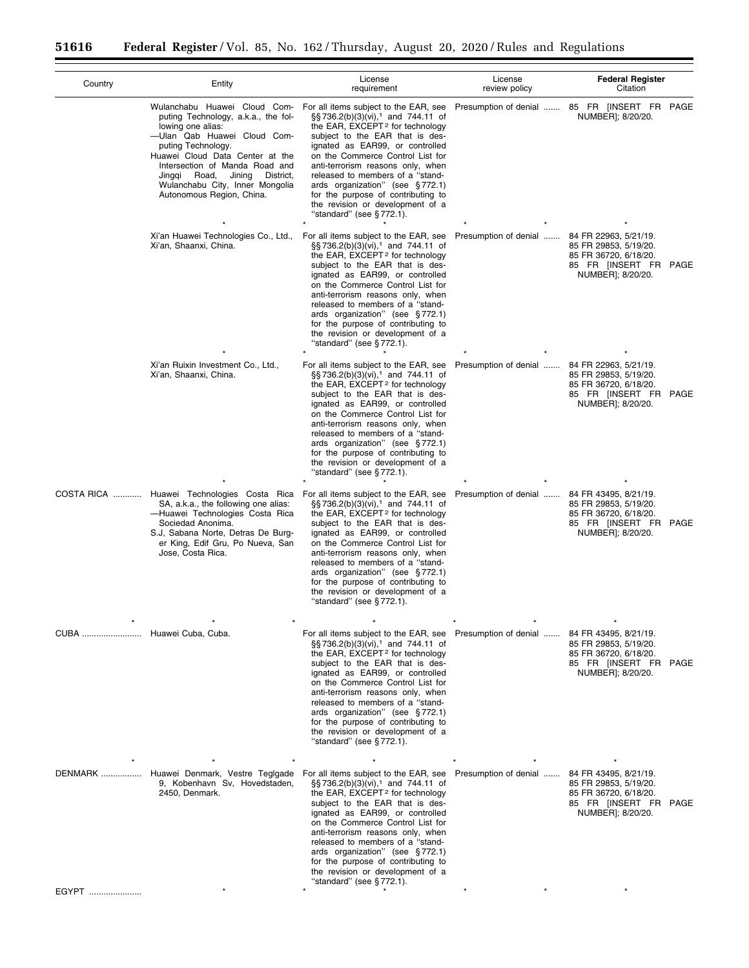| Country                  | Entity                                                                                                                                                                                                                                                                                    | License<br>requirement                                                                                                                                                                                                                                                                                                                                                                                                                                                                         | License<br>review policy                     | <b>Federal Register</b><br>Citation                                                                                   |
|--------------------------|-------------------------------------------------------------------------------------------------------------------------------------------------------------------------------------------------------------------------------------------------------------------------------------------|------------------------------------------------------------------------------------------------------------------------------------------------------------------------------------------------------------------------------------------------------------------------------------------------------------------------------------------------------------------------------------------------------------------------------------------------------------------------------------------------|----------------------------------------------|-----------------------------------------------------------------------------------------------------------------------|
|                          | puting Technology, a.k.a., the fol-<br>lowing one alias:<br>-Ulan Qab Huawei Cloud Com-<br>puting Technology.<br>Huawei Cloud Data Center at the<br>Intersection of Manda Road and<br>Jinggi Road,<br>Jining<br>District,<br>Wulanchabu City, Inner Mongolia<br>Autonomous Region, China. | Wulanchabu Huawei Cloud Com- For all items subject to the EAR, see<br>§§736.2(b)(3)(vi), <sup>1</sup> and 744.11 of<br>the EAR, EXCEPT <sup>2</sup> for technology<br>subject to the EAR that is des-<br>ignated as EAR99, or controlled<br>on the Commerce Control List for<br>anti-terrorism reasons only, when<br>released to members of a "stand-<br>ards organization" (see §772.1)<br>for the purpose of contributing to<br>the revision or development of a<br>"standard" (see §772.1). | Presumption of denial                        | 85 FR [INSERT FR PAGE<br>NUMBER]; 8/20/20.                                                                            |
|                          | Xi'an Huawei Technologies Co., Ltd.,<br>Xi'an, Shaanxi, China.                                                                                                                                                                                                                            | For all items subject to the EAR, see<br>§§736.2(b)(3)(vi), <sup>1</sup> and 744.11 of<br>the EAR, EXCEPT <sup>2</sup> for technology<br>subject to the EAR that is des-<br>ignated as EAR99, or controlled<br>on the Commerce Control List for<br>anti-terrorism reasons only, when<br>released to members of a "stand-<br>ards organization" (see §772.1)<br>for the purpose of contributing to<br>the revision or development of a<br>"standard" (see §772.1).                              | Presumption of denial                        | 84 FR 22963, 5/21/19.<br>85 FR 29853, 5/19/20.<br>85 FR 36720, 6/18/20.<br>85 FR [INSERT FR PAGE<br>NUMBER]; 8/20/20. |
|                          | Xi'an Ruixin Investment Co., Ltd.,<br>Xi'an, Shaanxi, China.                                                                                                                                                                                                                              | For all items subject to the EAR, see<br>§§736.2(b)(3)(vi), <sup>1</sup> and 744.11 of<br>the EAR, EXCEPT <sup>2</sup> for technology<br>subject to the EAR that is des-<br>ignated as EAR99, or controlled<br>on the Commerce Control List for<br>anti-terrorism reasons only, when<br>released to members of a "stand-<br>ards organization" (see §772.1)<br>for the purpose of contributing to<br>the revision or development of a<br>"standard" (see §772.1).                              | Presumption of denial                        | 84 FR 22963, 5/21/19.<br>85 FR 29853, 5/19/20.<br>85 FR 36720, 6/18/20.<br>85 FR [INSERT FR PAGE<br>NUMBER]; 8/20/20. |
|                          | COSTA RICA  Huawei Technologies Costa Rica For all items subject to the EAR, see<br>SA, a.k.a., the following one alias:<br>-Huawei Technologies Costa Rica<br>Sociedad Anonima.<br>S.J, Sabana Norte, Detras De Burg-<br>er King, Edif Gru, Po Nueva, San<br>Jose, Costa Rica.           | §§736.2(b)(3)(vi), <sup>1</sup> and 744.11 of<br>the EAR, EXCEPT <sup>2</sup> for technology<br>subject to the EAR that is des-<br>ignated as EAR99, or controlled<br>on the Commerce Control List for<br>anti-terrorism reasons only, when<br>released to members of a "stand-<br>ards organization" (see §772.1)<br>for the purpose of contributing to<br>the revision or development of a<br>"standard" (see $\S 772.1$ ).                                                                  | Presumption of denial                        | 84 FR 43495, 8/21/19.<br>85 FR 29853, 5/19/20.<br>85 FR 36720, 6/18/20.<br>85 FR [INSERT FR PAGE<br>NUMBER]; 8/20/20. |
| CUBA  Huawei Cuba, Cuba. |                                                                                                                                                                                                                                                                                           | For all items subject to the EAR, see<br>§§736.2(b)(3)(vi), <sup>1</sup> and 744.11 of<br>the EAR, EXCEPT <sup>2</sup> for technology<br>subject to the EAR that is des-<br>ignated as EAR99, or controlled<br>on the Commerce Control List for<br>anti-terrorism reasons only, when<br>released to members of a "stand-<br>ards organization" (see §772.1)<br>for the purpose of contributing to<br>the revision or development of a<br>"standard" (see §772.1).                              | Presumption of denial  84 FR 43495, 8/21/19. | 85 FR 29853, 5/19/20.<br>85 FR 36720, 6/18/20.<br>85 FR [INSERT FR PAGE<br>NUMBER]; 8/20/20.                          |
|                          | DENMARK  Huawei Denmark, Vestre Teglgade<br>9, Kobenhavn Sv, Hovedstaden,<br>2450, Denmark.                                                                                                                                                                                               | For all items subject to the EAR, see<br>§§736.2(b)(3)(vi), <sup>1</sup> and 744.11 of<br>the EAR, EXCEPT <sup>2</sup> for technology<br>subject to the EAR that is des-<br>ignated as EAR99, or controlled<br>on the Commerce Control List for<br>anti-terrorism reasons only, when<br>released to members of a "stand-<br>ards organization" (see §772.1)<br>for the purpose of contributing to<br>the revision or development of a<br>"standard" (see §772.1).                              | Presumption of denial                        | 84 FR 43495, 8/21/19.<br>85 FR 29853, 5/19/20.<br>85 FR 36720, 6/18/20.<br>85 FR [INSERT FR PAGE<br>NUMBER]; 8/20/20. |
| EGYPT                    |                                                                                                                                                                                                                                                                                           |                                                                                                                                                                                                                                                                                                                                                                                                                                                                                                |                                              |                                                                                                                       |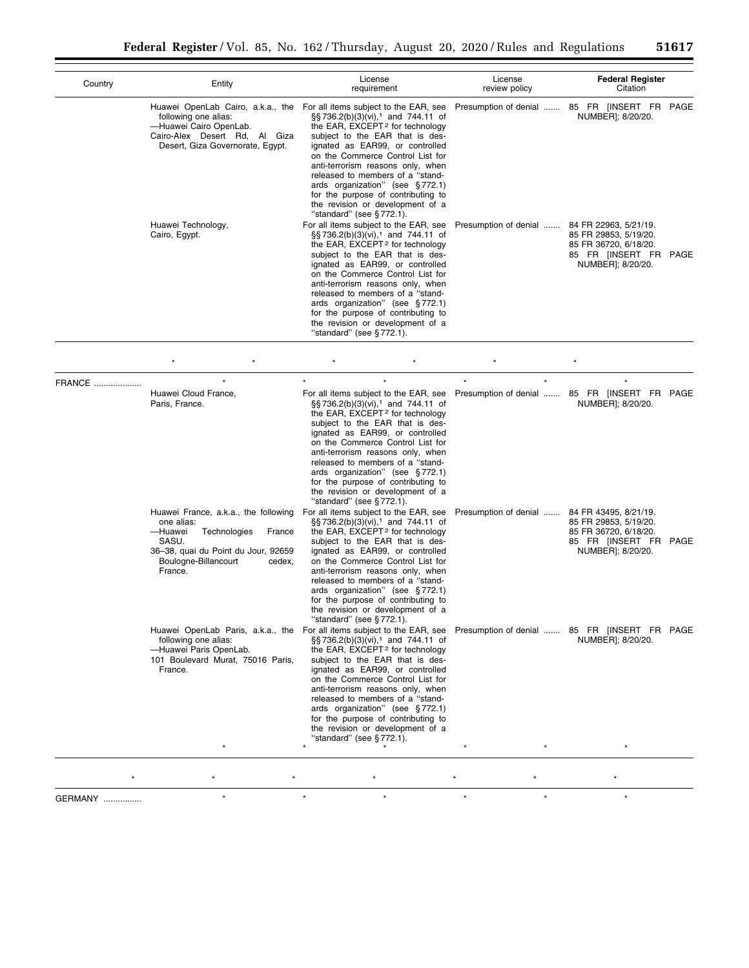| Country       | Entity                                                                                                                                       | License<br>requirement                                                                                                                                                                                                                                                                                                                                                                                                                                                                                     | License<br>review policy | <b>Federal Register</b><br>Citation                                                                                   |
|---------------|----------------------------------------------------------------------------------------------------------------------------------------------|------------------------------------------------------------------------------------------------------------------------------------------------------------------------------------------------------------------------------------------------------------------------------------------------------------------------------------------------------------------------------------------------------------------------------------------------------------------------------------------------------------|--------------------------|-----------------------------------------------------------------------------------------------------------------------|
|               | following one alias:<br>-Huawei Cairo OpenLab.<br>Cairo-Alex Desert Rd, Al Giza<br>Desert, Giza Governorate, Egypt.                          | Huawei OpenLab Cairo, a.k.a., the For all items subject to the EAR, see<br>§§736.2(b)(3)(vi), <sup>1</sup> and 744.11 of<br>the EAR, EXCEPT <sup>2</sup> for technology<br>subject to the EAR that is des-<br>ignated as EAR99, or controlled<br>on the Commerce Control List for<br>anti-terrorism reasons only, when<br>released to members of a "stand-<br>ards organization" (see §772.1)<br>for the purpose of contributing to<br>the revision or development of a<br>"standard" (see §772.1).        |                          | Presumption of denial  85 FR [INSERT FR PAGE<br>NUMBER]; 8/20/20.                                                     |
|               | Huawei Technology,<br>Cairo, Egypt.                                                                                                          | For all items subject to the EAR, see<br>§§736.2(b)(3)(vi), <sup>1</sup> and 744.11 of<br>the EAR, EXCEPT <sup>2</sup> for technology<br>subject to the EAR that is des-<br>ignated as EAR99, or controlled<br>on the Commerce Control List for<br>anti-terrorism reasons only, when<br>released to members of a "stand-<br>ards organization" (see §772.1)<br>for the purpose of contributing to<br>the revision or development of a<br>"standard" (see §772.1).                                          | Presumption of denial    | 84 FR 22963, 5/21/19.<br>85 FR 29853, 5/19/20.<br>85 FR 36720, 6/18/20.<br>85 FR [INSERT FR PAGE<br>NUMBER]; 8/20/20. |
|               |                                                                                                                                              |                                                                                                                                                                                                                                                                                                                                                                                                                                                                                                            |                          |                                                                                                                       |
| <b>FRANCE</b> | $\ddot{\phantom{0}}$<br>Huawei Cloud France,<br>Paris, France.                                                                               | $\star$<br>For all items subject to the EAR, see<br>§§ 736.2(b)(3)(vi), <sup>1</sup> and 744.11 of<br>the EAR, EXCEPT <sup>2</sup> for technology<br>subject to the EAR that is des-<br>ignated as EAR99, or controlled<br>on the Commerce Control List for<br>anti-terrorism reasons only, when<br>released to members of a "stand-<br>ards organization" (see §772.1)<br>for the purpose of contributing to<br>the revision or development of a<br>"standard" (see §772.1).                              | $\star$<br>$\star$       | $\star$<br>Presumption of denial  85 FR [INSERT FR PAGE<br>NUMBER]; 8/20/20.                                          |
|               | one alias:<br>-Huawei<br>Technologies<br>France<br>SASU.<br>36-38, quai du Point du Jour, 92659<br>Boulogne-Billancourt<br>cedex,<br>France. | Huawei France, a.k.a., the following For all items subject to the EAR, see<br>$\S$ §736.2(b)(3)(vi), <sup>1</sup> and 744.11 of<br>the EAR, EXCEPT <sup>2</sup> for technology<br>subject to the EAR that is des-<br>ignated as EAR99, or controlled<br>on the Commerce Control List for<br>anti-terrorism reasons only, when<br>released to members of a "stand-<br>ards organization" (see §772.1)<br>for the purpose of contributing to<br>the revision or development of a<br>"standard" (see §772.1). | Presumption of denial    | 84 FR 43495, 8/21/19.<br>85 FR 29853, 5/19/20.<br>85 FR 36720, 6/18/20.<br>85 FR [INSERT FR PAGE<br>NUMBER]; 8/20/20. |
|               | following one alias:<br>-Huawei Paris OpenLab.<br>101 Boulevard Murat, 75016 Paris,<br>France.                                               | Huawei OpenLab Paris, a.k.a., the For all items subject to the EAR, see<br>§§736.2(b)(3)(vi), <sup>1</sup> and 744.11 of<br>the EAR, EXCEPT <sup>2</sup> for technology<br>subject to the EAR that is des-<br>ignated as EAR99, or controlled<br>on the Commerce Control List for<br>anti-terrorism reasons only, when<br>released to members of a "stand-<br>ards organization" (see §772.1)<br>for the purpose of contributing to<br>the revision or development of a<br>"standard" (see §772.1).        |                          | Presumption of denial  85 FR [INSERT FR PAGE<br>NUMBER]; 8/20/20.                                                     |

GERMANY ................ \* \* \* \* \* \*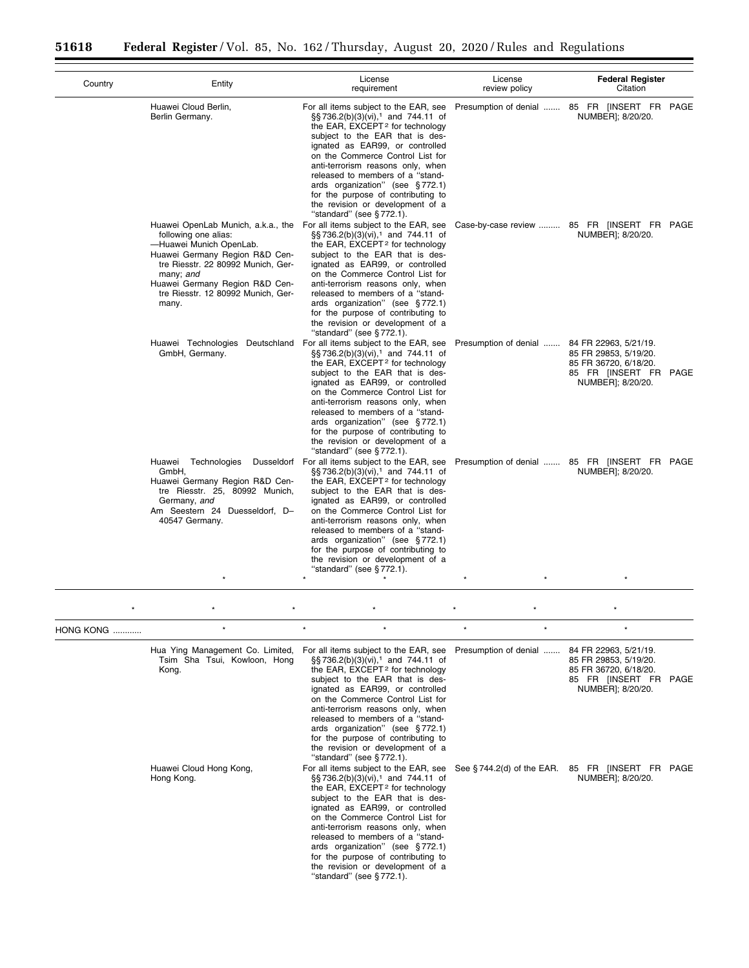|                   |                                                                                                                                                                                                                                                                                                   | License                                                                                                                                                                                                                                                                                                                                                                                                                                                              | License               | <b>Federal Register</b>                                                                                               |
|-------------------|---------------------------------------------------------------------------------------------------------------------------------------------------------------------------------------------------------------------------------------------------------------------------------------------------|----------------------------------------------------------------------------------------------------------------------------------------------------------------------------------------------------------------------------------------------------------------------------------------------------------------------------------------------------------------------------------------------------------------------------------------------------------------------|-----------------------|-----------------------------------------------------------------------------------------------------------------------|
| Country           | Entity                                                                                                                                                                                                                                                                                            | requirement                                                                                                                                                                                                                                                                                                                                                                                                                                                          | review policy         | Citation                                                                                                              |
|                   | Huawei Cloud Berlin,<br>Berlin Germany.                                                                                                                                                                                                                                                           | For all items subject to the EAR, see<br>§§736.2(b)(3)(vi), <sup>1</sup> and 744.11 of<br>the EAR, EXCEPT <sup>2</sup> for technology<br>subject to the EAR that is des-<br>ignated as EAR99, or controlled<br>on the Commerce Control List for<br>anti-terrorism reasons only, when<br>released to members of a "stand-<br>ards organization" (see §772.1)<br>for the purpose of contributing to<br>the revision or development of a<br>"standard" (see $§$ 772.1). |                       | Presumption of denial  85 FR [INSERT FR PAGE<br>NUMBER]; 8/20/20.                                                     |
|                   | Huawei OpenLab Munich, a.k.a., the For all items subject to the EAR, see<br>following one alias:<br>-Huawei Munich OpenLab.<br>Huawei Germany Region R&D Cen-<br>tre Riesstr. 22 80992 Munich, Ger-<br>many; and<br>Huawei Germany Region R&D Cen-<br>tre Riesstr. 12 80992 Munich, Ger-<br>many. | §§736.2(b)(3)(vi), <sup>1</sup> and 744.11 of<br>the EAR, EXCEPT <sup>2</sup> for technology<br>subject to the EAR that is des-<br>ignated as EAR99, or controlled<br>on the Commerce Control List for<br>anti-terrorism reasons only, when<br>released to members of a "stand-<br>ards organization" (see §772.1)<br>for the purpose of contributing to<br>the revision or development of a<br>"standard" (see $§$ 772.1).                                          |                       | Case-by-case review  85 FR [INSERT FR PAGE<br>NUMBER]; 8/20/20.                                                       |
|                   | Huawei Technologies Deutschland<br>GmbH, Germany.                                                                                                                                                                                                                                                 | For all items subject to the EAR, see<br>§§736.2(b)(3)(vi), <sup>1</sup> and 744.11 of<br>the EAR, EXCEPT <sup>2</sup> for technology<br>subject to the EAR that is des-<br>ignated as EAR99, or controlled<br>on the Commerce Control List for<br>anti-terrorism reasons only, when<br>released to members of a "stand-<br>ards organization" (see §772.1)<br>for the purpose of contributing to<br>the revision or development of a<br>"standard" (see $§$ 772.1). | Presumption of denial | 84 FR 22963, 5/21/19.<br>85 FR 29853, 5/19/20.<br>85 FR 36720, 6/18/20.<br>85 FR [INSERT FR PAGE<br>NUMBER]; 8/20/20. |
|                   | Huawei Technologies<br>GmbH.<br>Huawei Germany Region R&D Cen-<br>tre Riesstr. 25, 80992 Munich,<br>Germany, and<br>Am Seestern 24 Duesseldorf, D-<br>40547 Germany.                                                                                                                              | Dusseldorf For all items subject to the EAR, see<br>§§ 736.2(b)(3)(vi), <sup>1</sup> and 744.11 of<br>the EAR, EXCEPT <sup>2</sup> for technology<br>subject to the EAR that is des-<br>ignated as EAR99, or controlled<br>on the Commerce Control List for<br>anti-terrorism reasons only, when<br>released to members of a "stand-<br>ards organization" (see §772.1)<br>for the purpose of contributing to<br>the revision or development of a                    |                       | Presumption of denial  85 FR [INSERT FR PAGE<br>NUMBER]; 8/20/20.                                                     |
|                   |                                                                                                                                                                                                                                                                                                   | "standard" (see $\S 772.1$ ).                                                                                                                                                                                                                                                                                                                                                                                                                                        |                       |                                                                                                                       |
|                   | $\star$<br>$\star$                                                                                                                                                                                                                                                                                |                                                                                                                                                                                                                                                                                                                                                                                                                                                                      | $\star$               | $\pmb{\star}$                                                                                                         |
| <b>HONG KONG </b> |                                                                                                                                                                                                                                                                                                   |                                                                                                                                                                                                                                                                                                                                                                                                                                                                      |                       |                                                                                                                       |
|                   | Hua Ying Management Co. Limited,<br>Tsim Sha Tsui, Kowloon, Hong<br>Kong.                                                                                                                                                                                                                         | For all items subject to the EAR, see<br>§§736.2(b)(3)(vi), <sup>1</sup> and 744.11 of<br>the EAR, EXCEPT <sup>2</sup> for technology<br>subject to the EAR that is des-<br>ignated as EAR99, or controlled<br>on the Commerce Control List for<br>anti-terrorism reasons only, when<br>released to members of a "stand-<br>ards organization" (see §772.1)<br>for the purpose of contributing to<br>the revision or development of a<br>"standard" (see $§$ 772.1). | Presumption of denial | 84 FR 22963, 5/21/19.<br>85 FR 29853, 5/19/20.<br>85 FR 36720, 6/18/20.<br>85 FR [INSERT FR PAGE<br>NUMBER]; 8/20/20. |
|                   | Huawei Cloud Hong Kong,<br>Hong Kong.                                                                                                                                                                                                                                                             | For all items subject to the EAR, see<br>§§ 736.2(b)(3)(vi), <sup>1</sup> and 744.11 of<br>the EAR, EXCEPT <sup>2</sup> for technology<br>subject to the EAR that is des-<br>ignated as EAR99, or controlled<br>on the Commerce Control List for<br>anti-terrorism reasons only, when<br>released to members of a "stand-<br>ards organization" (see §772.1)<br>for the purpose of contributing to<br>the revision or development of a                               |                       | See §744.2(d) of the EAR. 85 FR [INSERT FR PAGE<br>NUMBER]; 8/20/20.                                                  |

''standard'' (see § 772.1).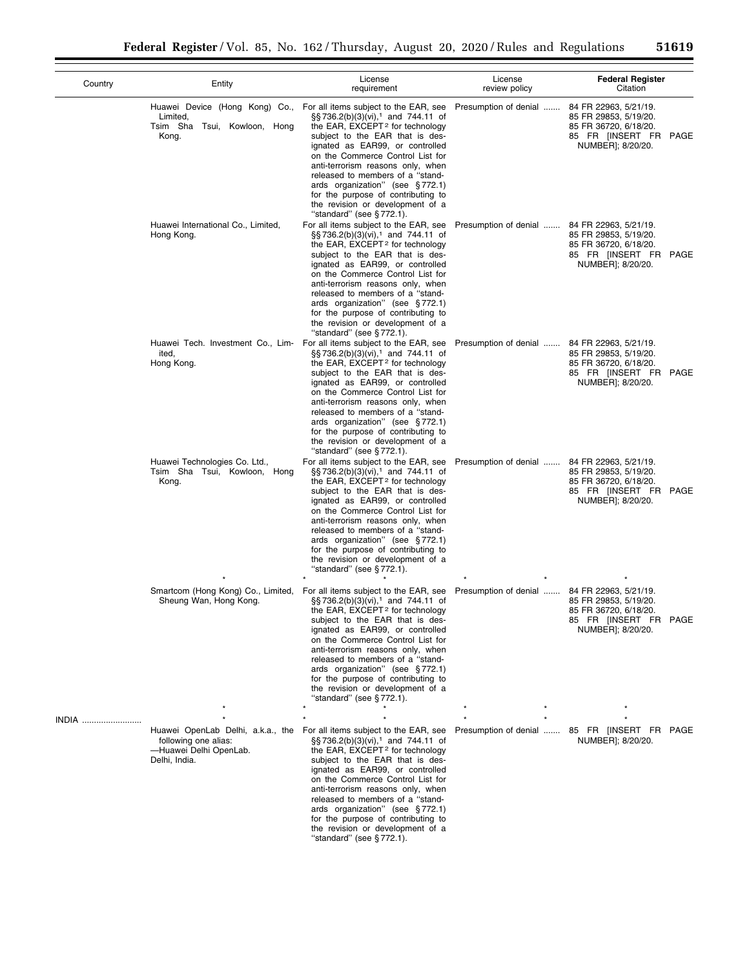| Country | Entity                                                                                               | License<br>requirement                                                                                                                                                                                                                                                                                                                                                                                                                                                 | License<br>review policy | <b>Federal Register</b><br>Citation                                                                                   |
|---------|------------------------------------------------------------------------------------------------------|------------------------------------------------------------------------------------------------------------------------------------------------------------------------------------------------------------------------------------------------------------------------------------------------------------------------------------------------------------------------------------------------------------------------------------------------------------------------|--------------------------|-----------------------------------------------------------------------------------------------------------------------|
|         | Huawei Device (Hong Kong) Co.,<br>Limited,<br>Tsim Sha Tsui, Kowloon, Hong<br>Kong.                  | For all items subject to the EAR, see<br>§§736.2(b)(3)(vi), <sup>1</sup> and 744.11 of<br>the EAR, EXCEPT <sup>2</sup> for technology<br>subject to the EAR that is des-<br>ignated as EAR99, or controlled<br>on the Commerce Control List for<br>anti-terrorism reasons only, when<br>released to members of a "stand-<br>ards organization" (see §772.1)<br>for the purpose of contributing to<br>the revision or development of a<br>"standard" (see $\S 772.1$ ). | Presumption of denial    | 84 FR 22963, 5/21/19.<br>85 FR 29853, 5/19/20.<br>85 FR 36720, 6/18/20.<br>85 FR [INSERT FR PAGE<br>NUMBER]; 8/20/20. |
|         | Huawei International Co., Limited,<br>Hong Kong.                                                     | For all items subject to the EAR, see<br>$\S$ S 736.2(b)(3)(vi), <sup>1</sup> and 744.11 of<br>the EAR, EXCEPT <sup>2</sup> for technology<br>subject to the EAR that is des-<br>ignated as EAR99, or controlled<br>on the Commerce Control List for<br>anti-terrorism reasons only, when<br>released to members of a "stand-<br>ards organization" (see §772.1)<br>for the purpose of contributing to<br>the revision or development of a<br>"standard" (see §772.1). | Presumption of denial    | 84 FR 22963, 5/21/19.<br>85 FR 29853, 5/19/20.<br>85 FR 36720, 6/18/20.<br>85 FR [INSERT FR PAGE<br>NUMBER]; 8/20/20. |
|         | Huawei Tech. Investment Co., Lim-<br>ited.<br>Hong Kong.                                             | For all items subject to the EAR, see<br>$\S$ s 736.2(b)(3)(vi), <sup>1</sup> and 744.11 of<br>the EAR, EXCEPT <sup>2</sup> for technology<br>subject to the EAR that is des-<br>ignated as EAR99, or controlled<br>on the Commerce Control List for<br>anti-terrorism reasons only, when<br>released to members of a "stand-<br>ards organization" (see §772.1)<br>for the purpose of contributing to<br>the revision or development of a<br>"standard" (see §772.1). | Presumption of denial    | 84 FR 22963, 5/21/19.<br>85 FR 29853, 5/19/20.<br>85 FR 36720, 6/18/20.<br>85 FR [INSERT FR PAGE<br>NUMBER]; 8/20/20. |
|         | Huawei Technologies Co. Ltd.,<br>Tsim Sha Tsui, Kowloon, Hong<br>Kong.                               | For all items subject to the EAR, see<br>$\S$ s 736.2(b)(3)(vi), <sup>1</sup> and 744.11 of<br>the EAR, EXCEPT <sup>2</sup> for technology<br>subject to the EAR that is des-<br>ignated as EAR99, or controlled<br>on the Commerce Control List for<br>anti-terrorism reasons only, when<br>released to members of a "stand-<br>ards organization" (see §772.1)<br>for the purpose of contributing to<br>the revision or development of a<br>"standard" (see §772.1). | Presumption of denial    | 84 FR 22963, 5/21/19.<br>85 FR 29853, 5/19/20.<br>85 FR 36720, 6/18/20.<br>85 FR [INSERT FR PAGE<br>NUMBER]; 8/20/20. |
|         | Smartcom (Hong Kong) Co., Limited,<br>Sheung Wan, Hong Kong.                                         | For all items subject to the EAR, see<br>§§736.2(b)(3)(vi), <sup>1</sup> and 744.11 of<br>the EAR, EXCEPT <sup>2</sup> for technology<br>subject to the EAR that is des-<br>ignated as EAR99, or controlled<br>on the Commerce Control List for<br>anti-terrorism reasons only, when<br>released to members of a "stand-<br>ards organization" (see §772.1)<br>for the purpose of contributing to<br>the revision or development of a<br>"standard" (see $\S 772.1$ ). | Presumption of denial    | 84 FR 22963, 5/21/19.<br>85 FR 29853, 5/19/20.<br>85 FR 36720, 6/18/20.<br>85 FR [INSERT FR PAGE<br>NUMBER]; 8/20/20. |
| INDIA   |                                                                                                      |                                                                                                                                                                                                                                                                                                                                                                                                                                                                        |                          |                                                                                                                       |
|         | Huawei OpenLab Delhi, a.k.a., the<br>following one alias:<br>-Huawei Delhi OpenLab.<br>Delhi, India. | For all items subject to the EAR, see<br>§§736.2(b)(3)(vi), <sup>1</sup> and 744.11 of<br>the EAR, EXCEPT <sup>2</sup> for technology<br>subject to the EAR that is des-<br>ignated as EAR99, or controlled<br>on the Commerce Control List for<br>anti-terrorism reasons only, when<br>released to members of a "stand-<br>ards organization" (see §772.1)<br>for the purpose of contributing to<br>the revision or development of a<br>"standard" (see §772.1).      |                          | Presumption of denial  85 FR [INSERT FR PAGE<br>NUMBER]; 8/20/20.                                                     |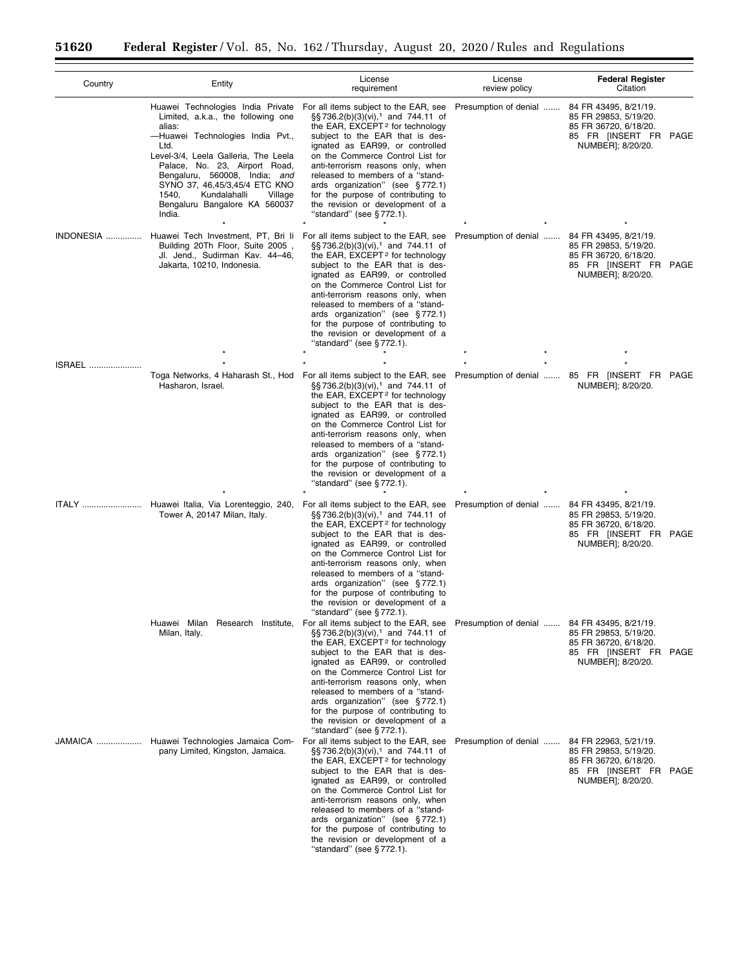| Country | Entity                                                                                                                                                                                                                                                                                                                                                  | License<br>requirement                                                                                                                                                                                                                                                                                                                                                                                                                                                                                | License<br>review policy                     | <b>Federal Register</b><br>Citation                                                                                   |
|---------|---------------------------------------------------------------------------------------------------------------------------------------------------------------------------------------------------------------------------------------------------------------------------------------------------------------------------------------------------------|-------------------------------------------------------------------------------------------------------------------------------------------------------------------------------------------------------------------------------------------------------------------------------------------------------------------------------------------------------------------------------------------------------------------------------------------------------------------------------------------------------|----------------------------------------------|-----------------------------------------------------------------------------------------------------------------------|
|         | Huawei Technologies India Private<br>Limited, a.k.a., the following one<br>alias:<br>-Huawei Technologies India Pvt.,<br>Ltd.<br>Level-3/4, Leela Galleria, The Leela<br>Palace, No. 23, Airport Road,<br>Bengaluru, 560008, India; and<br>SYNO 37, 46,45/3,45/4 ETC KNO<br>Kundalahalli<br>1540,<br>Village<br>Bengaluru Bangalore KA 560037<br>India. | For all items subject to the EAR, see<br>§§736.2(b)(3)(vi), <sup>1</sup> and 744.11 of<br>the EAR, EXCEPT <sup>2</sup> for technology<br>subject to the EAR that is des-<br>ignated as EAR99, or controlled<br>on the Commerce Control List for<br>anti-terrorism reasons only, when<br>released to members of a "stand-<br>ards organization" (see §772.1)<br>for the purpose of contributing to<br>the revision or development of a<br>"standard" (see §772.1).                                     | Presumption of denial                        | 84 FR 43495, 8/21/19.<br>85 FR 29853, 5/19/20.<br>85 FR 36720, 6/18/20.<br>85 FR [INSERT FR PAGE<br>NUMBER]; 8/20/20. |
|         | INDONESIA  Huawei Tech Investment, PT, Bri Ii For all items subject to the EAR, see<br>Building 20Th Floor, Suite 2005,<br>Jl. Jend., Sudirman Kav. 44–46,<br>Jakarta, 10210, Indonesia.                                                                                                                                                                | §§736.2(b)(3)(vi), <sup>1</sup> and 744.11 of<br>the EAR, $EXCEPT2$ for technology<br>subject to the EAR that is des-<br>ignated as EAR99, or controlled<br>on the Commerce Control List for<br>anti-terrorism reasons only, when<br>released to members of a "stand-<br>ards organization" (see §772.1)<br>for the purpose of contributing to<br>the revision or development of a<br>"standard" (see §772.1).                                                                                        | Presumption of denial                        | 84 FR 43495, 8/21/19.<br>85 FR 29853, 5/19/20.<br>85 FR 36720, 6/18/20.<br>85 FR [INSERT FR PAGE<br>NUMBER]; 8/20/20. |
| ISRAEL  |                                                                                                                                                                                                                                                                                                                                                         |                                                                                                                                                                                                                                                                                                                                                                                                                                                                                                       |                                              |                                                                                                                       |
|         | Hasharon, Israel.                                                                                                                                                                                                                                                                                                                                       | Toga Networks, 4 Haharash St., Hod For all items subject to the EAR, see<br>§§736.2(b)(3)(vi), <sup>1</sup> and 744.11 of<br>the EAR, EXCEPT <sup>2</sup> for technology<br>subject to the EAR that is des-<br>ignated as EAR99, or controlled<br>on the Commerce Control List for<br>anti-terrorism reasons only, when<br>released to members of a "stand-<br>ards organization" (see §772.1)<br>for the purpose of contributing to<br>the revision or development of a<br>"standard" (see § 772.1). |                                              | Presumption of denial  85 FR [INSERT FR PAGE<br>NUMBER]; 8/20/20.                                                     |
| ITALY   | Huawei Italia, Via Lorenteggio, 240,<br>Tower A, 20147 Milan, Italy.                                                                                                                                                                                                                                                                                    | For all items subject to the EAR, see<br>§§736.2(b)(3)(vi), <sup>1</sup> and 744.11 of<br>the EAR, EXCEPT <sup>2</sup> for technology<br>subject to the EAR that is des-<br>ignated as EAR99, or controlled<br>on the Commerce Control List for<br>anti-terrorism reasons only, when<br>released to members of a "stand-<br>ards organization" (see §772.1)<br>for the purpose of contributing to<br>the revision or development of a<br>"standard" (see §772.1).                                     | Presumption of denial                        | 84 FR 43495, 8/21/19.<br>85 FR 29853, 5/19/20.<br>85 FR 36720, 6/18/20.<br>85 FR [INSERT FR PAGE<br>NUMBER]; 8/20/20. |
|         | Milan, Italy.                                                                                                                                                                                                                                                                                                                                           | Huawei Milan Research Institute, For all items subject to the EAR, see<br>§§736.2(b)(3)(vi), <sup>1</sup> and 744.11 of<br>the EAR, EXCEPT <sup>2</sup> for technology<br>subject to the EAR that is des-<br>ignated as EAR99, or controlled<br>on the Commerce Control List for<br>anti-terrorism reasons only, when<br>released to members of a "stand-<br>ards organization" (see §772.1)<br>for the purpose of contributing to<br>the revision or development of a<br>"standard" (see §772.1).    | Presumption of denial  84 FR 43495, 8/21/19. | 85 FR 29853, 5/19/20.<br>85 FR 36720, 6/18/20.<br>85 FR [INSERT FR PAGE<br>NUMBER]; 8/20/20.                          |
|         | JAMAICA  Huawei Technologies Jamaica Com- For all items subject to the EAR, see<br>pany Limited, Kingston, Jamaica.                                                                                                                                                                                                                                     | §§736.2(b)(3)(vi), <sup>1</sup> and 744.11 of<br>the EAR, EXCEPT <sup>2</sup> for technology<br>subject to the EAR that is des-<br>ignated as EAR99, or controlled<br>on the Commerce Control List for<br>anti-terrorism reasons only, when<br>released to members of a "stand-<br>ards organization" (see §772.1)<br>for the purpose of contributing to<br>the revision or development of a<br>"standard" (see §772.1).                                                                              | Presumption of denial                        | 84 FR 22963, 5/21/19.<br>85 FR 29853, 5/19/20.<br>85 FR 36720, 6/18/20.<br>85 FR [INSERT FR PAGE<br>NUMBER]; 8/20/20. |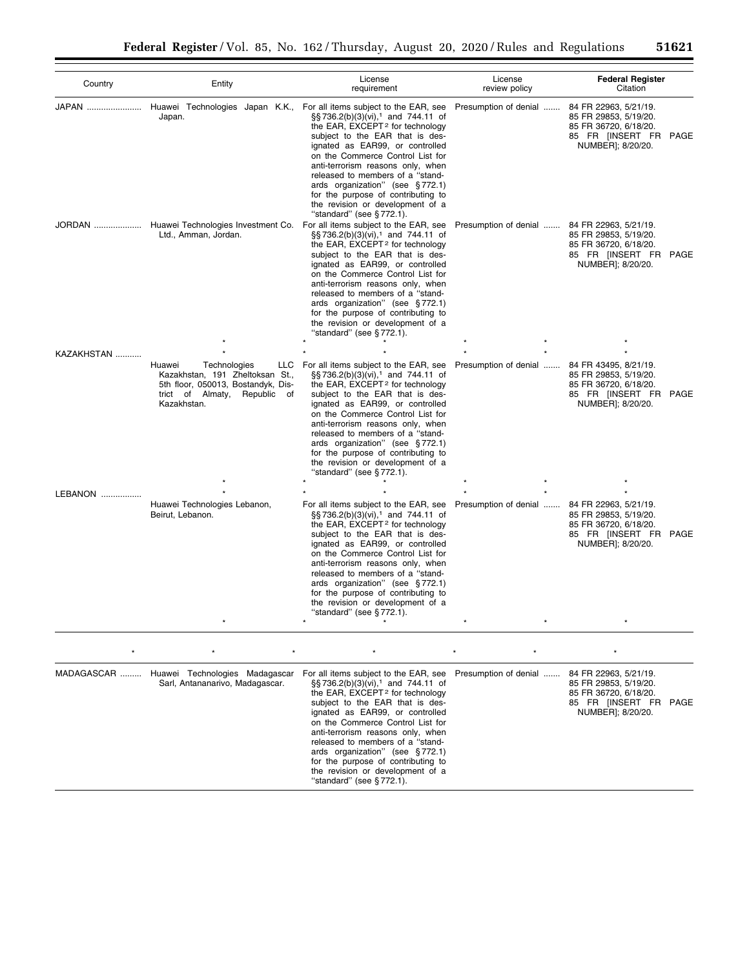| Country    | Entity                                                                                                                                                | License<br>requirement                                                                                                                                                                                                                                                                                                                                                                                                                                                 | License<br>review policy | <b>Federal Register</b><br>Citation                                                                                   |
|------------|-------------------------------------------------------------------------------------------------------------------------------------------------------|------------------------------------------------------------------------------------------------------------------------------------------------------------------------------------------------------------------------------------------------------------------------------------------------------------------------------------------------------------------------------------------------------------------------------------------------------------------------|--------------------------|-----------------------------------------------------------------------------------------------------------------------|
|            | JAPAN  Huawei Technologies Japan K.K.,<br>Japan.                                                                                                      | For all items subject to the EAR, see<br>§§736.2(b)(3)(vi), <sup>1</sup> and 744.11 of<br>the EAR, EXCEPT <sup>2</sup> for technology<br>subject to the EAR that is des-<br>ignated as EAR99, or controlled<br>on the Commerce Control List for<br>anti-terrorism reasons only, when<br>released to members of a "stand-<br>ards organization" (see §772.1)<br>for the purpose of contributing to<br>the revision or development of a<br>"standard" (see §772.1).      | Presumption of denial    | 84 FR 22963, 5/21/19.<br>85 FR 29853, 5/19/20.<br>85 FR 36720, 6/18/20.<br>85 FR [INSERT FR PAGE<br>NUMBER]; 8/20/20. |
|            | JORDAN  Huawei Technologies Investment Co.<br>Ltd., Amman, Jordan.                                                                                    | For all items subject to the EAR, see<br>§§736.2(b)(3)(vi), <sup>1</sup> and 744.11 of<br>the EAR, EXCEPT <sup>2</sup> for technology<br>subject to the EAR that is des-<br>ignated as EAR99, or controlled<br>on the Commerce Control List for<br>anti-terrorism reasons only, when<br>released to members of a "stand-<br>ards organization" (see §772.1)<br>for the purpose of contributing to<br>the revision or development of a<br>"standard" (see §772.1).      | Presumption of denial    | 84 FR 22963, 5/21/19.<br>85 FR 29853, 5/19/20.<br>85 FR 36720, 6/18/20.<br>85 FR [INSERT FR PAGE<br>NUMBER]; 8/20/20. |
| KAZAKHSTAN |                                                                                                                                                       |                                                                                                                                                                                                                                                                                                                                                                                                                                                                        |                          |                                                                                                                       |
|            | Technologies<br>Huawei<br>LLC<br>Kazakhstan, 191 Zheltoksan St.,<br>5th floor, 050013, Bostandyk, Dis-<br>trict of Almaty, Republic of<br>Kazakhstan. | For all items subject to the EAR, see<br>$\S$ S 736.2(b)(3)(vi), <sup>1</sup> and 744.11 of<br>the EAR, EXCEPT <sup>2</sup> for technology<br>subject to the EAR that is des-<br>ignated as EAR99, or controlled<br>on the Commerce Control List for<br>anti-terrorism reasons only, when<br>released to members of a "stand-<br>ards organization" (see §772.1)<br>for the purpose of contributing to<br>the revision or development of a<br>"standard" (see §772.1). | Presumption of denial    | 84 FR 43495, 8/21/19.<br>85 FR 29853, 5/19/20.<br>85 FR 36720, 6/18/20.<br>85 FR [INSERT FR PAGE<br>NUMBER]; 8/20/20. |
| LEBANON    |                                                                                                                                                       |                                                                                                                                                                                                                                                                                                                                                                                                                                                                        |                          |                                                                                                                       |
|            | Huawei Technologies Lebanon,<br>Beirut, Lebanon.                                                                                                      | For all items subject to the EAR, see<br>$\S$ S 736.2(b)(3)(vi), <sup>1</sup> and 744.11 of<br>the EAR, EXCEPT <sup>2</sup> for technology<br>subject to the EAR that is des-<br>ignated as EAR99, or controlled<br>on the Commerce Control List for<br>anti-terrorism reasons only, when<br>released to members of a "stand-<br>ards organization" (see §772.1)<br>for the purpose of contributing to<br>the revision or development of a<br>"standard" (see §772.1). | Presumption of denial    | 84 FR 22963, 5/21/19.<br>85 FR 29853, 5/19/20.<br>85 FR 36720, 6/18/20.<br>85 FR [INSERT FR PAGE<br>NUMBER]; 8/20/20. |
|            |                                                                                                                                                       | $\star$                                                                                                                                                                                                                                                                                                                                                                                                                                                                |                          |                                                                                                                       |
|            | MADAGASCAR  Huawei Technologies Madagascar<br>Sarl, Antananarivo, Madagascar.                                                                         | For all items subject to the EAR, see<br>§§ 736.2(b)(3)(vi), <sup>1</sup> and 744.11 of<br>the EAR, EXCEPT <sup>2</sup> for technology<br>subject to the EAR that is des-<br>ignated as EAR99, or controlled<br>on the Commerce Control List for<br>anti-terrorism reasons only, when<br>released to members of a "stand-<br>ards organization" (see §772.1)<br>for the purpose of contributing to<br>the revision or development of a<br>"standard" (see §772.1).     | Presumption of denial    | 84 FR 22963, 5/21/19.<br>85 FR 29853, 5/19/20.<br>85 FR 36720, 6/18/20.<br>85 FR [INSERT FR PAGE<br>NUMBER]; 8/20/20. |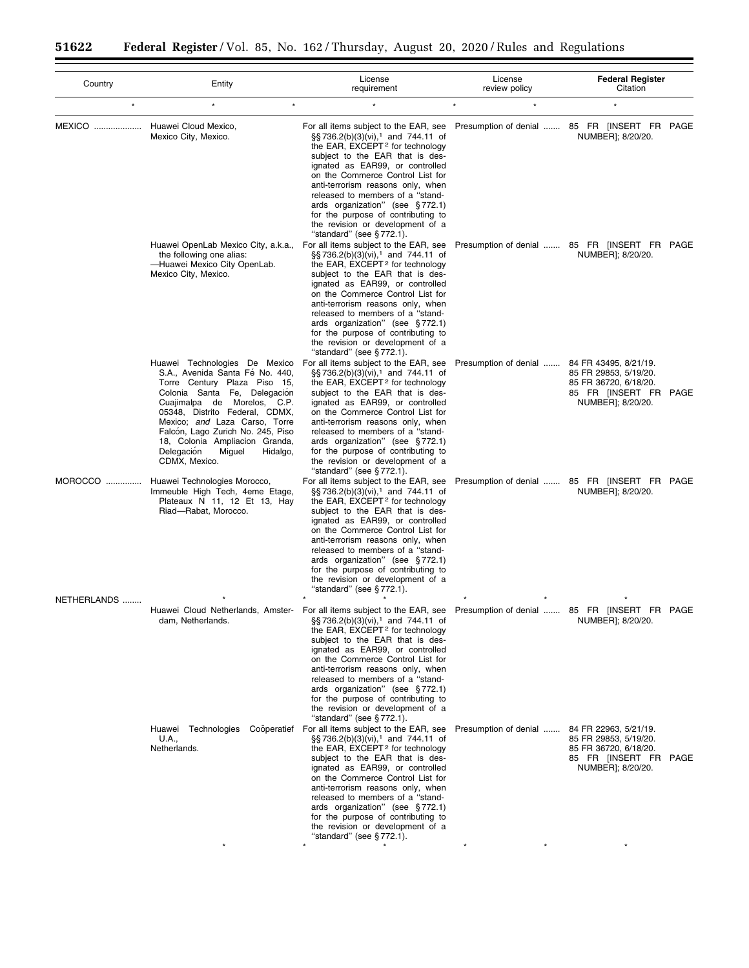| Country     | Entity                                                                                                                                                                                                                                                                                                                                                         | License<br>requirement                                                                                                                                                                                                                                                                                                                                                                                                                                                                                                                               | License<br>review policy                     | <b>Federal Register</b><br>Citation                                                                                   |  |
|-------------|----------------------------------------------------------------------------------------------------------------------------------------------------------------------------------------------------------------------------------------------------------------------------------------------------------------------------------------------------------------|------------------------------------------------------------------------------------------------------------------------------------------------------------------------------------------------------------------------------------------------------------------------------------------------------------------------------------------------------------------------------------------------------------------------------------------------------------------------------------------------------------------------------------------------------|----------------------------------------------|-----------------------------------------------------------------------------------------------------------------------|--|
| $\star$     | $\star$<br>$\star$                                                                                                                                                                                                                                                                                                                                             |                                                                                                                                                                                                                                                                                                                                                                                                                                                                                                                                                      |                                              |                                                                                                                       |  |
|             | MEXICO  Huawei Cloud Mexico,<br>Mexico City, Mexico.                                                                                                                                                                                                                                                                                                           | For all items subject to the EAR, see<br>§§736.2(b)(3)(vi), <sup>1</sup> and 744.11 of<br>the EAR, EXCEPT <sup>2</sup> for technology<br>subject to the EAR that is des-<br>ignated as EAR99, or controlled<br>on the Commerce Control List for<br>anti-terrorism reasons only, when<br>released to members of a "stand-<br>ards organization" (see §772.1)<br>for the purpose of contributing to<br>the revision or development of a<br>"standard" (see $\S 772.1$ ).                                                                               |                                              | Presumption of denial  85 FR [INSERT FR PAGE<br>NUMBER]; 8/20/20.                                                     |  |
|             | Huawei OpenLab Mexico City, a.k.a.,<br>the following one alias:<br>-Huawei Mexico City OpenLab.<br>Mexico City, Mexico.                                                                                                                                                                                                                                        | For all items subject to the EAR, see<br>§§736.2(b)(3)(vi), <sup>1</sup> and 744.11 of<br>the EAR, EXCEPT <sup>2</sup> for technology<br>subject to the EAR that is des-<br>ignated as EAR99, or controlled<br>on the Commerce Control List for<br>anti-terrorism reasons only, when<br>released to members of a "stand-<br>ards organization" (see §772.1)<br>for the purpose of contributing to<br>the revision or development of a<br>"standard" (see §772.1).                                                                                    |                                              | Presumption of denial  85 FR [INSERT FR PAGE<br>NUMBER]; 8/20/20.                                                     |  |
|             | Huawei Technologies De Mexico<br>S.A., Avenida Santa Fé No. 440,<br>Torre Century Plaza Piso 15,<br>Colonia Santa Fe, Delegación<br>Cuajimalpa de Morelos, C.P.<br>05348, Distrito Federal, CDMX,<br>Mexico; and Laza Carso, Torre<br>Falcón, Lago Zurich No. 245, Piso<br>18, Colonia Ampliacion Granda,<br>Delegación<br>Miguel<br>Hidalgo,<br>CDMX, Mexico. | For all items subject to the EAR, see<br>§§736.2(b)(3)(vi), <sup>1</sup> and 744.11 of<br>the EAR, EXCEPT <sup>2</sup> for technology<br>subject to the EAR that is des-<br>ignated as EAR99, or controlled<br>on the Commerce Control List for<br>anti-terrorism reasons only, when<br>released to members of a "stand-<br>ards organization" (see §772.1)<br>for the purpose of contributing to<br>the revision or development of a<br>"standard" (see §772.1).                                                                                    | Presumption of denial                        | 84 FR 43495, 8/21/19.<br>85 FR 29853, 5/19/20.<br>85 FR 36720, 6/18/20.<br>85 FR [INSERT FR PAGE<br>NUMBER]; 8/20/20. |  |
| MOROCCO     | Huawei Technologies Morocco,<br>Immeuble High Tech, 4eme Etage,<br>Plateaux N 11, 12 Et 13, Hay<br>Riad-Rabat, Morocco.                                                                                                                                                                                                                                        | For all items subject to the EAR, see<br>§§736.2(b)(3)(vi), <sup>1</sup> and 744.11 of<br>the EAR, EXCEPT <sup>2</sup> for technology<br>subject to the EAR that is des-<br>ignated as EAR99, or controlled<br>on the Commerce Control List for<br>anti-terrorism reasons only, when<br>released to members of a "stand-<br>ards organization" (see §772.1)<br>for the purpose of contributing to<br>the revision or development of a<br>"standard" (see §772.1).                                                                                    |                                              | Presumption of denial  85 FR [INSERT FR PAGE<br>NUMBER]; 8/20/20.                                                     |  |
| NETHERLANDS | dam, Netherlands.                                                                                                                                                                                                                                                                                                                                              | Huawei Cloud Netherlands, Amster- For all items subject to the EAR, see Presumption of denial  85 FR [INSERT FR PAGE<br>§§736.2(b)(3)(vi), <sup>1</sup> and 744.11 of<br>the EAR, EXCEPT <sup>2</sup> for technology<br>subject to the EAR that is des-<br>ignated as EAR99, or controlled<br>on the Commerce Control List for<br>anti-terrorism reasons only, when<br>released to members of a "stand-<br>ards organization" (see §772.1)<br>for the purpose of contributing to<br>the revision or development of a<br>"standard" (see $§ 772.1$ ). |                                              | NUMBER]; 8/20/20.                                                                                                     |  |
|             | Huawei Technologies<br>U.A.,<br>Netherlands.                                                                                                                                                                                                                                                                                                                   | Cooperatief For all items subject to the EAR, see<br>§§736.2(b)(3)(vi), <sup>1</sup> and 744.11 of<br>the EAR, EXCEPT <sup>2</sup> for technology<br>subject to the EAR that is des-<br>ignated as EAR99, or controlled<br>on the Commerce Control List for<br>anti-terrorism reasons only, when<br>released to members of a "stand-<br>ards organization" (see §772.1)<br>for the purpose of contributing to<br>the revision or development of a<br>"standard" (see §772.1).                                                                        | Presumption of denial  84 FR 22963, 5/21/19. | 85 FR 29853, 5/19/20.<br>85 FR 36720, 6/18/20.<br>85 FR [INSERT FR PAGE<br>NUMBER]; 8/20/20.                          |  |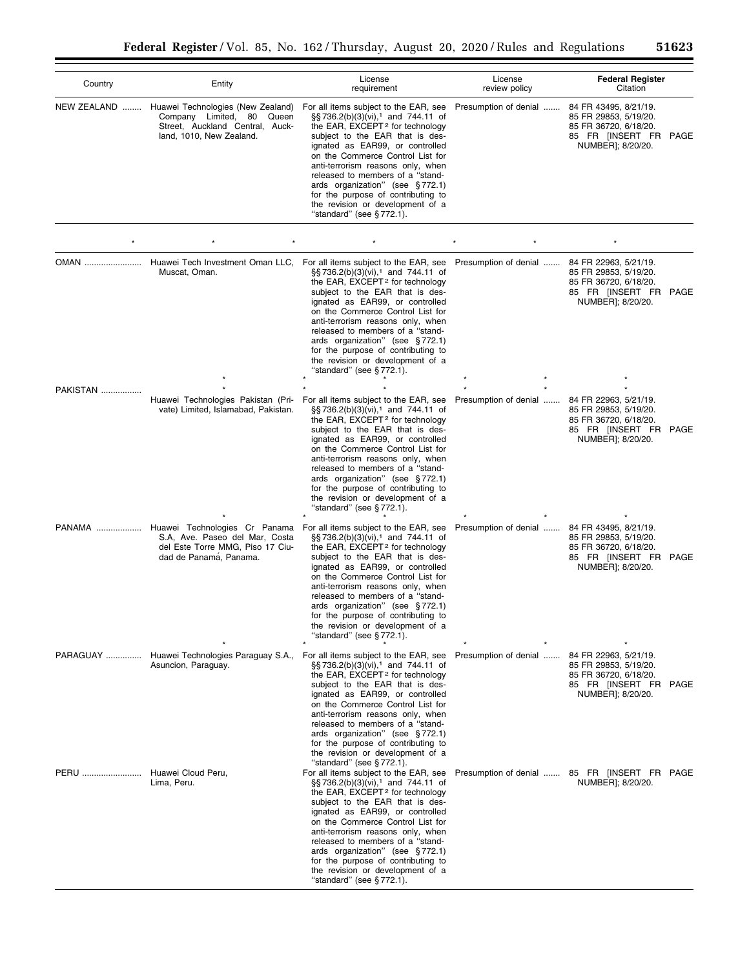| Country                  | Entity                                                                                                                                                              | License<br>requirement                                                                                                                                                                                                                                                                                                                                                                                                                                            | License<br>review policy | <b>Federal Register</b><br>Citation                                                                                   |
|--------------------------|---------------------------------------------------------------------------------------------------------------------------------------------------------------------|-------------------------------------------------------------------------------------------------------------------------------------------------------------------------------------------------------------------------------------------------------------------------------------------------------------------------------------------------------------------------------------------------------------------------------------------------------------------|--------------------------|-----------------------------------------------------------------------------------------------------------------------|
| NEW ZEALAND              | Huawei Technologies (New Zealand)<br>Company Limited, 80<br>Queen<br>Street, Auckland Central, Auck-<br>land, 1010, New Zealand.                                    | For all items subject to the EAR, see<br>§§736.2(b)(3)(vi), <sup>1</sup> and 744.11 of<br>the EAR, EXCEPT <sup>2</sup> for technology<br>subject to the EAR that is des-<br>ignated as EAR99, or controlled<br>on the Commerce Control List for<br>anti-terrorism reasons only, when<br>released to members of a "stand-<br>ards organization" (see §772.1)<br>for the purpose of contributing to<br>the revision or development of a<br>"standard" (see §772.1). | Presumption of denial    | 84 FR 43495, 8/21/19.<br>85 FR 29853, 5/19/20.<br>85 FR 36720, 6/18/20.<br>85 FR [INSERT FR PAGE<br>NUMBER]; 8/20/20. |
|                          |                                                                                                                                                                     |                                                                                                                                                                                                                                                                                                                                                                                                                                                                   |                          |                                                                                                                       |
| OMAN                     | Huawei Tech Investment Oman LLC,<br>Muscat, Oman.                                                                                                                   | For all items subject to the EAR, see<br>§§736.2(b)(3)(vi), <sup>1</sup> and 744.11 of<br>the EAR, EXCEPT <sup>2</sup> for technology<br>subject to the EAR that is des-<br>ignated as EAR99, or controlled<br>on the Commerce Control List for<br>anti-terrorism reasons only, when<br>released to members of a "stand-<br>ards organization" (see §772.1)<br>for the purpose of contributing to<br>the revision or development of a<br>"standard" (see §772.1). | Presumption of denial    | 84 FR 22963, 5/21/19.<br>85 FR 29853, 5/19/20.<br>85 FR 36720, 6/18/20.<br>85 FR [INSERT FR PAGE<br>NUMBER]; 8/20/20. |
|                          |                                                                                                                                                                     |                                                                                                                                                                                                                                                                                                                                                                                                                                                                   |                          |                                                                                                                       |
| <b>PAKISTAN </b>         | Huawei Technologies Pakistan (Pri-<br>vate) Limited, Islamabad, Pakistan.                                                                                           | For all items subject to the EAR, see<br>§§736.2(b)(3)(vi), <sup>1</sup> and 744.11 of<br>the EAR, EXCEPT <sup>2</sup> for technology<br>subject to the EAR that is des-<br>ignated as EAR99, or controlled<br>on the Commerce Control List for<br>anti-terrorism reasons only, when<br>released to members of a "stand-<br>ards organization" (see §772.1)<br>for the purpose of contributing to<br>the revision or development of a<br>"standard" (see §772.1). | Presumption of denial    | 84 FR 22963, 5/21/19.<br>85 FR 29853, 5/19/20.<br>85 FR 36720, 6/18/20.<br>85 FR [INSERT FR PAGE<br>NUMBER]; 8/20/20. |
| PANAMA                   | Huawei Technologies Cr Panama For all items subject to the EAR, see<br>S.A, Ave. Paseo del Mar, Costa<br>del Este Torre MMG, Piso 17 Ciu-<br>dad de Panamá, Panama. | §§736.2(b)(3)(vi), <sup>1</sup> and 744.11 of<br>the EAR, EXCEPT <sup>2</sup> for technology<br>subject to the EAR that is des-<br>ignated as EAR99, or controlled<br>on the Commerce Control List for<br>anti-terrorism reasons only, when<br>released to members of a "stand-<br>ards organization" (see §772.1)<br>for the purpose of contributing to<br>the revision or development of a<br>"standard" (see §772.1).                                          | Presumption of denial    | 84 FR 43495, 8/21/19.<br>85 FR 29853, 5/19/20.<br>85 FR 36720, 6/18/20.<br>85 FR [INSERT FR PAGE<br>NUMBER]; 8/20/20. |
|                          | PARAGUAY  Huawei Technologies Paraguay S.A.,<br>Asuncion, Paraguay.                                                                                                 | For all items subject to the EAR, see<br>§§736.2(b)(3)(vi), <sup>1</sup> and 744.11 of<br>the EAR, EXCEPT <sup>2</sup> for technology<br>subject to the EAR that is des-<br>ignated as EAR99, or controlled<br>on the Commerce Control List for<br>anti-terrorism reasons only, when<br>released to members of a "stand-<br>ards organization" (see §772.1)<br>for the purpose of contributing to<br>the revision or development of a<br>"standard" (see §772.1). | Presumption of denial    | 84 FR 22963, 5/21/19.<br>85 FR 29853, 5/19/20.<br>85 FR 36720, 6/18/20.<br>85 FR [INSERT FR PAGE<br>NUMBER]; 8/20/20. |
| PERU  Huawei Cloud Peru, | Lima, Peru.                                                                                                                                                         | For all items subject to the EAR, see<br>§§736.2(b)(3)(vi), <sup>1</sup> and 744.11 of<br>the EAR, EXCEPT <sup>2</sup> for technology<br>subject to the EAR that is des-<br>ignated as EAR99, or controlled<br>on the Commerce Control List for<br>anti-terrorism reasons only, when<br>released to members of a "stand-<br>ards organization" (see §772.1)<br>for the purpose of contributing to<br>the revision or development of a<br>"standard" (see §772.1). |                          | Presumption of denial  85 FR [INSERT FR PAGE<br>NUMBER]; 8/20/20.                                                     |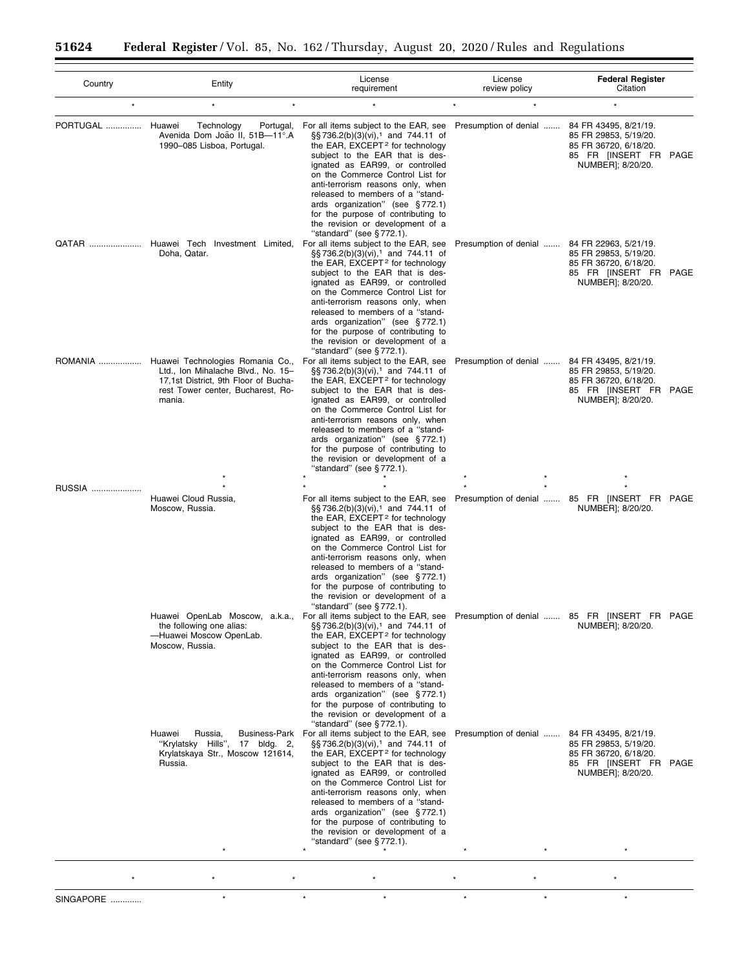| Country          | Entity                                                                                                                                                                 | License<br>requirement                                                                                                                                                                                                                                                                                                                                                                                                                                                                                                                      | License<br>review policy                     | <b>Federal Register</b><br>Citation                                                                                   |
|------------------|------------------------------------------------------------------------------------------------------------------------------------------------------------------------|---------------------------------------------------------------------------------------------------------------------------------------------------------------------------------------------------------------------------------------------------------------------------------------------------------------------------------------------------------------------------------------------------------------------------------------------------------------------------------------------------------------------------------------------|----------------------------------------------|-----------------------------------------------------------------------------------------------------------------------|
| $\star$          | $\star$                                                                                                                                                                |                                                                                                                                                                                                                                                                                                                                                                                                                                                                                                                                             |                                              |                                                                                                                       |
| <b>PORTUGAL </b> | Huawei<br>Technology<br>Portugal,<br>Avenida Dom João II, 51B-11°.A<br>1990-085 Lisboa, Portugal.                                                                      | For all items subject to the EAR, see<br>§§736.2(b)(3)(vi), <sup>1</sup> and 744.11 of<br>the EAR, EXCEPT <sup>2</sup> for technology<br>subject to the EAR that is des-<br>ignated as EAR99, or controlled<br>on the Commerce Control List for<br>anti-terrorism reasons only, when<br>released to members of a "stand-<br>ards organization" (see §772.1)<br>for the purpose of contributing to<br>the revision or development of a<br>"standard" (see $\S 772.1$ ).                                                                      | Presumption of denial                        | 84 FR 43495, 8/21/19.<br>85 FR 29853, 5/19/20.<br>85 FR 36720, 6/18/20.<br>85 FR [INSERT FR PAGE<br>NUMBER]; 8/20/20. |
|                  | QATAR  Huawei Tech Investment Limited,<br>Doha, Qatar.                                                                                                                 | For all items subject to the EAR, see<br>§§736.2(b)(3)(vi), <sup>1</sup> and 744.11 of<br>the EAR, EXCEPT <sup>2</sup> for technology<br>subject to the EAR that is des-<br>ignated as EAR99, or controlled<br>on the Commerce Control List for<br>anti-terrorism reasons only, when<br>released to members of a "stand-<br>ards organization" (see §772.1)<br>for the purpose of contributing to<br>the revision or development of a<br>"standard" (see §772.1).                                                                           | Presumption of denial                        | 84 FR 22963, 5/21/19.<br>85 FR 29853, 5/19/20.<br>85 FR 36720, 6/18/20.<br>85 FR [INSERT FR PAGE<br>NUMBER]; 8/20/20. |
|                  | ROMANIA  Huawei Technologies Romania Co.,<br>Ltd., Ion Mihalache Blvd., No. 15-<br>17,1st District, 9th Floor of Bucha-<br>rest Tower center, Bucharest, Ro-<br>mania. | For all items subject to the EAR, see<br>§§736.2(b)(3)(vi), <sup>1</sup> and 744.11 of<br>the EAR, EXCEPT <sup>2</sup> for technology<br>subject to the EAR that is des-<br>ignated as EAR99, or controlled<br>on the Commerce Control List for<br>anti-terrorism reasons only, when<br>released to members of a "stand-<br>ards organization" (see §772.1)<br>for the purpose of contributing to<br>the revision or development of a<br>"standard" (see §772.1).                                                                           | Presumption of denial  84 FR 43495, 8/21/19. | 85 FR 29853, 5/19/20.<br>85 FR 36720, 6/18/20.<br>85 FR [INSERT FR PAGE<br>NUMBER]; 8/20/20.                          |
| RUSSIA           |                                                                                                                                                                        |                                                                                                                                                                                                                                                                                                                                                                                                                                                                                                                                             |                                              |                                                                                                                       |
|                  | Huawei Cloud Russia,<br>Moscow, Russia.                                                                                                                                | For all items subject to the EAR, see<br>§§736.2(b)(3)(vi), <sup>1</sup> and 744.11 of<br>the EAR, EXCEPT <sup>2</sup> for technology<br>subject to the EAR that is des-<br>ignated as EAR99, or controlled<br>on the Commerce Control List for<br>anti-terrorism reasons only, when<br>released to members of a "stand-<br>ards organization" (see §772.1)<br>for the purpose of contributing to<br>the revision or development of a<br>"standard" (see §772.1).                                                                           |                                              | Presumption of denial  85 FR [INSERT FR PAGE<br>NUMBER]; 8/20/20.                                                     |
|                  | the following one alias:<br>-Huawei Moscow OpenLab.<br>Moscow, Russia.                                                                                                 | Huawei OpenLab Moscow, a.k.a., Forallitems subject to the EAR, see Presumption of denial  85 FR [INSERT FR PAGE<br>§§736.2(b)(3)(vi), <sup>1</sup> and 744.11 of<br>the EAR, EXCEPT <sup>2</sup> for technology<br>subject to the EAR that is des-<br>ignated as EAR99, or controlled<br>on the Commerce Control List for<br>anti-terrorism reasons only, when<br>released to members of a "stand-<br>ards organization" (see §772.1)<br>for the purpose of contributing to<br>the revision or development of a<br>"standard" (see §772.1). |                                              | NUMBER]; 8/20/20.                                                                                                     |
|                  | Huawei<br>Russia,<br><b>Business-Park</b><br>"Krylatsky Hills",<br>17 bldg. 2,<br>Krylatskaya Str., Moscow 121614,<br>Russia.                                          | For all items subject to the EAR, see<br>§§736.2(b)(3)(vi), <sup>1</sup> and 744.11 of<br>the EAR, EXCEPT <sup>2</sup> for technology<br>subject to the EAR that is des-<br>ignated as EAR99, or controlled<br>on the Commerce Control List for<br>anti-terrorism reasons only, when<br>released to members of a "stand-<br>ards organization" (see §772.1)<br>for the purpose of contributing to<br>the revision or development of a<br>"standard" (see §772.1).                                                                           | Presumption of denial                        | 84 FR 43495, 8/21/19.<br>85 FR 29853, 5/19/20.<br>85 FR 36720, 6/18/20.<br>85 FR [INSERT FR PAGE<br>NUMBER]; 8/20/20. |
|                  |                                                                                                                                                                        |                                                                                                                                                                                                                                                                                                                                                                                                                                                                                                                                             |                                              |                                                                                                                       |
|                  |                                                                                                                                                                        |                                                                                                                                                                                                                                                                                                                                                                                                                                                                                                                                             |                                              |                                                                                                                       |
| SINGAPORE        | $\star$                                                                                                                                                                | $\star$<br>$\star$                                                                                                                                                                                                                                                                                                                                                                                                                                                                                                                          | $\star$<br>$\star$                           | $\star$                                                                                                               |

 $\equiv$ 

٠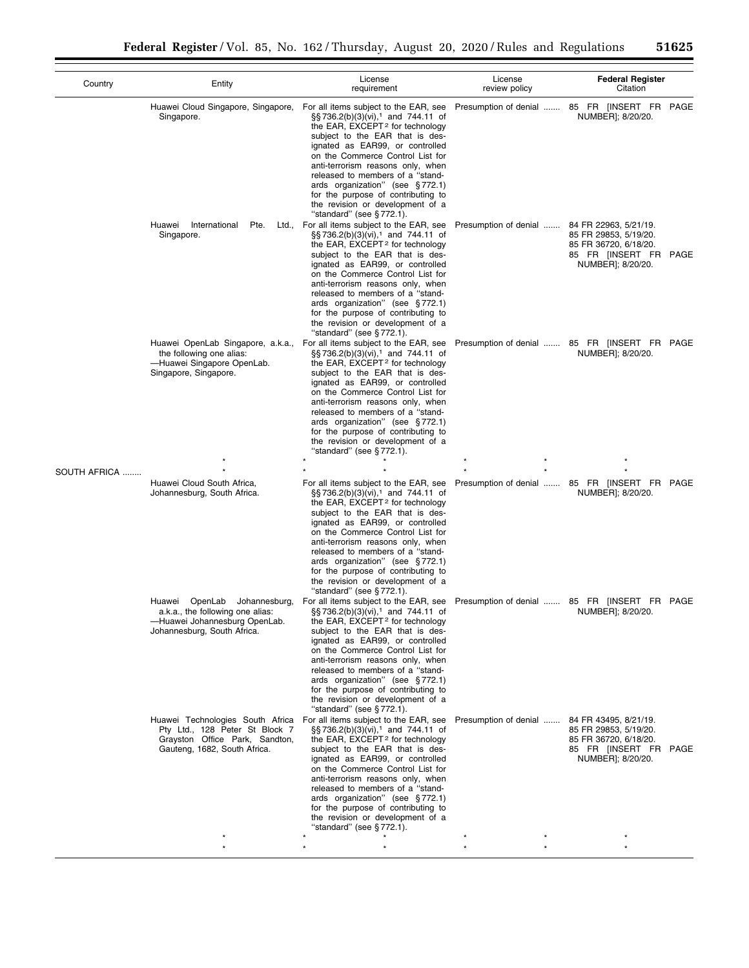| Country      | Entity                                                                                                                               | License<br>requirement                                                                                                                                                                                                                                                                                                                                                                                                                                                   | License<br>review policy                     | <b>Federal Register</b><br>Citation                                                          |
|--------------|--------------------------------------------------------------------------------------------------------------------------------------|--------------------------------------------------------------------------------------------------------------------------------------------------------------------------------------------------------------------------------------------------------------------------------------------------------------------------------------------------------------------------------------------------------------------------------------------------------------------------|----------------------------------------------|----------------------------------------------------------------------------------------------|
|              | Huawei Cloud Singapore, Singapore,<br>Singapore.                                                                                     | For all items subject to the EAR, see<br>$\S$ §736.2(b)(3)(vi), <sup>1</sup> and 744.11 of<br>the EAR, EXCEPT <sup>2</sup> for technology<br>subject to the EAR that is des-<br>ignated as EAR99, or controlled<br>on the Commerce Control List for<br>anti-terrorism reasons only, when<br>released to members of a "stand-<br>ards organization" (see §772.1)<br>for the purpose of contributing to<br>the revision or development of a<br>"standard" (see §772.1).    |                                              | Presumption of denial  85 FR [INSERT FR PAGE<br>NUMBER]; 8/20/20.                            |
|              | Huawei International<br>Pte.<br>Ltd.,<br>Singapore.                                                                                  | For all items subject to the EAR, see<br>§§ 736.2(b)(3)(vi), <sup>1</sup> and 744.11 of<br>the EAR, EXCEPT <sup>2</sup> for technology<br>subject to the EAR that is des-<br>ignated as EAR99, or controlled<br>on the Commerce Control List for<br>anti-terrorism reasons only, when<br>released to members of a "stand-<br>ards organization" (see §772.1)<br>for the purpose of contributing to<br>the revision or development of a<br>"standard" (see §772.1).       | Presumption of denial  84 FR 22963, 5/21/19. | 85 FR 29853, 5/19/20.<br>85 FR 36720, 6/18/20.<br>85 FR [INSERT FR PAGE<br>NUMBER]; 8/20/20. |
|              | Huawei OpenLab Singapore, a.k.a.,<br>the following one alias:<br>-Huawei Singapore OpenLab.<br>Singapore, Singapore.                 | For all items subject to the EAR, see<br>$\S$ §736.2(b)(3)(vi), <sup>1</sup> and 744.11 of<br>the EAR, EXCEPT <sup>2</sup> for technology<br>subject to the EAR that is des-<br>ignated as EAR99, or controlled<br>on the Commerce Control List for<br>anti-terrorism reasons only, when<br>released to members of a "stand-<br>ards organization" (see §772.1)<br>for the purpose of contributing to<br>the revision or development of a<br>"standard" (see §772.1).    |                                              | Presumption of denial  85 FR [INSERT FR PAGE<br>NUMBER]; 8/20/20.                            |
|              |                                                                                                                                      |                                                                                                                                                                                                                                                                                                                                                                                                                                                                          |                                              |                                                                                              |
| SOUTH AFRICA | Huawei Cloud South Africa,<br>Johannesburg, South Africa.                                                                            | For all items subject to the EAR, see<br>$\S$ §736.2(b)(3)(vi), <sup>1</sup> and 744.11 of<br>the EAR, EXCEPT <sup>2</sup> for technology<br>subject to the EAR that is des-<br>ignated as EAR99, or controlled<br>on the Commerce Control List for<br>anti-terrorism reasons only, when<br>released to members of a "stand-<br>ards organization" (see §772.1)<br>for the purpose of contributing to<br>the revision or development of a<br>"standard" (see §772.1).    |                                              | Presumption of denial  85 FR [INSERT FR PAGE<br>NUMBER]; 8/20/20.                            |
|              | Johannesburg,<br>Huawei OpenLab<br>a.k.a., the following one alias:<br>-Huawei Johannesburg OpenLab.<br>Johannesburg, South Africa.  | For all items subject to the EAR, see<br>$\S$ §736.2(b)(3)(vi), <sup>1</sup> and 744.11 of<br>the EAR, EXCEPT <sup>2</sup> for technology<br>subject to the EAR that is des-<br>ignated as EAR99, or controlled<br>on the Commerce Control List for<br>anti-terrorism reasons only, when<br>released to members of a "stand-<br>ards organization" (see §772.1)<br>for the purpose of contributing to<br>the revision or development of a<br>"standard" (see $§$ 772.1). |                                              | Presumption of denial  85 FR [INSERT FR PAGE<br>NUMBER]; 8/20/20.                            |
|              | Huawei Technologies South Africa<br>Pty Ltd., 128 Peter St Block 7<br>Grayston Office Park, Sandton,<br>Gauteng, 1682, South Africa. | For all items subject to the EAR, see<br>§§ 736.2(b)(3)(vi), <sup>1</sup> and 744.11 of<br>the EAR, EXCEPT <sup>2</sup> for technology<br>subject to the EAR that is des-<br>ignated as EAR99, or controlled<br>on the Commerce Control List for<br>anti-terrorism reasons only, when<br>released to members of a "stand-<br>ards organization" (see §772.1)<br>for the purpose of contributing to<br>the revision or development of a<br>"standard" (see §772.1).       | Presumption of denial  84 FR 43495, 8/21/19. | 85 FR 29853, 5/19/20.<br>85 FR 36720, 6/18/20.<br>85 FR [INSERT FR PAGE<br>NUMBER]; 8/20/20. |
|              |                                                                                                                                      |                                                                                                                                                                                                                                                                                                                                                                                                                                                                          |                                              |                                                                                              |
|              |                                                                                                                                      |                                                                                                                                                                                                                                                                                                                                                                                                                                                                          |                                              |                                                                                              |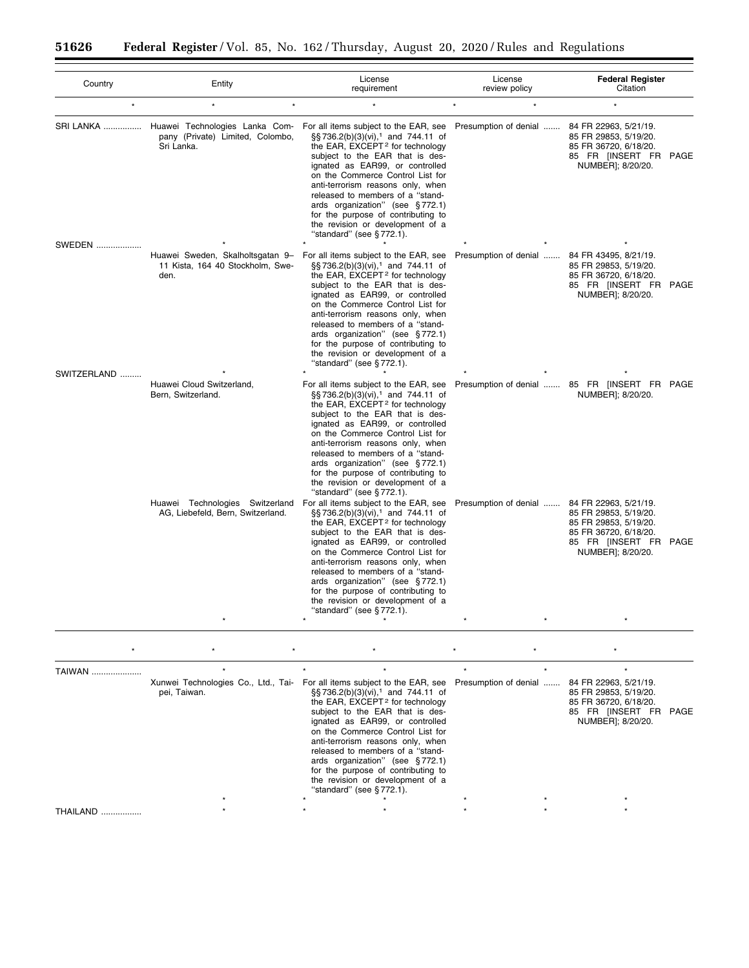Ξ

| Country       | Entity                                                                                      | License<br>requirement                                                                                                                                                                                                                                                                                                                                                                                                                                            | License<br>review policy | <b>Federal Register</b><br>Citation                                                                                                            |
|---------------|---------------------------------------------------------------------------------------------|-------------------------------------------------------------------------------------------------------------------------------------------------------------------------------------------------------------------------------------------------------------------------------------------------------------------------------------------------------------------------------------------------------------------------------------------------------------------|--------------------------|------------------------------------------------------------------------------------------------------------------------------------------------|
| $\star$       | $\star$                                                                                     |                                                                                                                                                                                                                                                                                                                                                                                                                                                                   | $\star$                  | ÷                                                                                                                                              |
|               | SRI LANKA  Huawei Technologies Lanka Com-<br>pany (Private) Limited, Colombo,<br>Sri Lanka. | For all items subject to the EAR, see<br>§§736.2(b)(3)(vi), <sup>1</sup> and 744.11 of<br>the EAR, EXCEPT <sup>2</sup> for technology<br>subject to the EAR that is des-<br>ignated as EAR99, or controlled<br>on the Commerce Control List for<br>anti-terrorism reasons only, when<br>released to members of a "stand-<br>ards organization" (see §772.1)<br>for the purpose of contributing to<br>the revision or development of a<br>"standard" (see §772.1). | Presumption of denial    | 84 FR 22963, 5/21/19.<br>85 FR 29853, 5/19/20.<br>85 FR 36720, 6/18/20.<br>85 FR [INSERT FR PAGE<br>NUMBER]; 8/20/20.                          |
| <b>SWEDEN</b> | Huawei Sweden, Skalholtsgatan 9-<br>11 Kista, 164 40 Stockholm, Swe-<br>den.                | For all items subject to the EAR, see<br>§§736.2(b)(3)(vi), <sup>1</sup> and 744.11 of<br>the EAR, EXCEPT <sup>2</sup> for technology<br>subject to the EAR that is des-<br>ignated as EAR99, or controlled<br>on the Commerce Control List for<br>anti-terrorism reasons only, when<br>released to members of a "stand-<br>ards organization" (see §772.1)<br>for the purpose of contributing to<br>the revision or development of a<br>"standard" (see §772.1). | Presumption of denial    | 84 FR 43495, 8/21/19.<br>85 FR 29853, 5/19/20.<br>85 FR 36720, 6/18/20.<br>85 FR [INSERT FR PAGE<br>NUMBER]; 8/20/20.                          |
| SWITZERLAND   | Huawei Cloud Switzerland,<br>Bern, Switzerland.                                             | For all items subject to the EAR, see<br>§§736.2(b)(3)(vi), <sup>1</sup> and 744.11 of<br>the EAR, EXCEPT <sup>2</sup> for technology<br>subject to the EAR that is des-<br>ignated as EAR99, or controlled<br>on the Commerce Control List for<br>anti-terrorism reasons only, when<br>released to members of a "stand-<br>ards organization" (see §772.1)<br>for the purpose of contributing to<br>the revision or development of a<br>"standard" (see §772.1). |                          | Presumption of denial  85 FR [INSERT FR PAGE<br>NUMBER]; 8/20/20.                                                                              |
|               | Huawei Technologies Switzerland<br>AG, Liebefeld, Bern, Switzerland.                        | For all items subject to the EAR, see<br>§§736.2(b)(3)(vi), <sup>1</sup> and 744.11 of<br>the EAR, EXCEPT <sup>2</sup> for technology<br>subject to the EAR that is des-<br>ignated as EAR99, or controlled<br>on the Commerce Control List for<br>anti-terrorism reasons only, when<br>released to members of a "stand-<br>ards organization" (see §772.1)<br>for the purpose of contributing to<br>the revision or development of a<br>"standard" (see §772.1). | Presumption of denial    | 84 FR 22963, 5/21/19.<br>85 FR 29853, 5/19/20.<br>85 FR 29853, 5/19/20.<br>85 FR 36720, 6/18/20.<br>85 FR [INSERT FR PAGE<br>NUMBER]; 8/20/20. |

| TAIWAN.  |              |                                                                                                                                                                                                                                                                                                                                                                                                                                                                                                                                         |  |                                                                                                                       |  |
|----------|--------------|-----------------------------------------------------------------------------------------------------------------------------------------------------------------------------------------------------------------------------------------------------------------------------------------------------------------------------------------------------------------------------------------------------------------------------------------------------------------------------------------------------------------------------------------|--|-----------------------------------------------------------------------------------------------------------------------|--|
|          | pei, Taiwan. | Xunwei Technologies Co., Ltd., Tai- For all items subject to the EAR, see Presumption of denial<br>$\S$ §736.2(b)(3)(vi), <sup>1</sup> and 744.11 of<br>the EAR, EXCEPT <sup>2</sup> for technology<br>subject to the EAR that is des-<br>ignated as EAR99, or controlled<br>on the Commerce Control List for<br>anti-terrorism reasons only, when<br>released to members of a "stand-<br>ards organization" (see $\S 772.1$ )<br>for the purpose of contributing to<br>the revision or development of a<br>"standard" (see $§772.1$ ). |  | 84 FR 22963, 5/21/19.<br>85 FR 29853, 5/19/20.<br>85 FR 36720, 6/18/20.<br>85 FR [INSERT FR PAGE<br>NUMBER]; 8/20/20. |  |
| THAILAND |              |                                                                                                                                                                                                                                                                                                                                                                                                                                                                                                                                         |  |                                                                                                                       |  |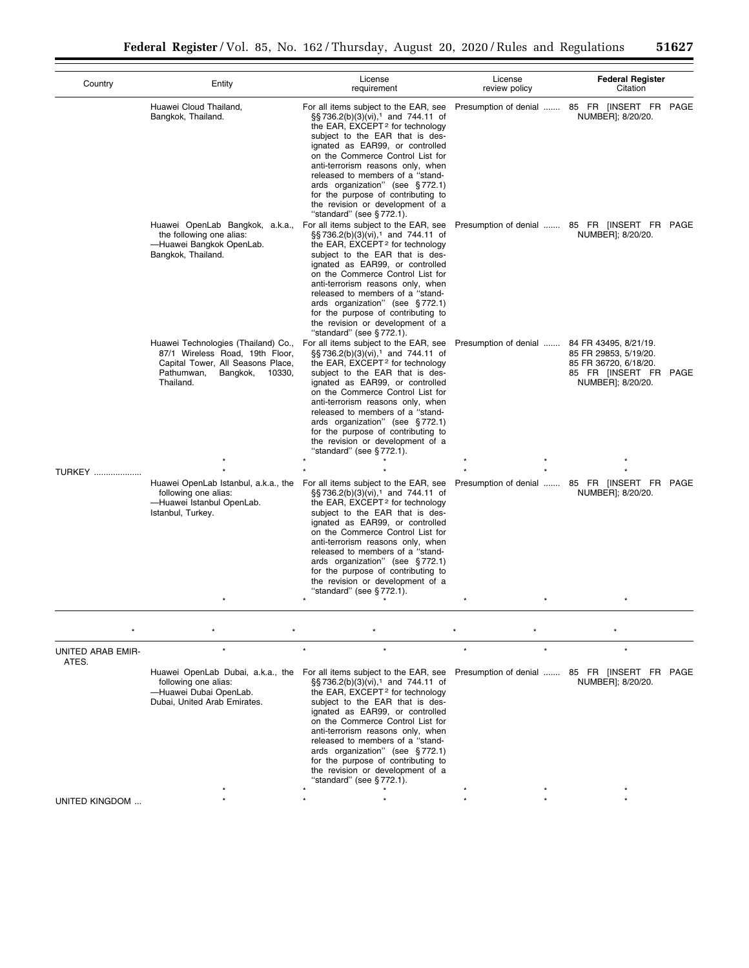| Country                    | Entity                                                                                                                                                       | License<br>requirement                                                                                                                                                                                                                                                                                                                                                                                                                                                                                 | License<br>review policy                     | <b>Federal Register</b><br>Citation                                                          |
|----------------------------|--------------------------------------------------------------------------------------------------------------------------------------------------------------|--------------------------------------------------------------------------------------------------------------------------------------------------------------------------------------------------------------------------------------------------------------------------------------------------------------------------------------------------------------------------------------------------------------------------------------------------------------------------------------------------------|----------------------------------------------|----------------------------------------------------------------------------------------------|
|                            | Huawei Cloud Thailand,<br>Bangkok, Thailand.                                                                                                                 | For all items subject to the EAR, see<br>§§ 736.2(b)(3)(vi), <sup>1</sup> and 744.11 of<br>the EAR, EXCEPT <sup>2</sup> for technology<br>subject to the EAR that is des-<br>ignated as EAR99, or controlled<br>on the Commerce Control List for<br>anti-terrorism reasons only, when<br>released to members of a "stand-<br>ards organization" (see §772.1)<br>for the purpose of contributing to<br>the revision or development of a<br>"standard" (see $\S 772.1$ ).                                |                                              | Presumption of denial  85 FR [INSERT FR PAGE<br>NUMBER]; 8/20/20.                            |
|                            | Huawei OpenLab Bangkok, a.k.a.,<br>the following one alias:<br>-Huawei Bangkok OpenLab.<br>Bangkok, Thailand.                                                | For all items subject to the EAR, see<br>§§ 736.2(b)(3)(vi), <sup>1</sup> and 744.11 of<br>the EAR, EXCEPT <sup>2</sup> for technology<br>subject to the EAR that is des-<br>ignated as EAR99, or controlled<br>on the Commerce Control List for<br>anti-terrorism reasons only, when<br>released to members of a "stand-<br>ards organization" (see §772.1)<br>for the purpose of contributing to<br>the revision or development of a<br>"standard" (see $§$ 772.1).                                  |                                              | Presumption of denial  85 FR [INSERT FR PAGE<br>NUMBER]; 8/20/20.                            |
|                            | Huawei Technologies (Thailand) Co.,<br>87/1 Wireless Road, 19th Floor,<br>Capital Tower, All Seasons Place,<br>Bangkok,<br>Pathumwan.<br>10330,<br>Thailand. | For all items subject to the EAR, see<br>§§ 736.2(b)(3)(vi), <sup>1</sup> and 744.11 of<br>the EAR, EXCEPT <sup>2</sup> for technology<br>subject to the EAR that is des-<br>ignated as EAR99, or controlled<br>on the Commerce Control List for<br>anti-terrorism reasons only, when<br>released to members of a "stand-<br>ards organization" (see §772.1)<br>for the purpose of contributing to<br>the revision or development of a<br>"standard" (see §772.1).                                     | Presumption of denial  84 FR 43495, 8/21/19. | 85 FR 29853, 5/19/20.<br>85 FR 36720, 6/18/20.<br>85 FR [INSERT FR PAGE<br>NUMBER]; 8/20/20. |
| <b>TURKEY </b>             |                                                                                                                                                              |                                                                                                                                                                                                                                                                                                                                                                                                                                                                                                        |                                              |                                                                                              |
|                            | following one alias:<br>-Huawei Istanbul OpenLab.<br>Istanbul, Turkey.                                                                                       | Huawei OpenLab Istanbul, a.k.a., the For all items subject to the EAR, see<br>§§736.2(b)(3)(vi), <sup>1</sup> and 744.11 of<br>the EAR, EXCEPT <sup>2</sup> for technology<br>subject to the EAR that is des-<br>ignated as EAR99, or controlled<br>on the Commerce Control List for<br>anti-terrorism reasons only, when<br>released to members of a "stand-<br>ards organization" (see §772.1)<br>for the purpose of contributing to<br>the revision or development of a<br>"standard" (see §772.1). |                                              | Presumption of denial  85 FR [INSERT FR PAGE<br>NUMBER]; 8/20/20.                            |
|                            |                                                                                                                                                              |                                                                                                                                                                                                                                                                                                                                                                                                                                                                                                        |                                              |                                                                                              |
|                            |                                                                                                                                                              |                                                                                                                                                                                                                                                                                                                                                                                                                                                                                                        |                                              |                                                                                              |
| UNITED ARAB EMIR-<br>ATES. |                                                                                                                                                              |                                                                                                                                                                                                                                                                                                                                                                                                                                                                                                        |                                              |                                                                                              |
|                            | Huawei OpenLab Dubai, a.k.a., the<br>following one alias:<br>-Huawei Dubai OpenLab.<br>Dubai, United Arab Emirates.                                          | For all items subject to the EAR, see<br>§§ 736.2(b)(3)(vi), <sup>1</sup> and 744.11 of<br>the EAR, EXCEPT <sup>2</sup> for technology<br>subject to the EAR that is des-<br>ignated as EAR99, or controlled<br>on the Commerce Control List for<br>anti-terrorism reasons only, when<br>released to members of a "stand-<br>ards organization" (see §772.1)<br>for the purpose of contributing to<br>the revision or development of a<br>"standard" (see §772.1).                                     |                                              | Presumption of denial  85 FR [INSERT FR PAGE<br>NUMBER]; 8/20/20.                            |
| UNITED KINGDOM             |                                                                                                                                                              |                                                                                                                                                                                                                                                                                                                                                                                                                                                                                                        |                                              |                                                                                              |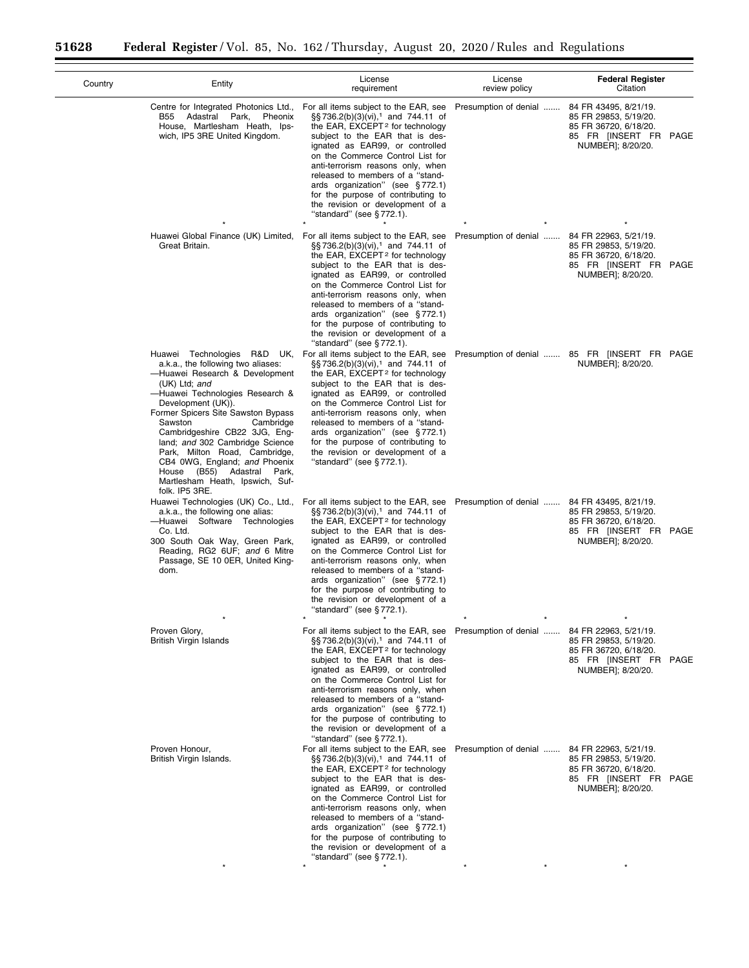$\equiv$ 

÷.

| Country | Entity                                                                                                                                                                                                                                                                                                                                                                                                                                | License<br>requirement                                                                                                                                                                                                                                                                                                                                                                                                                                                                                  | License<br>review policy | <b>Federal Register</b><br>Citation                                                                                   |
|---------|---------------------------------------------------------------------------------------------------------------------------------------------------------------------------------------------------------------------------------------------------------------------------------------------------------------------------------------------------------------------------------------------------------------------------------------|---------------------------------------------------------------------------------------------------------------------------------------------------------------------------------------------------------------------------------------------------------------------------------------------------------------------------------------------------------------------------------------------------------------------------------------------------------------------------------------------------------|--------------------------|-----------------------------------------------------------------------------------------------------------------------|
|         | Centre for Integrated Photonics Ltd.,<br>Adastral Park, Pheonix<br>B55<br>House, Martlesham Heath, Ips-<br>wich, IP5 3RE United Kingdom.                                                                                                                                                                                                                                                                                              | For all items subject to the EAR, see<br>§§736.2(b)(3)(vi), <sup>1</sup> and 744.11 of<br>the EAR, EXCEPT <sup>2</sup> for technology<br>subject to the EAR that is des-<br>ignated as EAR99, or controlled<br>on the Commerce Control List for<br>anti-terrorism reasons only, when<br>released to members of a "stand-<br>ards organization" (see §772.1)<br>for the purpose of contributing to<br>the revision or development of a<br>"standard" (see §772.1).                                       | Presumption of denial    | 84 FR 43495, 8/21/19.<br>85 FR 29853, 5/19/20.<br>85 FR 36720, 6/18/20.<br>85 FR [INSERT FR PAGE<br>NUMBER]; 8/20/20. |
|         | Huawei Global Finance (UK) Limited,<br>Great Britain.                                                                                                                                                                                                                                                                                                                                                                                 | For all items subject to the EAR, see<br>§§736.2(b)(3)(vi), <sup>1</sup> and 744.11 of<br>the EAR, EXCEPT <sup>2</sup> for technology<br>subject to the EAR that is des-<br>ignated as EAR99, or controlled<br>on the Commerce Control List for<br>anti-terrorism reasons only, when<br>released to members of a "stand-<br>ards organization" (see §772.1)<br>for the purpose of contributing to<br>the revision or development of a<br>"standard" (see $§ 772.1$ ).                                   | Presumption of denial    | 84 FR 22963, 5/21/19.<br>85 FR 29853, 5/19/20.<br>85 FR 36720, 6/18/20.<br>85 FR [INSERT FR PAGE<br>NUMBER]; 8/20/20. |
|         | a.k.a., the following two aliases:<br>-Huawei Research & Development<br>(UK) Ltd; and<br>-Huawei Technologies Research &<br>Development (UK)).<br>Former Spicers Site Sawston Bypass<br>Cambridge<br>Sawston<br>Cambridgeshire CB22 3JG, Eng-<br>land; and 302 Cambridge Science<br>Park, Milton Road, Cambridge,<br>CB4 0WG, England; and Phoenix<br>House (B55) Adastral Park,<br>Martlesham Heath, Ipswich, Suf-<br>folk. IP5 3RE. | Huawei Technologies R&D UK, For all items subject to the EAR, see<br>§§736.2(b)(3)(vi), <sup>1</sup> and 744.11 of<br>the EAR, EXCEPT <sup>2</sup> for technology<br>subject to the EAR that is des-<br>ignated as EAR99, or controlled<br>on the Commerce Control List for<br>anti-terrorism reasons only, when<br>released to members of a "stand-<br>ards organization" (see §772.1)<br>for the purpose of contributing to<br>the revision or development of a<br>"standard" (see $\S 772.1$ ).      |                          | Presumption of denial  85 FR [INSERT FR PAGE<br>NUMBER]; 8/20/20.                                                     |
|         | Huawei Technologies (UK) Co., Ltd.,<br>a.k.a., the following one alias:<br>-Huawei Software Technologies<br>Co. Ltd.<br>300 South Oak Way, Green Park,<br>Reading, RG2 6UF; and 6 Mitre<br>Passage, SE 10 0ER, United King-<br>dom.                                                                                                                                                                                                   | For all items subject to the EAR, see<br>§§736.2(b)(3)(vi), <sup>1</sup> and 744.11 of<br>the EAR, EXCEPT <sup>2</sup> for technology<br>subject to the EAR that is des-<br>ignated as EAR99, or controlled<br>on the Commerce Control List for<br>anti-terrorism reasons only, when<br>released to members of a "stand-<br>ards organization" (see §772.1)<br>for the purpose of contributing to<br>the revision or development of a<br>"standard" (see $\S 772.1$ ).                                  | Presumption of denial    | 84 FR 43495, 8/21/19.<br>85 FR 29853, 5/19/20.<br>85 FR 36720, 6/18/20.<br>85 FR [INSERT FR PAGE<br>NUMBER]; 8/20/20. |
|         | Proven Glory,<br><b>British Virgin Islands</b>                                                                                                                                                                                                                                                                                                                                                                                        | For all items subject to the EAR, see<br>§§736.2(b)(3)(vi), <sup>1</sup> and 744.11 of<br>the EAR, EXCEPT <sup>2</sup> for technology<br>subject to the EAR that is des-<br>ignated as EAR99, or controlled<br>on the Commerce Control List for<br>anti-terrorism reasons only, when<br>released to members of a "stand-<br>ards organization" (see §772.1)<br>for the purpose of contributing to<br>the revision or development of a                                                                   | Presumption of denial    | 84 FR 22963, 5/21/19.<br>85 FR 29853, 5/19/20.<br>85 FR 36720, 6/18/20.<br>85 FR [INSERT FR PAGE<br>NUMBER]; 8/20/20. |
|         | Proven Honour,<br>British Virgin Islands.                                                                                                                                                                                                                                                                                                                                                                                             | "standard" (see $\S 772.1$ ).<br>For all items subject to the EAR, see<br>§§736.2(b)(3)(vi), <sup>1</sup> and 744.11 of<br>the EAR, EXCEPT <sup>2</sup> for technology<br>subject to the EAR that is des-<br>ignated as EAR99, or controlled<br>on the Commerce Control List for<br>anti-terrorism reasons only, when<br>released to members of a "stand-<br>ards organization" (see $\S 772.1$ )<br>for the purpose of contributing to<br>the revision or development of a<br>"standard" (see §772.1). | Presumption of denial    | 84 FR 22963, 5/21/19.<br>85 FR 29853, 5/19/20.<br>85 FR 36720, 6/18/20.<br>85 FR [INSERT FR PAGE<br>NUMBER]; 8/20/20. |